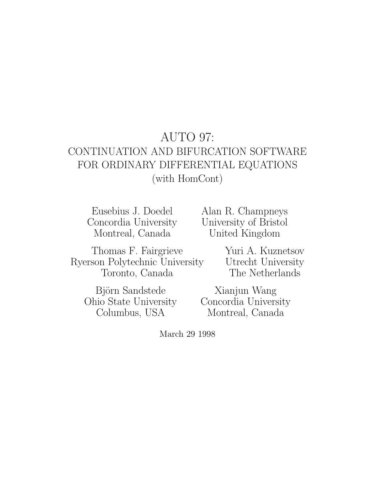# AUTO 97: CONTINUATION AND BIFURCATION SOFTWARE FOR ORDINARY DIFFERENTIAL EQUATIONS (with HomCont)

Eusebius J. Doedel Concordia University Montreal, Canada

Alan R. Champneys University of Bristol United Kingdom

Thomas F. Fairgrieve Ryerson Polytechnic University Toronto, Canada

> Björn Sandstede Ohio State University Columbus, USA

Yuri A. Kuznetsov Utrecht University The Netherlands

Xianjun Wang Concordia University Montreal, Canada

March 29 1998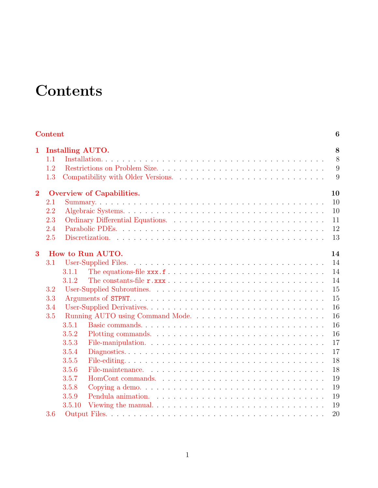# **Contents**

<span id="page-1-0"></span>

|                | <b>Content</b> |                                  | 6  |
|----------------|----------------|----------------------------------|----|
| $\mathbf{1}$   |                | <b>Installing AUTO.</b>          | 8  |
|                | 1.1            |                                  | 8  |
|                | 1.2            |                                  | 9  |
|                | 1.3            |                                  | 9  |
| $\overline{2}$ |                | <b>Overview of Capabilities.</b> | 10 |
|                | 2.1            |                                  | 10 |
|                | 2.2            |                                  | 10 |
|                | 2.3            |                                  | 11 |
|                | 2.4            |                                  | 12 |
|                | 2.5            |                                  | 13 |
| 3              |                | How to Run AUTO.                 | 14 |
|                | 3.1            |                                  | 14 |
|                |                | 3.1.1                            | 14 |
|                |                | 3.1.2                            | 14 |
|                | 3.2            |                                  | 15 |
|                | 3.3            |                                  | 15 |
| 3.4<br>3.5     |                |                                  | 16 |
|                |                | Running AUTO using Command Mode  | 16 |
|                |                | 3.5.1                            | 16 |
|                |                | 3.5.2                            | 16 |
|                |                | 3.5.3                            | 17 |
|                |                | 3.5.4                            | 17 |
|                |                | 3.5.5                            | 18 |
|                |                | 3.5.6                            | 18 |
|                |                | 3.5.7                            | 19 |
|                |                | 3.5.8                            | 19 |
|                |                | 3.5.9                            | 19 |
|                |                | 3.5.10                           | 19 |
|                | 3.6            |                                  | 20 |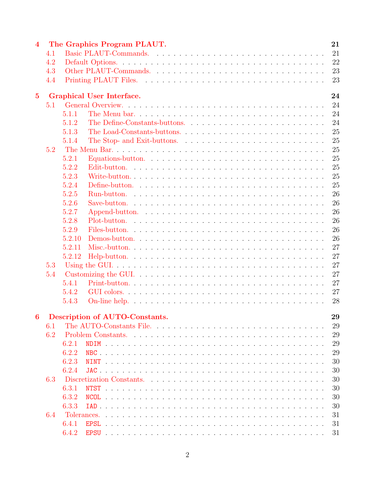| $\overline{\mathbf{4}}$ |     | 21<br>The Graphics Program PLAUT.                                                                                               |
|-------------------------|-----|---------------------------------------------------------------------------------------------------------------------------------|
|                         | 4.1 | 21                                                                                                                              |
|                         | 4.2 | 22                                                                                                                              |
|                         | 4.3 | 23                                                                                                                              |
|                         | 4.4 | 23                                                                                                                              |
| $5\overline{)}$         |     | <b>Graphical User Interface.</b><br>24                                                                                          |
|                         | 5.1 | 24                                                                                                                              |
|                         |     | 24<br>5.1.1                                                                                                                     |
|                         |     | 24<br>5.1.2                                                                                                                     |
|                         |     | 25<br>5.1.3<br>The Load-Constants-buttons                                                                                       |
|                         |     | 25<br>5.1.4                                                                                                                     |
|                         | 5.2 | 25                                                                                                                              |
|                         |     | 25<br>5.2.1                                                                                                                     |
|                         |     | 25<br>5.2.2                                                                                                                     |
|                         |     | 5.2.3<br>25                                                                                                                     |
|                         |     | 25<br>5.2.4                                                                                                                     |
|                         |     | 26<br>5.2.5                                                                                                                     |
|                         |     | 26<br>5.2.6                                                                                                                     |
|                         |     | 26<br>5.2.7                                                                                                                     |
|                         |     | 5.2.8<br>26                                                                                                                     |
|                         |     | 26<br>5.2.9                                                                                                                     |
|                         |     | 26<br>5.2.10                                                                                                                    |
|                         |     | 27<br>5.2.11                                                                                                                    |
|                         |     | 27<br>5.2.12                                                                                                                    |
|                         | 5.3 | 27                                                                                                                              |
|                         | 5.4 | 27                                                                                                                              |
|                         |     | 27<br>5.4.1                                                                                                                     |
|                         |     | 27<br>5.4.2                                                                                                                     |
|                         |     | 28<br>5.4.3                                                                                                                     |
|                         |     |                                                                                                                                 |
| 6                       |     | Description of AUTO-Constants.<br>29                                                                                            |
|                         | 6.1 | 29<br>The AUTO-Constants File. $\ldots$ , $\ldots$ , $\ldots$ , $\ldots$ , $\ldots$ , $\ldots$ , $\ldots$ , $\ldots$ , $\ldots$ |
|                         | 6.2 | 29                                                                                                                              |
|                         |     | 29<br>6.2.1                                                                                                                     |
|                         |     | 29<br>6.2.2                                                                                                                     |
|                         |     | 30<br>6.2.3                                                                                                                     |
|                         |     | 6.2.4<br>30                                                                                                                     |
|                         | 6.3 | 30<br>Discretization Constants.                                                                                                 |
|                         |     | 30<br>6.3.1                                                                                                                     |
|                         |     | 6.3.2<br>30                                                                                                                     |
|                         |     | 30<br>6.3.3                                                                                                                     |
|                         | 6.4 | 31                                                                                                                              |
|                         |     | 6.4.1<br>31                                                                                                                     |
|                         |     | 6.4.2<br>31                                                                                                                     |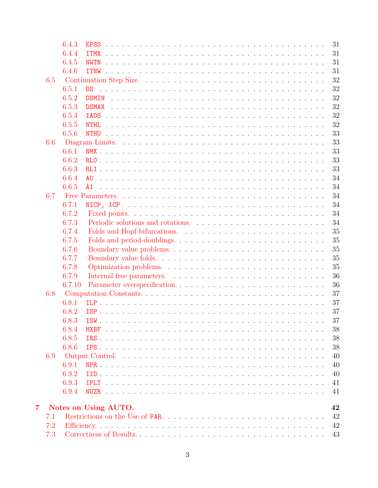|                |     | 6.4.3  | 31                                   |
|----------------|-----|--------|--------------------------------------|
|                |     | 6.4.4  | 31                                   |
|                |     | 6.4.5  | 31<br><b>NWTN</b>                    |
|                |     | 6.4.6  | 31<br>ITNW                           |
|                | 6.5 |        | 32                                   |
|                |     | 6.5.1  | 32                                   |
|                |     | 6.5.2  | 32                                   |
|                |     | 6.5.3  | 32                                   |
|                |     | 6.5.4  | 32                                   |
|                |     | 6.5.5  | 32                                   |
|                |     | 6.5.6  | 33                                   |
|                | 6.6 |        | 33                                   |
|                |     | 6.6.1  | 33                                   |
|                |     | 6.6.2  | 33                                   |
|                |     | 6.6.3  | 33                                   |
|                |     | 6.6.4  | 34                                   |
|                |     | 6.6.5  | 34<br>A1                             |
|                | 6.7 |        | 34                                   |
|                |     | 6.7.1  | 34                                   |
|                |     | 6.7.2  | 34                                   |
|                |     | 6.7.3  | 34                                   |
|                |     | 6.7.4  | 35                                   |
|                |     | 6.7.5  | 35                                   |
|                |     | 6.7.6  | 35                                   |
|                |     | 6.7.7  | 35                                   |
|                |     | 6.7.8  | 35                                   |
|                |     | 6.7.9  | 36                                   |
|                |     | 6.7.10 | 36                                   |
|                | 6.8 |        | 37                                   |
|                |     | 6.8.1  | 37                                   |
|                |     | 6.8.2  | 37                                   |
|                |     | 6.8.3  | 37                                   |
|                |     | 6.8.4  | 38                                   |
|                |     | 6.8.5  | 38                                   |
|                |     | 6.8.6  | 38                                   |
|                | 6.9 |        | 40                                   |
|                |     | 6.9.1  | 40                                   |
|                |     | 6.9.2  | 40                                   |
|                |     | 6.9.3  | 41                                   |
|                |     | 6.9.4  | 41                                   |
|                |     |        |                                      |
| $\overline{7}$ |     |        | Notes on Using AUTO.<br>42           |
|                | 7.1 |        | 42<br>Restrictions on the Use of PAR |
|                | 7.2 |        | 42                                   |
|                | 7.3 |        | 43                                   |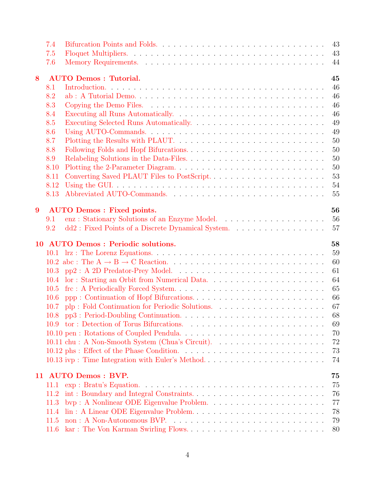|                  | 7.4  | 43                                                                                                                            |  |
|------------------|------|-------------------------------------------------------------------------------------------------------------------------------|--|
|                  | 7.5  | 43                                                                                                                            |  |
|                  | 7.6  | 44                                                                                                                            |  |
| 8                |      | <b>AUTO Demos: Tutorial.</b><br>45                                                                                            |  |
|                  | 8.1  | 46                                                                                                                            |  |
|                  | 8.2  | 46                                                                                                                            |  |
|                  | 8.3  | 46                                                                                                                            |  |
|                  | 8.4  | 46                                                                                                                            |  |
|                  | 8.5  | 49                                                                                                                            |  |
|                  | 8.6  | 49                                                                                                                            |  |
|                  | 8.7  | 50                                                                                                                            |  |
|                  | 8.8  | 50                                                                                                                            |  |
|                  | 8.9  | 50                                                                                                                            |  |
|                  | 8.10 | 50                                                                                                                            |  |
|                  | 8.11 | 53                                                                                                                            |  |
|                  | 8.12 | 54                                                                                                                            |  |
|                  | 8.13 | 55                                                                                                                            |  |
|                  |      |                                                                                                                               |  |
| $\boldsymbol{9}$ |      | 56<br><b>AUTO Demos : Fixed points.</b>                                                                                       |  |
|                  | 9.1  | 56                                                                                                                            |  |
|                  | 9.2  | dd2 : Fixed Points of a Discrete Dynamical System.<br>57                                                                      |  |
| 10               |      | 58<br><b>AUTO Demos: Periodic solutions.</b>                                                                                  |  |
|                  |      | 59                                                                                                                            |  |
|                  |      | 60                                                                                                                            |  |
|                  | 10.3 | 61                                                                                                                            |  |
|                  | 10.4 | 64                                                                                                                            |  |
|                  | 10.5 | 65                                                                                                                            |  |
|                  | 10.6 | 66                                                                                                                            |  |
|                  | 10.7 | plp : Fold Continuation for Periodic Solutions.<br>$\hfill\ldots\ldots\ldots\ldots\ldots\ldots\ldots\ldots\ldots\ldots$<br>67 |  |
|                  |      | 68<br>10.8 pp3 : Period-Doubling Continuation                                                                                 |  |
|                  |      | 10.9 tor: Detection of Torus Bifurcations.<br>69                                                                              |  |
|                  |      | 10.10 pen : Rotations of Coupled Pendula<br>70                                                                                |  |
|                  |      | 72                                                                                                                            |  |
|                  |      | 73                                                                                                                            |  |
|                  |      | 10.13 ivp : Time Integration with Euler's Method<br>74                                                                        |  |
|                  |      | 11 AUTO Demos: BVP.<br>75                                                                                                     |  |
|                  | 11.1 | 75                                                                                                                            |  |
|                  | 11.2 | 76                                                                                                                            |  |
|                  | 11.3 | 77                                                                                                                            |  |
|                  | 11.4 | lin : A Linear ODE Eigenvalue Problem<br>78                                                                                   |  |
|                  | 11.5 | 79                                                                                                                            |  |
|                  | 11.6 | 80                                                                                                                            |  |
|                  |      |                                                                                                                               |  |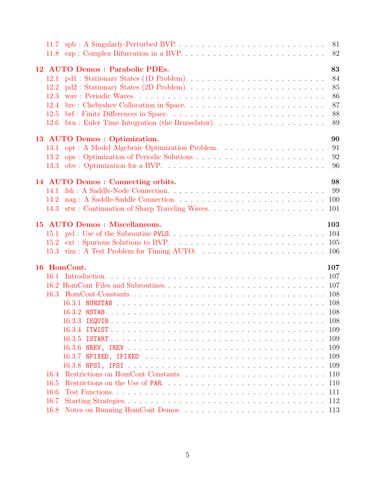|      | 11.8 ezp : Complex Bifurcation in a BVP.     | 81<br>82 |
|------|----------------------------------------------|----------|
|      | 12 AUTO Demos : Parabolic PDEs.              | 83       |
| 12.1 |                                              | 84       |
| 12.2 |                                              | 85       |
| 12.3 |                                              | 86       |
| 12.4 |                                              | 87       |
| 12.5 |                                              | 88       |
| 12.6 |                                              | 89       |
|      | 13 AUTO Demos : Optimization.                | 90       |
|      |                                              | 91       |
|      | 13.2 ops: Optimization of Periodic Solutions | 92       |
|      |                                              | 96       |
|      | 14 AUTO Demos: Connecting orbits.            | 98       |
|      |                                              | 99       |
| 14.2 |                                              |          |
|      |                                              |          |
|      | 15 AUTO Demos : Miscellaneous.               | 103      |
|      |                                              |          |
|      |                                              |          |
|      |                                              |          |
|      | 16 HomCont.                                  | 107      |
|      |                                              |          |
|      |                                              |          |
|      |                                              |          |
|      |                                              |          |
|      |                                              |          |
|      |                                              | 108      |
|      |                                              | 109      |
|      |                                              | 109      |
|      |                                              | 109      |
|      |                                              | 109      |
|      |                                              | 109      |
| 16.4 |                                              | 110      |
| 16.5 |                                              | 110      |
| 16.6 |                                              | 111      |
| 16.7 |                                              | 112      |
| 16.8 |                                              |          |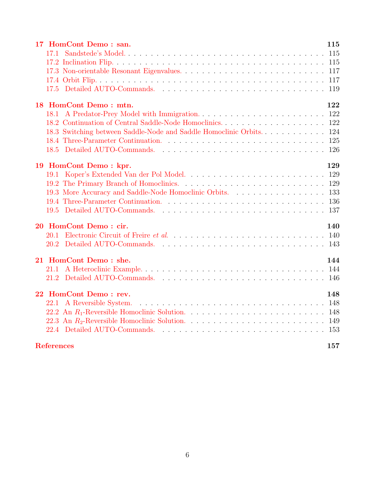| 18 HomCont Demo: mtn.                                     | 122 |  |  |
|-----------------------------------------------------------|-----|--|--|
|                                                           |     |  |  |
|                                                           |     |  |  |
|                                                           |     |  |  |
|                                                           |     |  |  |
|                                                           |     |  |  |
| 19 HomCont Demo: kpr.                                     | 129 |  |  |
|                                                           |     |  |  |
|                                                           |     |  |  |
| 19.3 More Accuracy and Saddle-Node Homoclinic Orbits. 133 |     |  |  |
|                                                           |     |  |  |
|                                                           |     |  |  |
|                                                           |     |  |  |
| 20 HomCont Demo: cir.                                     | 140 |  |  |
|                                                           |     |  |  |
|                                                           |     |  |  |
|                                                           |     |  |  |
| 21 HomCont Demo: she.                                     | 144 |  |  |
|                                                           |     |  |  |
|                                                           |     |  |  |
| 22 HomCont Demo: rev.<br>148                              |     |  |  |
|                                                           |     |  |  |
|                                                           |     |  |  |
|                                                           |     |  |  |
|                                                           |     |  |  |
|                                                           |     |  |  |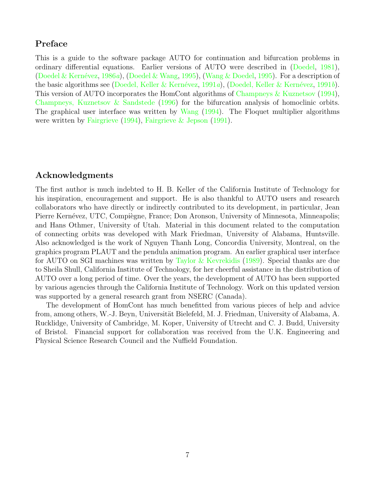### Preface

This is a guide to the software package AUTO for continuation and bifurcation problems in ordinary differential equations. Earlier versions of AUTO were described in([Doedel,](#page-154-1) [1981](#page-154-1)), (Doedel & Kernévez, [1986](#page-154-2)a),([Doedel & Wang,](#page-155-0) [1995](#page-157-0)), ([Wang & Doedel,](#page-157-0) 1995). For a description of the basic algorithms see (Doedel, Keller & Kernévez, [1991](#page-155-2)a), (Doedel, Keller & Kernévez, 1991b). This version of AUTO incorporates the HomCont algorithms of [Champneys & Kuznetsov](#page-154-3) [\(1994](#page-154-3)), [Champneys, Kuznetsov & Sandstede](#page-154-4) ([1996](#page-154-4)) for the bifurcation analysis of homoclinic orbits. The graphical user interface was written by [Wang](#page-157-1)  $(1994)$ . The Floquet multiplier algorithms were written by [Fairgrieve](#page-155-3) ([1994](#page-155-3)), [Fairgrieve & Jepson](#page-155-4) [\(1991\)](#page-155-4).

#### Acknowledgments

The first author is much indebted to H. B. Keller of the California Institute of Technology for his inspiration, encouragement and support. He is also thankful to AUTO users and research collaborators who have directly or indirectly contributed to its development, in particular, Jean Pierre Kernévez, UTC, Compiègne, France; Don Aronson, University of Minnesota, Minneapolis; and Hans Othmer, University of Utah. Material in this document related to the computation of connecting orbits was developed with Mark Friedman, University of Alabama, Huntsville. Also acknowledged is the work of Nguyen Thanh Long, Concordia University, Montreal, on the graphics program PLAUT and the pendula animation program. An earlier graphical user interface for AUTO on SGI machines was written by [Taylor & Kevrekidis](#page-156-0) [\(1989\)](#page-156-0). Special thanks are due to Sheila Shull, California Institute of Technology, for her cheerful assistance in the distribution of AUTO over a long period of time. Over the years, the development of AUTO has been supported by various agencies through the California Institute of Technology. Work on this updated version was supported by a general research grant from NSERC (Canada).

The development of HomCont has much benefitted from various pieces of help and advice from, among others, W.-J. Beyn, Universität Bielefeld, M. J. Friedman, University of Alabama, A. Rucklidge, University of Cambridge, M. Koper, University of Utrecht and C. J. Budd, University of Bristol. Financial support for collaboration was received from the U.K. Engineering and Physical Science Research Council and the Nuffield Foundation.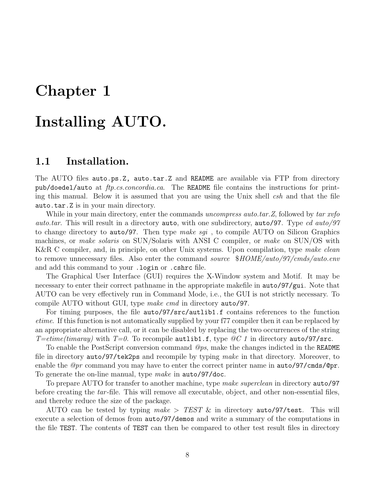# <span id="page-8-0"></span>Chapter 1

# Installing AUTO.

## <span id="page-8-1"></span>1.1 Installation.

The AUTO files auto.ps.Z, auto.tar.Z and README are available via FTP from directory pub/doedel/auto at ftp.cs.concordia.ca. The README file contains the instructions for printing this manual. Below it is assumed that you are using the Unix shell  $csh$  and that the file auto.tar.Z is in your main directory.

While in your main directory, enter the commands uncompress auto.tar. Z, followed by tar xvfo auto.tar. This will result in a directory auto, with one subdirectory, auto/97. Type cd auto/97 to change directory to auto/97. Then type make sgi, to compile AUTO on Silicon Graphics machines, or *make solaris* on SUN/Solaris with ANSI C compiler, or *make* on SUN/OS with K&R C compiler, and, in principle, on other Unix systems. Upon compilation, type make clean to remove unnecessary files. Also enter the command source  $$HOME/auto/97/cmds/auto.env$ and add this command to your .login or .cshrc file.

The Graphical User Interface (GUI) requires the X-Window system and Motif. It may be necessary to enter their correct pathname in the appropriate makefile in  $\arctan 97$ /gui. Note that AUTO can be very effectively run in Command Mode, i.e., the GUI is not strictly necessary. To compile AUTO without GUI, type make cmd in directory auto/97.

For timing purposes, the file auto/97/src/autlib1.f contains references to the function etime. If this function is not automatically supplied by your f77 compiler then it can be replaced by an appropriate alternative call, or it can be disabled by replacing the two occurrences of the string T=etime(timaray) with T=0. To recompile autlibit.f, type  $\mathscr{Q}C$  1 in directory auto/97/src.

To enable the PostScript conversion command  $\mathcal{Q}_{ps}$ , make the changes indicted in the README file in directory auto/97/tek2ps and recompile by typing make in that directory. Moreover, to enable the  $\mathcal{Q}_{pr}$  command you may have to enter the correct printer name in auto/97/cmds/ $\mathcal{Q}_{pr}$ . To generate the on-line manual, type *make* in **auto/97/doc.** 

To prepare AUTO for transfer to another machine, type make superclean in directory **auto**/97 before creating the tar-file. This will remove all executable, object, and other non-essential files, and thereby reduce the size of the package.

AUTO can be tested by typing make  $>$  TEST & in directory auto/97/test. This will execute a selection of demos from auto/97/demos and write a summary of the computations in the file TEST. The contents of TEST can then be compared to other test result files in directory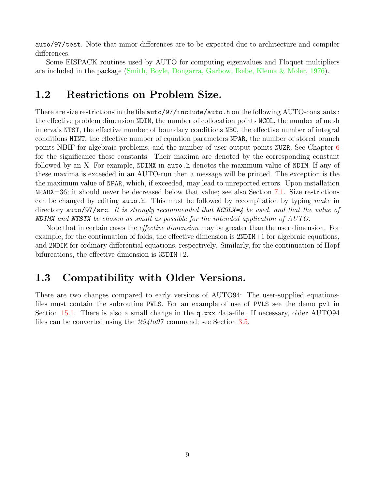auto/97/test. Note that minor differences are to be expected due to architecture and compiler differences.

Some EISPACK routines used by AUTO for computing eigenvalues and Floquet multipliers are included in the package [\(Smith, Boyle, Dongarra, Garbow, Ikebe, Klema & Moler](#page-156-1), [1976](#page-156-1)).

## <span id="page-9-0"></span>1.2 Restrictions on Problem Size.

There are size restrictions in the file auto/97/include/auto.h on the following AUTO-constants : the effective problem dimension NDIM, the number of collocation points NCOL, the number of mesh intervals NTST, the effective number of boundary conditions NBC, the effective number of integral conditions NINT, the effective number of equation parameters NPAR, the number of stored branch points NBIF for algebraic problems, and the number of user output points NUZR. See Chapter [6](#page-29-0) for the significance these constants. Their maxima are denoted by the corresponding constant followed by an X. For example, NDIMX in auto.h denotes the maximum value of NDIM. If any of these maxima is exceeded in an AUTO-run then a message will be printed. The exception is the the maximum value of NPAR, which, if exceeded, may lead to unreported errors. Upon installation NPARX=36; it should never be decreased below that value; see also Section [7.1.](#page-42-1) Size restrictions can be changed by editing  $\text{auto.h.}$  This must be followed by recompilation by typing make in directory auto/97/src. It is strongly recommended that NCOLX=4 be used, and that the value of NDIMX and NTSTX be chosen as small as possible for the intended application of AUTO.

Note that in certain cases the effective dimension may be greater than the user dimension. For example, for the continuation of folds, the effective dimension is 2NDIM+1 for algebraic equations, and 2NDIM for ordinary differential equations, respectively. Similarly, for the continuation of Hopf bifurcations, the effective dimension is 3NDIM+2.

# <span id="page-9-1"></span>1.3 Compatibility with Older Versions.

There are two changes compared to early versions of AUTO94: The user-supplied equationsfiles must contain the subroutine PVLS. For an example of use of PVLS see the demo pvl in Section [15.1.](#page-104-0) There is also a small change in the q.xxx data-file. If necessary, older AUTO94 files can be converted using the  $@94$ to97 command; see Section [3.5](#page-16-1).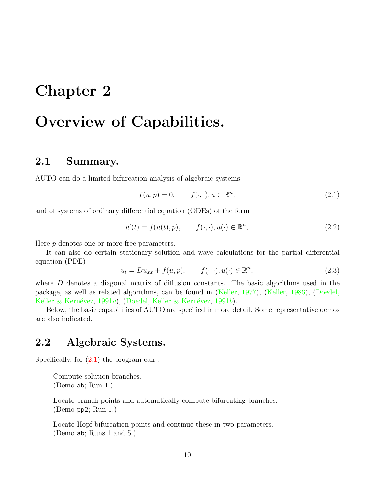# <span id="page-10-0"></span>Chapter 2

# Overview of Capabilities.

# <span id="page-10-1"></span>2.1 Summary.

AUTO can do a limited bifurcation analysis of algebraic systems

<span id="page-10-3"></span>
$$
f(u, p) = 0, \qquad f(\cdot, \cdot), u \in \mathbb{R}^n,
$$
\n
$$
(2.1)
$$

and of systems of ordinary differential equation (ODEs) of the form

<span id="page-10-4"></span>
$$
u'(t) = f(u(t), p), \qquad f(\cdot, \cdot), u(\cdot) \in \mathbb{R}^n,
$$
\n
$$
(2.2)
$$

Here p denotes one or more free parameters.

It can also do certain stationary solution and wave calculations for the partial differential equation (PDE)

<span id="page-10-5"></span>
$$
u_t = Du_{xx} + f(u, p), \qquad f(\cdot, \cdot), u(\cdot) \in \mathbb{R}^n, \tag{2.3}
$$

where  $D$  denotes a diagonal matrix of diffusion constants. The basic algorithms used in the package, as well as related algorithms, can be found in [\(Keller,](#page-155-5) [1977](#page-155-5)),([Keller](#page-156-2), [1986](#page-156-2)),([Doedel,](#page-155-1) Keller & Kernévez, [1991](#page-155-2)a), (Doedel, Keller & Kernévez, 1991b).

Below, the basic capabilities of AUTO are specified in more detail. Some representative demos are also indicated.

# <span id="page-10-2"></span>2.2 Algebraic Systems.

Specifically,for  $(2.1)$  $(2.1)$  the program can :

- Compute solution branches. (Demo ab; Run 1.)
- Locate branch points and automatically compute bifurcating branches. (Demo pp2; Run 1.)
- Locate Hopf bifurcation points and continue these in two parameters. (Demo ab; Runs 1 and 5.)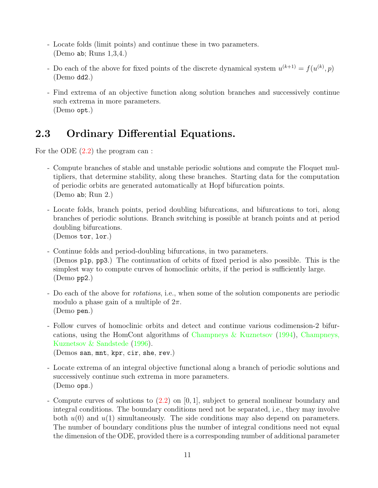- Locate folds (limit points) and continue these in two parameters. (Demo ab; Runs 1,3,4.)
- Do each of the above for fixed points of the discrete dynamical system  $u^{(k+1)} = f(u^{(k)}, p)$ (Demo dd2.)
- Find extrema of an objective function along solution branches and successively continue such extrema in more parameters. (Demo opt.)

# <span id="page-11-0"></span>2.3 Ordinary Differential Equations.

Forthe ODE  $(2.2)$  $(2.2)$  the program can :

- Compute branches of stable and unstable periodic solutions and compute the Floquet multipliers, that determine stability, along these branches. Starting data for the computation of periodic orbits are generated automatically at Hopf bifurcation points. (Demo ab; Run 2.)
- Locate folds, branch points, period doubling bifurcations, and bifurcations to tori, along branches of periodic solutions. Branch switching is possible at branch points and at period doubling bifurcations. (Demos tor, lor.)
- Continue folds and period-doubling bifurcations, in two parameters. (Demos plp, pp3.) The continuation of orbits of fixed period is also possible. This is the simplest way to compute curves of homoclinic orbits, if the period is sufficiently large. (Demo pp2.)
- Do each of the above for rotations, i.e., when some of the solution components are periodic modulo a phase gain of a multiple of  $2\pi$ . (Demo pen.)
- Follow curves of homoclinic orbits and detect and continue various codimension-2 bifurcations, using the HomCont algorithms of [Champneys & Kuznetsov](#page-154-3) [\(1994\)](#page-154-3), [Champneys,](#page-154-4) [Kuznetsov & Sandstede](#page-154-4) ([1996\)](#page-154-4). (Demos san, mnt, kpr, cir, she, rev.)
- Locate extrema of an integral objective functional along a branch of periodic solutions and successively continue such extrema in more parameters. (Demo ops.)
- Compute curves of solutions to([2.2\)](#page-10-4) on [0, 1], subject to general nonlinear boundary and integral conditions. The boundary conditions need not be separated, i.e., they may involve both  $u(0)$  and  $u(1)$  simultaneously. The side conditions may also depend on parameters. The number of boundary conditions plus the number of integral conditions need not equal the dimension of the ODE, provided there is a corresponding number of additional parameter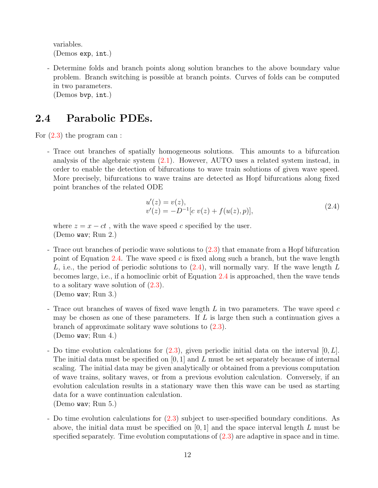variables. (Demos exp, int.)

- Determine folds and branch points along solution branches to the above boundary value problem. Branch switching is possible at branch points. Curves of folds can be computed in two parameters.

(Demos bvp, int.)

## <span id="page-12-0"></span>2.4 Parabolic PDEs.

For([2.3\)](#page-10-5) the program can :

- Trace out branches of spatially homogeneous solutions. This amounts to a bifurcation analysis of the algebraic system  $(2.1)$ . However, AUTO uses a related system instead, in order to enable the detection of bifurcations to wave train solutions of given wave speed. More precisely, bifurcations to wave trains are detected as Hopf bifurcations along fixed point branches of the related ODE

<span id="page-12-1"></span>
$$
u'(z) = v(z),
$$
  
\n
$$
v'(z) = -D^{-1}[c \ v(z) + f(u(z), p)],
$$
\n(2.4)

where  $z = x - ct$ , with the wave speed c specified by the user. (Demo wav; Run 2.)

- Trace out branches of periodic wave solutions to [\(2.3](#page-10-5)) that emanate from a Hopf bifurcation point of Equation [2.4.](#page-12-1) The wave speed  $c$  is fixed along such a branch, but the wave length L,i.e., the period of periodic solutions to  $(2.4)$  $(2.4)$ , will normally vary. If the wave length L becomes large, i.e., if a homoclinic orbit of Equation [2.4](#page-12-1) is approached, then the wave tends to a solitary wave solution of  $(2.3)$ . (Demo wav; Run 3.)
- Trace out branches of waves of fixed wave length  $L$  in two parameters. The wave speed  $c$ may be chosen as one of these parameters. If  $L$  is large then such a continuation gives a branch of approximate solitary wave solutions to [\(2.3](#page-10-5)). (Demo wav; Run 4.)
- -Do time evolution calculations for  $(2.3)$  $(2.3)$ , given periodic initial data on the interval  $[0, L]$ . The initial data must be specified on  $[0, 1]$  and L must be set separately because of internal scaling. The initial data may be given analytically or obtained from a previous computation of wave trains, solitary waves, or from a previous evolution calculation. Conversely, if an evolution calculation results in a stationary wave then this wave can be used as starting data for a wave continuation calculation. (Demo wav; Run 5.)
- Do time evolution calculations for [\(2.3](#page-10-5)) subject to user-specified boundary conditions. As above, the initial data must be specified on  $[0, 1]$  and the space interval length L must be specified separately. Time evolution computations of([2.3](#page-10-5)) are adaptive in space and in time.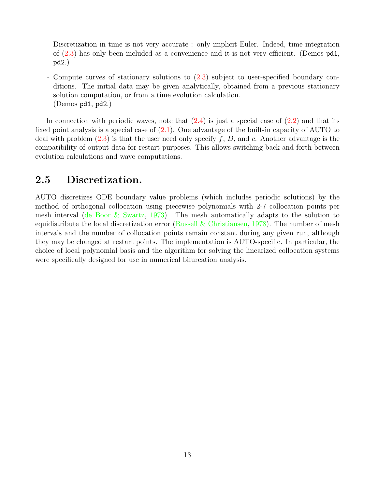Discretization in time is not very accurate : only implicit Euler. Indeed, time integration of([2.3\)](#page-10-5) has only been included as a convenience and it is not very efficient. (Demos pd1, pd2.)

- Compute curves of stationary solutions to [\(2.3](#page-10-5)) subject to user-specified boundary conditions. The initial data may be given analytically, obtained from a previous stationary solution computation, or from a time evolution calculation. (Demos pd1, pd2.)

In connection with periodic waves, note that  $(2.4)$  is just a special case of  $(2.2)$  and that its fixed point analysis is a special case of  $(2.1)$ . One advantage of the built-in capacity of AUTO to deal with problem  $(2.3)$  is that the user need only specify f, D, and c. Another advantage is the compatibility of output data for restart purposes. This allows switching back and forth between evolution calculations and wave computations.

# <span id="page-13-0"></span>2.5 Discretization.

AUTO discretizes ODE boundary value problems (which includes periodic solutions) by the method of orthogonal collocation using piecewise polynomials with 2-7 collocation points per mesh interval [\(de Boor & Swartz](#page-154-5), [1973](#page-154-5)). The mesh automatically adapts to the solution to equidistribute the local discretization error [\(Russell & Christiansen](#page-156-3), [1978](#page-156-3)). The number of mesh intervals and the number of collocation points remain constant during any given run, although they may be changed at restart points. The implementation is AUTO-specific. In particular, the choice of local polynomial basis and the algorithm for solving the linearized collocation systems were specifically designed for use in numerical bifurcation analysis.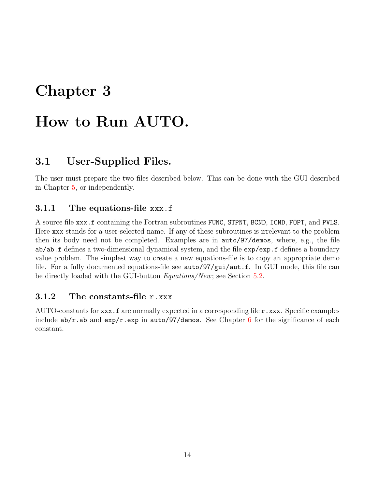# <span id="page-14-0"></span>Chapter 3

# How to Run AUTO.

# <span id="page-14-1"></span>3.1 User-Supplied Files.

The user must prepare the two files described below. This can be done with the GUI described in Chapter [5](#page-24-0), or independently.

### <span id="page-14-2"></span>3.1.1 The equations-file xxx.f

A source file xxx.f containing the Fortran subroutines FUNC, STPNT, BCND, ICND, FOPT, and PVLS. Here xxx stands for a user-selected name. If any of these subroutines is irrelevant to the problem then its body need not be completed. Examples are in auto/97/demos, where, e.g., the file ab/ab.f defines a two-dimensional dynamical system, and the file exp/exp.f defines a boundary value problem. The simplest way to create a new equations-file is to copy an appropriate demo file. For a fully documented equations-file see auto/97/gui/aut.f. In GUI mode, this file can be directly loaded with the GUI-button *Equations/New*; see Section [5.2](#page-25-2).

### <span id="page-14-3"></span>3.1.2 The constants-file r.xxx

AUTO-constants for  $\mathbf{xxx}$ . f are normally expected in a corresponding file  $\mathbf{r}$ . xxx. Specific examples include  $ab/r$ .ab and  $exp/r$ .exp in auto/97/demos. See Chapter [6](#page-29-0) for the significance of each constant.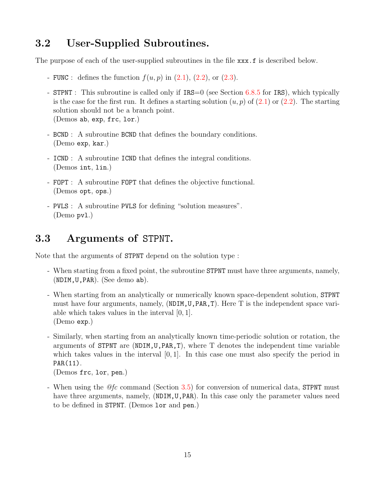# <span id="page-15-0"></span>3.2 User-Supplied Subroutines.

The purpose of each of the user-supplied subroutines in the file  $xxx.f$  is described below.

- -FUNC : defines the function  $f(u, p)$  in  $(2.1)$ ,  $(2.2)$  $(2.2)$ , or  $(2.3)$ .
- STPNT : This subroutine is called only if  $IRS=0$  (see Section [6.8.5](#page-38-1) for IRS), which typically isthe case for the first run. It defines a starting solution  $(u, p)$  of  $(2.1)$  $(2.1)$  or  $(2.2)$ . The starting solution should not be a branch point. (Demos ab, exp, frc, lor.)
- BCND : A subroutine BCND that defines the boundary conditions. (Demo exp, kar.)
- ICND : A subroutine ICND that defines the integral conditions. (Demos int, lin.)
- FOPT : A subroutine FOPT that defines the objective functional. (Demos opt, ops.)
- PVLS : A subroutine PVLS for defining "solution measures". (Demo pvl.)

# <span id="page-15-1"></span>3.3 Arguments of STPNT.

Note that the arguments of STPNT depend on the solution type :

- When starting from a fixed point, the subroutine STPNT must have three arguments, namely, (NDIM,U,PAR). (See demo ab).
- When starting from an analytically or numerically known space-dependent solution, STPNT must have four arguments, namely, (NDIM,U,PAR,T). Here T is the independent space variable which takes values in the interval [0, 1]. (Demo exp.)
- Similarly, when starting from an analytically known time-periodic solution or rotation, the arguments of STPNT are  $(NDIM, U, PAR, T)$ , where T denotes the independent time variable which takes values in the interval  $[0, 1]$ . In this case one must also specify the period in PAR(11).

(Demos frc, lor, pen.)

- When using the  $\mathcal{Q}f_c$  command (Section [3.5\)](#page-16-1) for conversion of numerical data, STPNT must have three arguments, namely, (NDIM, U, PAR). In this case only the parameter values need to be defined in STPNT. (Demos lor and pen.)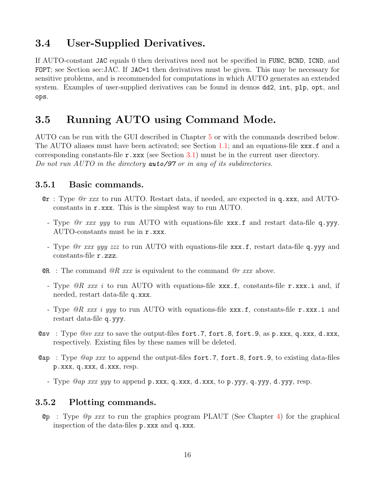# <span id="page-16-0"></span>3.4 User-Supplied Derivatives.

If AUTO-constant JAC equals 0 then derivatives need not be specified in FUNC, BCND, ICND, and FOPT; see Section sec:JAC. If JAC=1 then derivatives must be given. This may be necessary for sensitive problems, and is recommended for computations in which AUTO generates an extended system. Examples of user-supplied derivatives can be found in demos dd2, int, plp, opt, and ops.

# <span id="page-16-1"></span>3.5 Running AUTO using Command Mode.

AUTO can be run with the GUI described in Chapter [5](#page-24-0) or with the commands described below. The AUTO aliases must have been activated; see Section [1.1](#page-8-1); and an equations-file xxx.f and a corresponding constants-file r.xxx (see Section [3.1\)](#page-14-1) must be in the current user directory. Do not run AUTO in the directory **auto/97** or in any of its subdirectories.

#### <span id="page-16-2"></span>3.5.1 Basic commands.

- $\mathbf{e}$  r : Type  $\mathbf{e}$  r xxx to run AUTO. Restart data, if needed, are expected in q.xxx, and AUTOconstants in r.xxx. This is the simplest way to run AUTO.
	- Type *Or xxx yyy* to run AUTO with equations-file xxx.f and restart data-file q.yyy. AUTO-constants must be in r.xxx.
	- Type *Or xxx yyy zzz* to run AUTO with equations-file xxx.f, restart data-file q.yyy and constants-file r.zzz.
- **QR** : The command  $QR$  xxx is equivalent to the command  $Qr$  xxx above.
	- Type  $\mathscr{Q}R$  xxx i to run AUTO with equations-file xxx.f, constants-file r.xxx.i and, if needed, restart data-file q.xxx.
	- Type  $\mathscr{R}$  xxx i yyy to run AUTO with equations-file xxx.f, constants-file r.xxx.i and restart data-file q.yyy.
- Gsv: Type  $\mathcal{Q}sv$  xxx to save the output-files fort.7, fort.8, fort.9, as p.xxx, q.xxx, d.xxx, respectively. Existing files by these names will be deleted.
- **@ap** : Type *@ap xxx* to append the output-files fort.7, fort.8, fort.9, to existing data-files p.xxx, q.xxx, d.xxx, resp.

- Type  $@ap~xxx~yyy~to~append~p.xxx, q.xxx, d.xxx, to p.yyy, q.yyy, d.yyy, resp.$ 

#### <span id="page-16-3"></span>3.5.2 Plotting commands.

**Op** : Type *Op xxx* to run the graphics program PLAUT (See Chapter [4\)](#page-21-0) for the graphical inspection of the data-files p.xxx and q.xxx.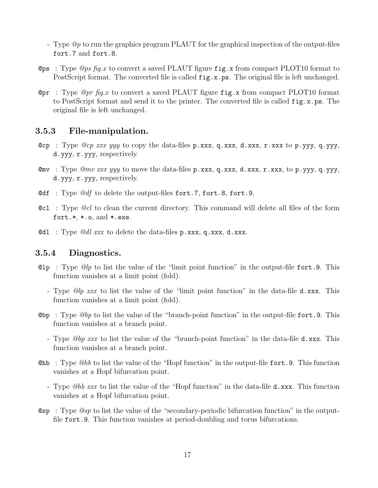- Type  $\mathcal{Q}_p$  to run the graphics program PLAUT for the graphical inspection of the output-files fort.7 and fort.8.
- Ops : Type *Ops fig.x* to convert a saved PLAUT figure  $\text{fig.x}$  from compact PLOT10 format to PostScript format. The converted file is called  $fig.x.p.s.$  The original file is left unchanged.
- **Opr** : Type *Opr* fig.x to convert a saved PLAUT figure fig.x from compact PLOT10 format to PostScript format and send it to the printer. The converted file is called fig.x.ps. The original file is left unchanged.

#### <span id="page-17-0"></span>3.5.3 File-manipulation.

- Cop : Type  $@cp$  xxx yyy to copy the data-files p.xxx, q.xxx, d.xxx, r.xxx to p.yyy, q.yyy, d.yyy, r.yyy, respectively.
- **C**mv : Type *Qmv xxx yyy* to move the data-files  $p.xxx$ ,  $q.xxx$ ,  $d.xxx$ ,  $r.xxx$ , to  $p.yyy$ ,  $q.yyy$ , d.yyy, r.yyy, respectively.
- Odf : Type  $\mathcal{Q}df$  to delete the output-files fort.7, fort.8, fort.9.
- **CCL**: Type *Qcl* to clean the current directory. This command will delete all files of the form fort. $*, *$ .o, and  $*.$ exe.
- $\mathbf{Q} \mathbf{d} \mathbf{1}$  : Type  $\mathbf{Q} \mathbf{d} \mathbf{l}$  xxx to delete the data-files p.xxx, q.xxx, d.xxx.

#### <span id="page-17-1"></span>3.5.4 Diagnostics.

- **Clp** : Type  $Q/p$  to list the value of the "limit point function" in the output-file fort. 9. This function vanishes at a limit point (fold).
	- Type @lp xxx to list the value of the "limit point function" in the data-file d.xxx. This function vanishes at a limit point (fold).
- Out  $\Phi$  : Type  $\mathcal{Q}b$  to list the value of the "branch-point function" in the output-file fort. 9. This function vanishes at a branch point.
	- Type *@bp xxx* to list the value of the "branch-point function" in the data-file d.xxx. This function vanishes at a branch point.
- **Casable :** Type  $Q_{h}$  to list the value of the "Hopf function" in the output-file fort. 9. This function vanishes at a Hopf bifurcation point.
	- Type *@hb xxx* to list the value of the "Hopf function" in the data-file **d**.xxx. This function vanishes at a Hopf bifurcation point.
- **Comet Solut** Type *Qsp* to list the value of the "secondary-periodic bifurcation function" in the outputfile fort.9. This function vanishes at period-doubling and torus bifurcations.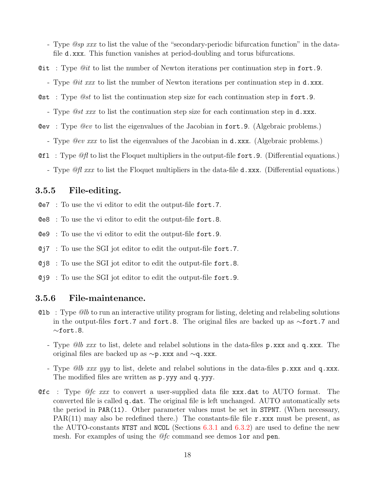- Type *@sp xxx* to list the value of the "secondary-periodic bifurcation function" in the datafile d.xxx. This function vanishes at period-doubling and torus bifurcations.

- Git : Type  $\mathcal{Q}it$  to list the number of Newton iterations per continuation step in fort. 9.
	- Type *@it xxx* to list the number of Newton iterations per continuation step in d.xxx.
- **Cast** : Type  $\mathcal{Q}st$  to list the continuation step size for each continuation step in fort.
	- Type *@st xxx* to list the continuation step size for each continuation step in **d**.xxx.
- **Cev**: Type *Qev* to list the eigenvalues of the Jacobian in fort. 9. (Algebraic problems.)
	- Type *Qev xxx* to list the eigenvalues of the Jacobian in **d.xxx**. (Algebraic problems.)
- **Qfl** : Type  $\mathcal{Q}f$  to list the Floquet multipliers in the output-file fort. 9. (Differential equations.)
	- Type  $\mathcal{Q}f\right|$  xxx to list the Floquet multipliers in the data-file **d**.xxx. (Differential equations.)

#### <span id="page-18-0"></span>3.5.5 File-editing.

- @e7 : To use the vi editor to edit the output-file fort.7.
- @e8 : To use the vi editor to edit the output-file fort.8.
- @e9 : To use the vi editor to edit the output-file fort.9.
- @j7 : To use the SGI jot editor to edit the output-file fort.7.
- @j8 : To use the SGI jot editor to edit the output-file fort.8.
- @j9 : To use the SGI jot editor to edit the output-file fort.9.

#### <span id="page-18-1"></span>3.5.6 File-maintenance.

- $Q1b$ : Type  $Q1b$  to run an interactive utility program for listing, deleting and relabeling solutions in the output-files fort.7 and fort.8. The original files are backed up as ∼fort.7 and ∼fort.8.
	- Type @lb xxx to list, delete and relabel solutions in the data-files p.xxx and q.xxx. The original files are backed up as ∼p.xxx and ∼q.xxx.
	- Type *@lb xxx yyy* to list, delete and relabel solutions in the data-files p.xxx and q.xxx. The modified files are written as p.yyy and q.yyy.
- **Cetice :** Type *Qfc xxx* to convert a user-supplied data file xxx.dat to AUTO format. The converted file is called q.dat. The original file is left unchanged. AUTO automatically sets the period in PAR(11). Other parameter values must be set in STPNT. (When necessary, PAR(11) may also be redefined there.) The constants-file file  $r$ .xxx must be present, as the AUTO-constants NTST and NCOL (Sections  $6.3.1$  and  $6.3.2$ ) are used to define the new mesh. For examples of using the  $@fc$  command see demos lor and pen.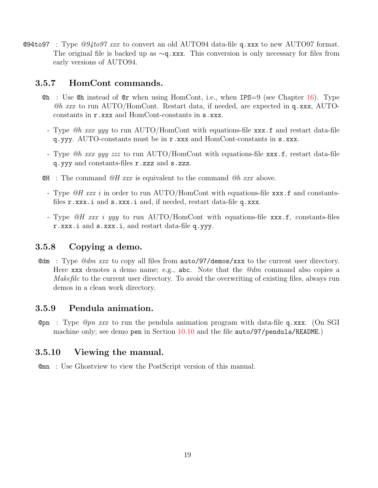**@94to97** : Type  $\mathcal{Q}94t097$  xxx to convert an old AUTO94 data-file q.xxx to new AUTO97 format. The original file is backed up as ∼q.xxx. This conversion is only necessary for files from early versions of AUTO94.

#### <span id="page-19-0"></span>3.5.7 HomCont commands.

- **Ch** : Use Ch instead of Car when using HomCont, i.e., when IPS = 9 (see Chapter [16\)](#page-107-0). Type  $\mathcal{Q}h$  xxx to run AUTO/HomCont. Restart data, if needed, are expected in q.xxx, AUTOconstants in r.xxx and HomCont-constants in s.xxx.
	- Type *@h xxx yyy* to run AUTO/HomCont with equations-file xxx.f and restart data-file q.yyy. AUTO-constants must be in r.xxx and HomCont-constants in s.xxx.
	- Type  $@h$  xxx yyy zzz to run AUTO/HomCont with equations-file xxx.f, restart data-file q.yyy and constants-files r.zzz and s.zzz.
- $\mathfrak{R}$  : The command  $\mathfrak{Q}H$  xxx is equivalent to the command  $\mathfrak{Q}h$  xxx above.
	- Type  $\mathscr{Q}H$  xxx i in order to run AUTO/HomCont with equations-file xxx.f and constantsfiles r.xxx.i and s.xxx.i and, if needed, restart data-file q.xxx.
	- Type  $\mathscr{Q}H$  xxx i yyy to run AUTO/HomCont with equations-file xxx.f, constants-files r.xxx.i and s.xxx.i, and restart data-file q.yyy.

### <span id="page-19-1"></span>3.5.8 Copying a demo.

**@dm** : Type  $\mathcal{Q}dm$  xxx to copy all files from **auto/97/demos/xxx** to the current user directory. Here xxx denotes a demo name; e.g., abc. Note that the  $\mathcal{Q}dm$  command also copies a Makefile to the current user directory. To avoid the overwriting of existing files, always run demos in a clean work directory.

### <span id="page-19-2"></span>3.5.9 Pendula animation.

Opn : Type *Opn xxx* to run the pendula animation program with data-file q.xxx. (On SGI machine only; see demo pen in Section [10.10](#page-70-0) and the file auto/97/pendula/README.)

## <span id="page-19-3"></span>3.5.10 Viewing the manual.

@mn : Use Ghostview to view the PostScript version of this manual.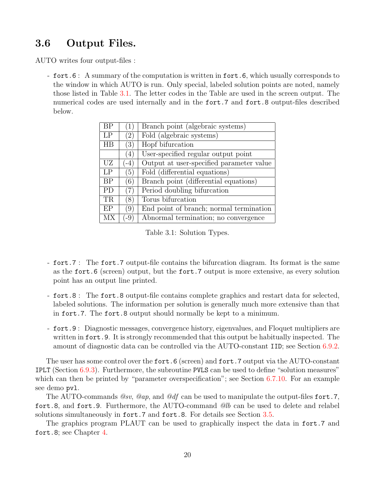# <span id="page-20-0"></span>3.6 Output Files.

AUTO writes four output-files :

- fort.6 : A summary of the computation is written in fort.6, which usually corresponds to the window in which AUTO is run. Only special, labeled solution points are noted, namely those listed in Table [3.1](#page-20-1). The letter codes in the Table are used in the screen output. The numerical codes are used internally and in the fort.7 and fort.8 output-files described below.

| ΒP             |                    | Branch point (algebraic systems)         |
|----------------|--------------------|------------------------------------------|
| LP             | (2)                | Fold (algebraic systems)                 |
| HB             | (3)                | Hopf bifurcation                         |
|                | (4)                | User-specified regular output point      |
| UZ             | $\left( -4\right)$ | Output at user-specified parameter value |
| L <sub>P</sub> | (5)                | Fold (differential equations)            |
| <b>BP</b>      | (6)                | Branch point (differential equations)    |
| PD             | 7                  | Period doubling bifurcation              |
| TR             | (8)                | Torus bifurcation                        |
| EP             | $\left( 9\right)$  | End point of branch; normal termination  |
| <b>MX</b>      | $-9$               | Abnormal termination; no convergence     |

<span id="page-20-1"></span>Table 3.1: Solution Types.

- fort.7 : The fort.7 output-file contains the bifurcation diagram. Its format is the same as the fort.6 (screen) output, but the fort.7 output is more extensive, as every solution point has an output line printed.
- fort.8 : The fort.8 output-file contains complete graphics and restart data for selected, labeled solutions. The information per solution is generally much more extensive than that in fort.7. The fort.8 output should normally be kept to a minimum.
- fort.9 : Diagnostic messages, convergence history, eigenvalues, and Floquet multipliers are written in fort. 9. It is strongly recommended that this output be habitually inspected. The amount of diagnostic data can be controlled via the AUTO-constant IID; see Section [6.9.2](#page-40-2).

The user has some control over the fort. 6 (screen) and fort. 7 output via the AUTO-constant IPLT (Section [6.9.3](#page-41-0)). Furthermore, the subroutine PVLS can be used to define "solution measures" which can then be printed by "parameter overspecification"; see Section [6.7.10.](#page-36-1) For an example see demo pvl.

The AUTO-commands  $@sv$ ,  $@ap$ , and  $@df$  can be used to manipulate the output-files fort.7, fort.8, and fort.9. Furthermore, the AUTO-command @lb can be used to delete and relabel solutions simultaneously in fort.7 and fort.8. For details see Section [3.5.](#page-16-1)

The graphics program PLAUT can be used to graphically inspect the data in fort.7 and fort.8; see Chapter [4](#page-21-0).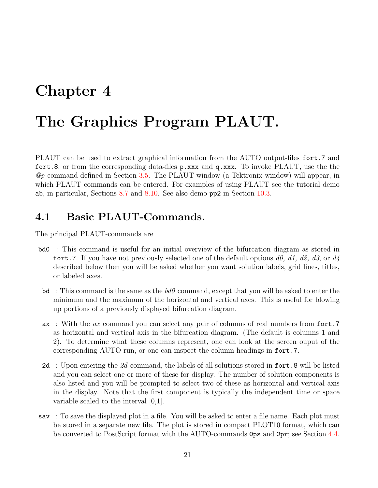# <span id="page-21-0"></span>Chapter 4

# The Graphics Program PLAUT.

PLAUT can be used to extract graphical information from the AUTO output-files fort.7 and fort.8, or from the corresponding data-files p.xxx and q.xxx. To invoke PLAUT, use the the  $\mathcal{Q}_p$  command defined in Section [3.5](#page-16-1). The PLAUT window (a Tektronix window) will appear, in which PLAUT commands can be entered. For examples of using PLAUT see the tutorial demo ab, in particular, Sections [8.7](#page-50-0) and [8.10](#page-50-3). See also demo pp2 in Section [10.3](#page-61-0).

## <span id="page-21-1"></span>4.1 Basic PLAUT-Commands.

The principal PLAUT-commands are

- bd0 : This command is useful for an initial overview of the bifurcation diagram as stored in fort.7. If you have not previously selected one of the default options d0, d1, d2, d3, or d4 described below then you will be asked whether you want solution labels, grid lines, titles, or labeled axes.
- $\mathbf{b}d$ : This command is the same as the  $\mathbf{b}d\mathbf{0}$  command, except that you will be asked to enter the minimum and the maximum of the horizontal and vertical axes. This is useful for blowing up portions of a previously displayed bifurcation diagram.
- ax: With the ax command you can select any pair of columns of real numbers from fort.7 as horizontal and vertical axis in the bifurcation diagram. (The default is columns 1 and 2). To determine what these columns represent, one can look at the screen ouput of the corresponding AUTO run, or one can inspect the column headings in fort.7.
- 2d: Upon entering the 2d command, the labels of all solutions stored in fort.8 will be listed and you can select one or more of these for display. The number of solution components is also listed and you will be prompted to select two of these as horizontal and vertical axis in the display. Note that the first component is typically the independent time or space variable scaled to the interval [0,1].
- sav : To save the displayed plot in a file. You will be asked to enter a file name. Each plot must be stored in a separate new file. The plot is stored in compact PLOT10 format, which can be converted to PostScript format with the AUTO-commands @ps and @pr; see Section [4.4](#page-23-1).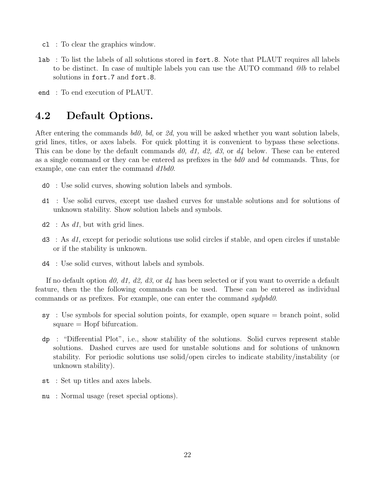- cl : To clear the graphics window.
- lab : To list the labels of all solutions stored in fort.8. Note that PLAUT requires all labels to be distinct. In case of multiple labels you can use the AUTO command @lb to relabel solutions in fort.7 and fort.8.
- end : To end execution of PLAUT.

## <span id="page-22-0"></span>4.2 Default Options.

After entering the commands  $\textit{bd0}$ ,  $\textit{bd}$ , or  $\textit{2d}$ , you will be asked whether you want solution labels, grid lines, titles, or axes labels. For quick plotting it is convenient to bypass these selections. This can be done by the default commands d0, d1, d2, d3, or  $d_4$  below. These can be entered as a single command or they can be entered as prefixes in the  $b d\theta$  and  $b d$  commands. Thus, for example, one can enter the command  $d1bd0$ .

- d0 : Use solid curves, showing solution labels and symbols.
- d1 : Use solid curves, except use dashed curves for unstable solutions and for solutions of unknown stability. Show solution labels and symbols.
- $d2$ : As d1, but with grid lines.
- $d3$ : As  $d1$ , except for periodic solutions use solid circles if stable, and open circles if unstable or if the stability is unknown.
- d4 : Use solid curves, without labels and symbols.

If no default option d0, d1, d2, d3, or d4 has been selected or if you want to override a default feature, then the the following commands can be used. These can be entered as individual commands or as prefixes. For example, one can enter the command sydpbd0.

- sy : Use symbols for special solution points, for example, open square = branch point, solid square = Hopf bifurcation.
- dp : "Differential Plot", i.e., show stability of the solutions. Solid curves represent stable solutions. Dashed curves are used for unstable solutions and for solutions of unknown stability. For periodic solutions use solid/open circles to indicate stability/instability (or unknown stability).
- st : Set up titles and axes labels.
- nu : Normal usage (reset special options).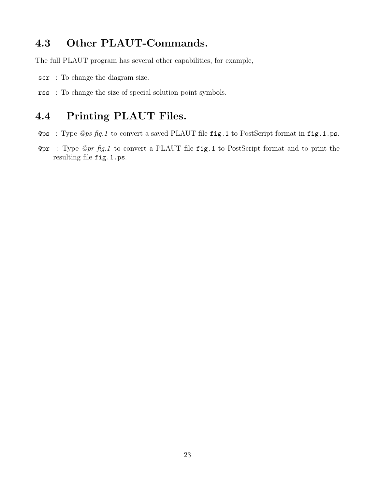# <span id="page-23-0"></span>4.3 Other PLAUT-Commands.

The full PLAUT program has several other capabilities, for example,

- scr : To change the diagram size.
- rss : To change the size of special solution point symbols.

# <span id="page-23-1"></span>4.4 Printing PLAUT Files.

- Ops : Type  $\mathcal{Q}ps$  fig.1 to convert a saved PLAUT file fig.1 to PostScript format in fig.1.ps.
- **@pr** : Type  $\mathcal{Q}pr$  fig.1 to convert a PLAUT file fig.1 to PostScript format and to print the resulting file fig.1.ps.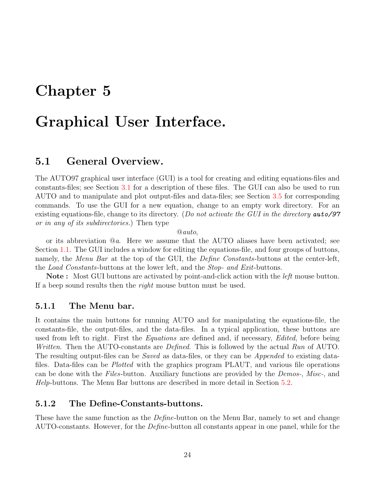# <span id="page-24-0"></span>Chapter 5

# Graphical User Interface.

## <span id="page-24-1"></span>5.1 General Overview.

The AUTO97 graphical user interface (GUI) is a tool for creating and editing equations-files and constants-files; see Section [3.1](#page-14-1) for a description of these files. The GUI can also be used to run AUTO and to manipulate and plot output-files and data-files; see Section [3.5](#page-16-1) for corresponding commands. To use the GUI for a new equation, change to an empty work directory. For an existing equations-file, change to its directory. (Do not activate the GUI in the directory **auto/97** or in any of its subdirectories.) Then type

 $@auto,$ 

or its abbreviation @a. Here we assume that the AUTO aliases have been activated; see Section [1.1](#page-8-1). The GUI includes a window for editing the equations-file, and four groups of buttons, namely, the Menu Bar at the top of the GUI, the Define Constants-buttons at the center-left, the Load Constants-buttons at the lower left, and the Stop- and Exit-buttons.

Note: Most GUI buttons are activated by point-and-click action with the *left* mouse button. If a beep sound results then the *right* mouse button must be used.

#### <span id="page-24-2"></span>5.1.1 The Menu bar.

It contains the main buttons for running AUTO and for manipulating the equations-file, the constants-file, the output-files, and the data-files. In a typical application, these buttons are used from left to right. First the *Equations* are defined and, if necessary, *Edited*, before being Written. Then the AUTO-constants are *Defined*. This is followed by the actual Run of AUTO. The resulting output-files can be *Saved* as data-files, or they can be *Appended* to existing datafiles. Data-files can be *Plotted* with the graphics program PLAUT, and various file operations can be done with the Files-button. Auxiliary functions are provided by the Demos-, Misc-, and Help-buttons. The Menu Bar buttons are described in more detail in Section [5.2.](#page-25-2)

#### <span id="page-24-3"></span>5.1.2 The Define-Constants-buttons.

These have the same function as the *Define*-button on the Menu Bar, namely to set and change AUTO-constants. However, for the *Define*-button all constants appear in one panel, while for the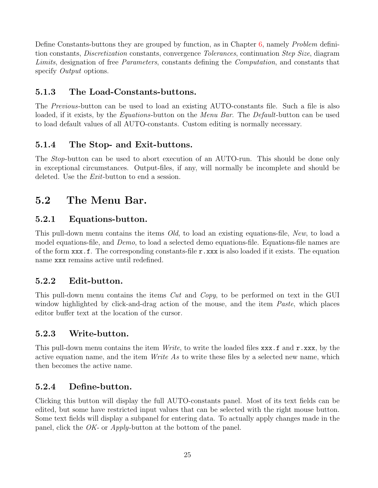Define Constants-buttons they are grouped by function, as in Chapter [6,](#page-29-0) namely *Problem* definition constants, Discretization constants, convergence Tolerances, continuation Step Size, diagram Limits, designation of free *Parameters*, constants defining the *Computation*, and constants that specify *Output* options.

## <span id="page-25-0"></span>5.1.3 The Load-Constants-buttons.

The Previous-button can be used to load an existing AUTO-constants file. Such a file is also loaded, if it exists, by the *Equations*-button on the *Menu Bar*. The *Default*-button can be used to load default values of all AUTO-constants. Custom editing is normally necessary.

## <span id="page-25-1"></span>5.1.4 The Stop- and Exit-buttons.

The Stop-button can be used to abort execution of an AUTO-run. This should be done only in exceptional circumstances. Output-files, if any, will normally be incomplete and should be deleted. Use the *Exit*-button to end a session.

# <span id="page-25-2"></span>5.2 The Menu Bar.

## <span id="page-25-3"></span>5.2.1 Equations-button.

This pull-down menu contains the items *Old*, to load an existing equations-file, New, to load a model equations-file, and Demo, to load a selected demo equations-file. Equations-file names are of the form  $\mathbf{x}\mathbf{x}\mathbf{x}$ . The corresponding constants-file  $\mathbf{r} \cdot \mathbf{x}\mathbf{x}\mathbf{x}$  is also loaded if it exists. The equation name xxx remains active until redefined.

## <span id="page-25-4"></span>5.2.2 Edit-button.

This pull-down menu contains the items Cut and Copy, to be performed on text in the GUI window highlighted by click-and-drag action of the mouse, and the item *Paste*, which places editor buffer text at the location of the cursor.

## <span id="page-25-5"></span>5.2.3 Write-button.

This pull-down menu contains the item  $Write$ , to write the loaded files  $xxx.f$  and  $r$ .xxx, by the active equation name, and the item *Write As* to write these files by a selected new name, which then becomes the active name.

## <span id="page-25-6"></span>5.2.4 Define-button.

Clicking this button will display the full AUTO-constants panel. Most of its text fields can be edited, but some have restricted input values that can be selected with the right mouse button. Some text fields will display a subpanel for entering data. To actually apply changes made in the panel, click the OK- or Apply-button at the bottom of the panel.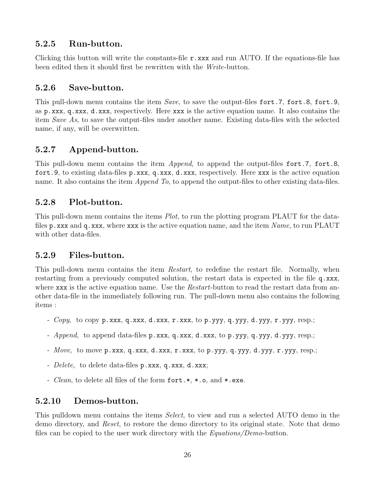## <span id="page-26-0"></span>5.2.5 Run-button.

Clicking this button will write the constants-file r.xxx and run AUTO. If the equations-file has been edited then it should first be rewritten with the Write-button.

## <span id="page-26-1"></span>5.2.6 Save-button.

This pull-down menu contains the item Save, to save the output-files fort.7, fort.8, fort.9, as p.xxx, q.xxx, d.xxx, respectively. Here xxx is the active equation name. It also contains the item Save As, to save the output-files under another name. Existing data-files with the selected name, if any, will be overwritten.

## <span id="page-26-2"></span>5.2.7 Append-button.

This pull-down menu contains the item *Append*, to append the output-files fort.7, fort.8, fort.9, to existing data-files p.xxx, q.xxx, d.xxx, respectively. Here xxx is the active equation name. It also contains the item *Append To*, to append the output-files to other existing data-files.

## <span id="page-26-3"></span>5.2.8 Plot-button.

This pull-down menu contains the items *Plot*, to run the plotting program PLAUT for the datafiles  $p.xxx$  and  $q.xxx$ , where  $xxx$  is the active equation name, and the item Name, to run PLAUT with other data-files.

## <span id="page-26-4"></span>5.2.9 Files-button.

This pull-down menu contains the item Restart, to redefine the restart file. Normally, when restarting from a previously computed solution, the restart data is expected in the file q.xxx, where xxx is the active equation name. Use the *Restart*-button to read the restart data from another data-file in the immediately following run. The pull-down menu also contains the following items :

- $Copy, to copy p.xxx, q.xxx, d.xxx, r.xxx, to p.yyy, q.yyy, d.yyy, r.yyy, resp.;$
- *Append*, to append data-files p.xxx, q.xxx, d.xxx, to p.yyy, q.yyy, d.yyy, resp.;
- Move, to move p.xxx, q.xxx, d.xxx, r.xxx, to p.yyy, q.yyy, d.yyy, r.yyy, resp.;
- *Delete*, to delete data-files p.xxx, q.xxx, d.xxx;
- *Clean*, to delete all files of the form fort.\*, \*.o, and \*.exe.

## <span id="page-26-5"></span>5.2.10 Demos-button.

This pulldown menu contains the items Select, to view and run a selected AUTO demo in the demo directory, and Reset, to restore the demo directory to its original state. Note that demo files can be copied to the user work directory with the *Equations/Demo-button*.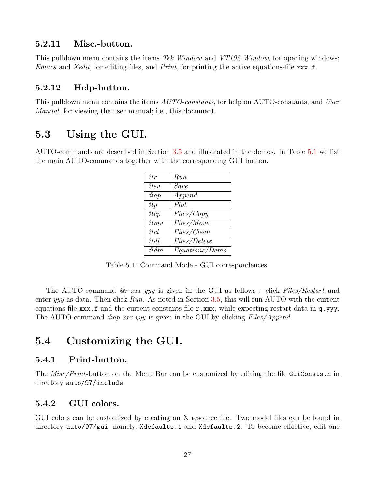#### <span id="page-27-0"></span>5.2.11 Misc.-button.

This pulldown menu contains the items Tek Window and VT102 Window, for opening windows; *Emacs* and *Xedit*, for editing files, and *Print*, for printing the active equations-file  $\mathbf{x}\mathbf{x}\mathbf{x}$ .f.

#### <span id="page-27-1"></span>5.2.12 Help-button.

This pulldown menu contains the items  $AUTO$ -constants, for help on AUTO-constants, and User Manual, for viewing the user manual; i.e., this document.

# <span id="page-27-2"></span>5.3 Using the GUI.

AUTO-commands are described in Section [3.5](#page-16-1) and illustrated in the demos. In Table [5.1](#page-27-6) we list the main AUTO-commands together with the corresponding GUI button.

| @r                         | Run            |
|----------------------------|----------------|
| $\overline{\mathscr{Q}}sv$ | Save           |
| @ap                        | Append         |
| @p                         | Plot           |
| @cp                        | Files/Copy     |
| @mv                        | Files/Move     |
| @cl                        | Files/Clean    |
| @dl                        | Files/Delete   |
| @dm                        | Equations/Demo |

<span id="page-27-6"></span>Table 5.1: Command Mode - GUI correspondences.

The AUTO-command *@r xxx yyy* is given in the GUI as follows : click Files/Restart and enter yyy as data. Then click Run. As noted in Section [3.5,](#page-16-1) this will run AUTO with the current equations-file  $\mathbf{x} \times \mathbf{x}$ . f and the current constants-file  $\mathbf{r} \cdot \mathbf{x} \times \mathbf{x}$ , while expecting restart data in q.yyy. The AUTO-command *@ap xxx yyy* is given in the GUI by clicking *Files/Append*.

# <span id="page-27-3"></span>5.4 Customizing the GUI.

### <span id="page-27-4"></span>5.4.1 Print-button.

The *Misc*/*Print*-button on the Menu Bar can be customized by editing the file GuiConsts.h in directory auto/97/include.

### <span id="page-27-5"></span>5.4.2 GUI colors.

GUI colors can be customized by creating an X resource file. Two model files can be found in directory auto/97/gui, namely, Xdefaults.1 and Xdefaults.2. To become effective, edit one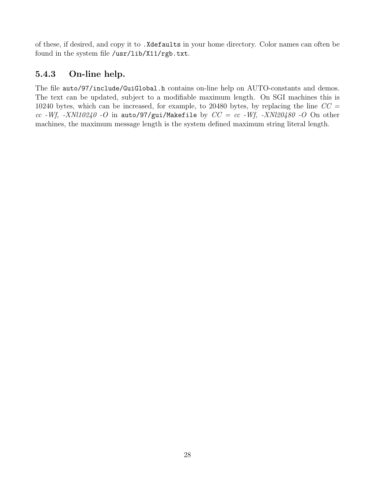of these, if desired, and copy it to .Xdefaults in your home directory. Color names can often be found in the system file /usr/lib/X11/rgb.txt.

## <span id="page-28-0"></span>5.4.3 On-line help.

The file auto/97/include/GuiGlobal.h contains on-line help on AUTO-constants and demos. The text can be updated, subject to a modifiable maximum length. On SGI machines this is 10240 bytes, which can be increased, for example, to 20480 bytes, by replacing the line  $CC =$ cc -Wf, -XNl10240 -O in auto/97/gui/Makefile by  $CC = cc$  -Wf, -XNl20480 -O On other machines, the maximum message length is the system defined maximum string literal length.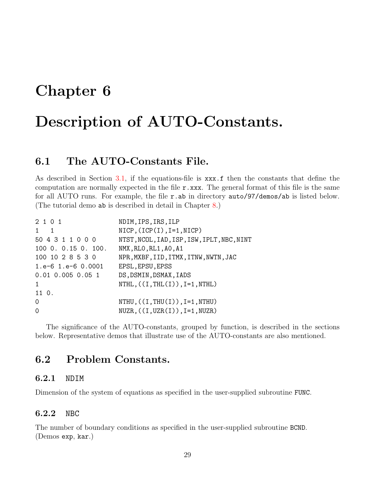# <span id="page-29-0"></span>Chapter 6

# Description of AUTO-Constants.

# <span id="page-29-1"></span>6.1 The AUTO-Constants File.

As described in Section [3.1](#page-14-1), if the equations-file is xxx.f then the constants that define the computation are normally expected in the file  $r.\text{xxx}$ . The general format of this file is the same for all AUTO runs. For example, the file r.ab in directory auto/97/demos/ab is listed below. (The tutorial demo ab is described in detail in Chapter [8](#page-45-0).)

| 2 1 0 1                  | NDIM, IPS, IRS, ILP                        |
|--------------------------|--------------------------------------------|
| $1 \quad 1$              | $NICP, (ICP(I), I=1, NICP)$                |
| 50 4 3 1 1 0 0 0         | NTST, NCOL, IAD, ISP, ISW, IPLT, NBC, NINT |
| 1000.0.150.100.          | NMX, RLO, RL1, AO, A1                      |
| 100 10 2 8 5 3 0         | NPR, MXBF, IID, ITMX, ITNW, NWTN, JAC      |
| $1.e-6$ $1.e-6$ $0.0001$ | EPSL, EPSU, EPSS                           |
| $0.01$ 0.005 0.05 1      | DS, DSMIN, DSMAX, IADS                     |
| $\mathbf{1}$             | $NTHL$ , $((I, THL(I)), I=1, NTHL)$        |
| 11 0.                    |                                            |
| $\Omega$                 | $NTHU$ , $((I, THU(I)), I=1, NTHU)$        |
| $\Omega$                 | $NUZR, ((I, UZR(I)), I=1, NUZR)$           |
|                          |                                            |

The significance of the AUTO-constants, grouped by function, is described in the sections below. Representative demos that illustrate use of the AUTO-constants are also mentioned.

## <span id="page-29-2"></span>6.2 Problem Constants.

#### <span id="page-29-3"></span>6.2.1 NDIM

Dimension of the system of equations as specified in the user-supplied subroutine FUNC.

#### <span id="page-29-4"></span>6.2.2 NBC

The number of boundary conditions as specified in the user-supplied subroutine BCND. (Demos exp, kar.)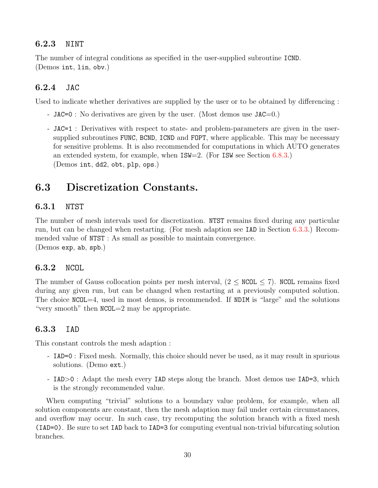#### <span id="page-30-0"></span>6.2.3 NINT

The number of integral conditions as specified in the user-supplied subroutine ICND. (Demos int, lin, obv.)

#### <span id="page-30-1"></span>6.2.4 JAC

Used to indicate whether derivatives are supplied by the user or to be obtained by differencing :

- JAC=0 : No derivatives are given by the user. (Most demos use JAC=0.)
- JAC=1 : Derivatives with respect to state- and problem-parameters are given in the usersupplied subroutines FUNC, BCND, ICND and FOPT, where applicable. This may be necessary for sensitive problems. It is also recommended for computations in which AUTO generates an extended system, for example, when ISW=2. (For ISW see Section [6.8.3.](#page-37-3)) (Demos int, dd2, obt, plp, ops.)

# <span id="page-30-2"></span>6.3 Discretization Constants.

#### <span id="page-30-3"></span>6.3.1 NTST

The number of mesh intervals used for discretization. NTST remains fixed during any particular run, but can be changed when restarting. (For mesh adaption see IAD in Section [6.3.3.](#page-30-5)) Recommended value of NTST : As small as possible to maintain convergence. (Demos exp, ab, spb.)

#### <span id="page-30-4"></span>6.3.2 NCOL

The number of Gauss collocation points per mesh interval,  $(2 \leq NCOL \leq 7)$ . NCOL remains fixed during any given run, but can be changed when restarting at a previously computed solution. The choice NCOL=4, used in most demos, is recommended. If NDIM is "large" and the solutions "very smooth" then NCOL=2 may be appropriate.

#### <span id="page-30-5"></span>6.3.3 IAD

This constant controls the mesh adaption :

- IAD=0 : Fixed mesh. Normally, this choice should never be used, as it may result in spurious solutions. (Demo ext.)
- IAD>0 : Adapt the mesh every IAD steps along the branch. Most demos use IAD=3, which is the strongly recommended value.

When computing "trivial" solutions to a boundary value problem, for example, when all solution components are constant, then the mesh adaption may fail under certain circumstances, and overflow may occur. In such case, try recomputing the solution branch with a fixed mesh (IAD=0). Be sure to set IAD back to IAD=3 for computing eventual non-trivial bifurcating solution branches.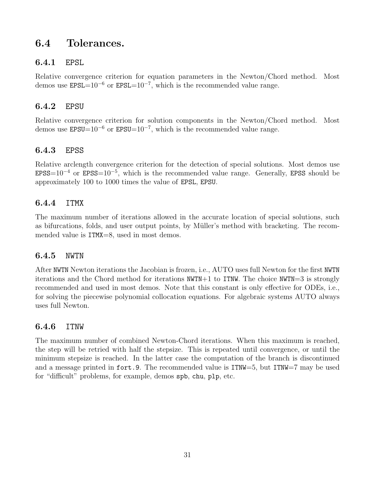# <span id="page-31-0"></span>6.4 Tolerances.

### <span id="page-31-1"></span>6.4.1 EPSL

Relative convergence criterion for equation parameters in the Newton/Chord method. Most demos use  $EPSL=10^{-6}$  or  $EPSL=10^{-7}$ , which is the recommended value range.

### <span id="page-31-2"></span>6.4.2 EPSU

Relative convergence criterion for solution components in the Newton/Chord method. Most demos use  $EPSU=10^{-6}$  or  $EPSU=10^{-7}$ , which is the recommended value range.

## <span id="page-31-3"></span>6.4.3 EPSS

Relative arclength convergence criterion for the detection of special solutions. Most demos use  $EPSS=10^{-4}$  or  $EPSS=10^{-5}$ , which is the recommended value range. Generally, EPSS should be approximately 100 to 1000 times the value of EPSL, EPSU.

## <span id="page-31-4"></span>6.4.4 ITMX

The maximum number of iterations allowed in the accurate location of special solutions, such as bifurcations, folds, and user output points, by Müller's method with bracketing. The recommended value is  $ITMX=8$ , used in most demos.

### <span id="page-31-5"></span>6.4.5 NWTN

After NWTN Newton iterations the Jacobian is frozen, i.e., AUTO uses full Newton for the first NWTN iterations and the Chord method for iterations NWTN+1 to ITNW. The choice NWTN=3 is strongly recommended and used in most demos. Note that this constant is only effective for ODEs, i.e., for solving the piecewise polynomial collocation equations. For algebraic systems AUTO always uses full Newton.

### <span id="page-31-6"></span>6.4.6 ITNW

The maximum number of combined Newton-Chord iterations. When this maximum is reached, the step will be retried with half the stepsize. This is repeated until convergence, or until the minimum stepsize is reached. In the latter case the computation of the branch is discontinued and a message printed in fort.9. The recommended value is ITNW=5, but ITNW=7 may be used for "difficult" problems, for example, demos spb, chu, plp, etc.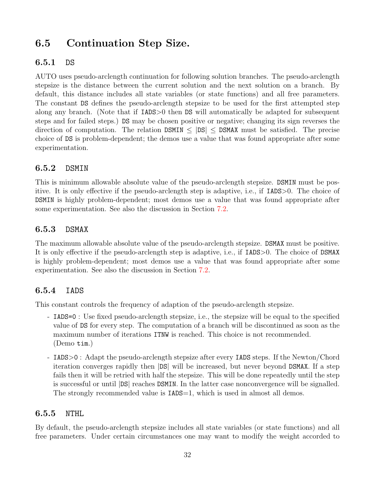# <span id="page-32-0"></span>6.5 Continuation Step Size.

### <span id="page-32-1"></span>6.5.1 DS

AUTO uses pseudo-arclength continuation for following solution branches. The pseudo-arclength stepsize is the distance between the current solution and the next solution on a branch. By default, this distance includes all state variables (or state functions) and all free parameters. The constant DS defines the pseudo-arclength stepsize to be used for the first attempted step along any branch. (Note that if IADS>0 then DS will automatically be adapted for subsequent steps and for failed steps.) DS may be chosen positive or negative; changing its sign reverses the direction of computation. The relation  $DSMIN \leq |DS| \leq DSMAX$  must be satisfied. The precise choice of DS is problem-dependent; the demos use a value that was found appropriate after some experimentation.

### <span id="page-32-2"></span>6.5.2 DSMIN

This is minimum allowable absolute value of the pseudo-arclength stepsize. DSMIN must be positive. It is only effective if the pseudo-arclength step is adaptive, i.e., if IADS>0. The choice of DSMIN is highly problem-dependent; most demos use a value that was found appropriate after some experimentation. See also the discussion in Section [7.2.](#page-42-2)

### <span id="page-32-3"></span>6.5.3 DSMAX

The maximum allowable absolute value of the pseudo-arclength stepsize. DSMAX must be positive. It is only effective if the pseudo-arclength step is adaptive, i.e., if IADS>0. The choice of DSMAX is highly problem-dependent; most demos use a value that was found appropriate after some experimentation. See also the discussion in Section [7.2](#page-42-2).

## <span id="page-32-4"></span>6.5.4 IADS

This constant controls the frequency of adaption of the pseudo-arclength stepsize.

- IADS=0 : Use fixed pseudo-arclength stepsize, i.e., the stepsize will be equal to the specified value of DS for every step. The computation of a branch will be discontinued as soon as the maximum number of iterations ITNW is reached. This choice is not recommended. (Demo tim.)
- IADS>0 : Adapt the pseudo-arclength stepsize after every IADS steps. If the Newton/Chord iteration converges rapidly then |DS| will be increased, but never beyond DSMAX. If a step fails then it will be retried with half the stepsize. This will be done repeatedly until the step is successful or until |DS| reaches DSMIN. In the latter case nonconvergence will be signalled. The strongly recommended value is  $IADS=1$ , which is used in almost all demos.

### <span id="page-32-5"></span>6.5.5 NTHL

By default, the pseudo-arclength stepsize includes all state variables (or state functions) and all free parameters. Under certain circumstances one may want to modify the weight accorded to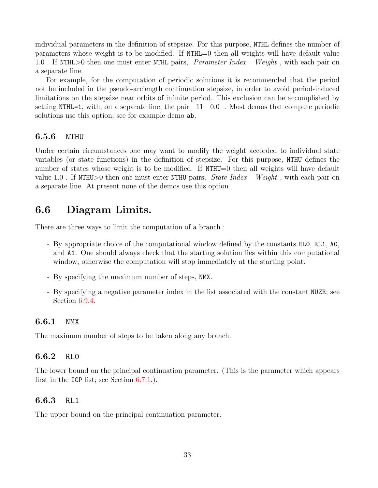individual parameters in the definition of stepsize. For this purpose, NTHL defines the number of parameters whose weight is to be modified. If NTHL=0 then all weights will have default value 1.0 If NTHL>0 then one must enter NTHL pairs, *Parameter Index* Weight, with each pair on a separate line.

For example, for the computation of periodic solutions it is recommended that the period not be included in the pseudo-arclength continuation stepsize, in order to avoid period-induced limitations on the stepsize near orbits of infinite period. This exclusion can be accomplished by setting NTHL=1, with, on a separate line, the pair 11 0.0 . Most demos that compute periodic solutions use this option; see for example demo ab.

#### <span id="page-33-0"></span>6.5.6 NTHU

Under certain circumstances one may want to modify the weight accorded to individual state variables (or state functions) in the definition of stepsize. For this purpose, NTHU defines the number of states whose weight is to be modified. If NTHU=0 then all weights will have default value 1.0. If NTHU $>0$  then one must enter NTHU pairs, *State Index Weight*, with each pair on a separate line. At present none of the demos use this option.

## <span id="page-33-1"></span>6.6 Diagram Limits.

There are three ways to limit the computation of a branch :

- By appropriate choice of the computational window defined by the constants RL0, RL1, A0, and A1. One should always check that the starting solution lies within this computational window, otherwise the computation will stop immediately at the starting point.
- By specifying the maximum number of steps, NMX.
- By specifying a negative parameter index in the list associated with the constant NUZR; see Section [6.9.4](#page-41-1).

#### <span id="page-33-2"></span>6.6.1 NMX

The maximum number of steps to be taken along any branch.

#### <span id="page-33-3"></span>6.6.2 RL0

The lower bound on the principal continuation parameter. (This is the parameter which appears first in the ICP list; see Section  $6.7.1$ .

#### <span id="page-33-4"></span>6.6.3 RL1

The upper bound on the principal continuation parameter.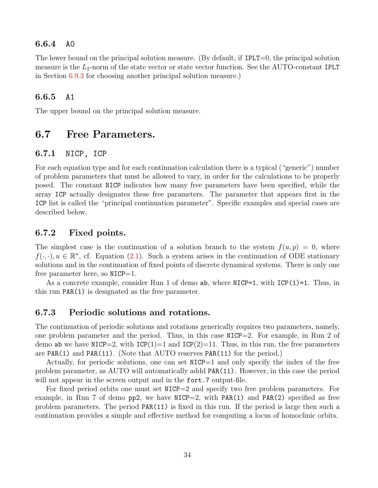#### <span id="page-34-0"></span>6.6.4 A0

The lower bound on the principal solution measure. (By default, if IPLT=0, the principal solution measure is the  $L_2$ -norm of the state vector or state vector function. See the AUTO-constant IPLT in Section [6.9.3](#page-41-0) for choosing another principal solution measure.)

#### <span id="page-34-1"></span>6.6.5 A1

The upper bound on the principal solution measure.

## <span id="page-34-2"></span>6.7 Free Parameters.

#### <span id="page-34-3"></span>6.7.1 NICP, ICP

For each equation type and for each continuation calculation there is a typical ("generic") number of problem parameters that must be allowed to vary, in order for the calculations to be properly posed. The constant NICP indicates how many free parameters have been specified, while the array ICP actually designates these free parameters. The parameter that appears first in the ICP list is called the "principal continuation parameter". Specific examples and special cases are described below.

#### <span id="page-34-4"></span>6.7.2 Fixed points.

The simplest case is the continuation of a solution branch to the system  $f(u, p) = 0$ , where  $f(\cdot, \cdot), u \in \mathbb{R}^n$ , cf. Equation [\(2.1](#page-10-3)). Such a system arises in the continuation of ODE stationary solutions and in the continuation of fixed points of discrete dynamical systems. There is only one free parameter here, so  $NICP=1$ .

As a concrete example, consider Run 1 of demo ab, where  $NICP=1$ , with  $ICP(1)=1$ . Thus, in this run PAR(1) is designated as the free parameter.

#### <span id="page-34-5"></span>6.7.3 Periodic solutions and rotations.

The continuation of periodic solutions and rotations generically requires two parameters, namely, one problem parameter and the period. Thus, in this case  $MCP=2$ . For example, in Run 2 of demo ab we have NICP=2, with  $ICP(1)=1$  and  $ICP(2)=11$ . Thus, in this run, the free parameters are PAR(1) and PAR(11). (Note that AUTO reserves PAR(11) for the period.)

Actually, for periodic solutions, one can set NICP=1 and only specify the index of the free problem parameter, as AUTO will automatically addd PAR(11). However, in this case the period will not appear in the screen output and in the fort. 7 output-file.

For fixed period orbits one must set NICP=2 and specify two free problem parameters. For example, in Run 7 of demo  $pp2$ , we have NICP=2, with PAR(1) and PAR(2) specified as free problem parameters. The period PAR(11) is fixed in this run. If the period is large then such a continuation provides a simple and effective method for computing a locus of homoclinic orbits.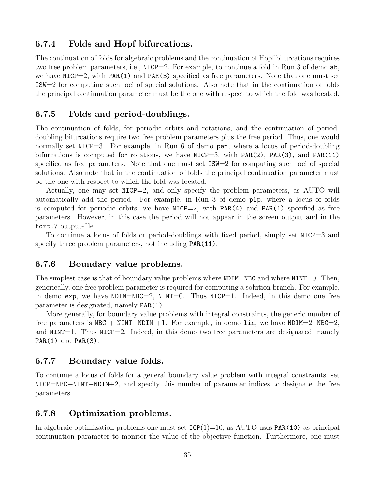#### <span id="page-35-0"></span>6.7.4 Folds and Hopf bifurcations.

The continuation of folds for algebraic problems and the continuation of Hopf bifurcations requires two free problem parameters, i.e., NICP=2. For example, to continue a fold in Run 3 of demo ab, we have  $NICP=2$ , with PAR(1) and PAR(3) specified as free parameters. Note that one must set ISW=2 for computing such loci of special solutions. Also note that in the continuation of folds the principal continuation parameter must be the one with respect to which the fold was located.

#### <span id="page-35-1"></span>6.7.5 Folds and period-doublings.

The continuation of folds, for periodic orbits and rotations, and the continuation of perioddoubling bifurcations require two free problem parameters plus the free period. Thus, one would normally set NICP=3. For example, in Run 6 of demo pen, where a locus of period-doubling bifurcations is computed for rotations, we have  $NICP=3$ , with PAR(2), PAR(3), and PAR(11) specified as free parameters. Note that one must set ISW=2 for computing such loci of special solutions. Also note that in the continuation of folds the principal continuation parameter must be the one with respect to which the fold was located.

Actually, one may set NICP=2, and only specify the problem parameters, as AUTO will automatically add the period. For example, in Run 3 of demo plp, where a locus of folds is computed for periodic orbits, we have  $NICP=2$ , with PAR(4) and PAR(1) specified as free parameters. However, in this case the period will not appear in the screen output and in the fort.7 output-file.

To continue a locus of folds or period-doublings with fixed period, simply set NICP=3 and specify three problem parameters, not including  $PAR(11)$ .

#### <span id="page-35-2"></span>6.7.6 Boundary value problems.

The simplest case is that of boundary value problems where NDIM=NBC and where NINT=0. Then, generically, one free problem parameter is required for computing a solution branch. For example, in demo exp, we have  $NDIM=NEC=2$ ,  $NINT=0$ . Thus  $NICP=1$ . Indeed, in this demo one free parameter is designated, namely PAR(1).

More generally, for boundary value problems with integral constraints, the generic number of free parameters is NBC + NINT−NDIM +1. For example, in demo lin, we have NDIM=2, NBC=2, and NINT=1. Thus NICP=2. Indeed, in this demo two free parameters are designated, namely  $PAR(1)$  and  $PAR(3)$ .

#### <span id="page-35-3"></span>6.7.7 Boundary value folds.

To continue a locus of folds for a general boundary value problem with integral constraints, set NICP=NBC+NINT−NDIM+2, and specify this number of parameter indices to designate the free parameters.

#### <span id="page-35-4"></span>6.7.8 Optimization problems.

In algebraic optimization problems one must set  $\text{ICP}(1)=10$ , as AUTO uses PAR(10) as principal continuation parameter to monitor the value of the objective function. Furthermore, one must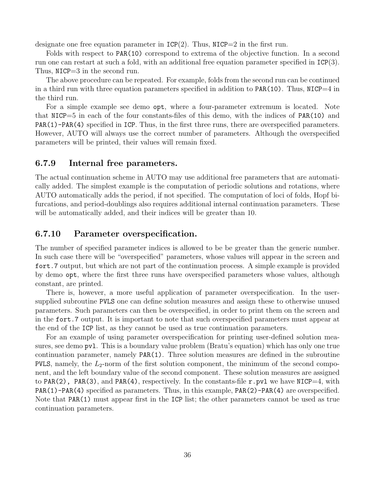designate one free equation parameter in  $\text{ICP}(2)$ . Thus,  $\text{NICP}=2$  in the first run.

Folds with respect to PAR(10) correspond to extrema of the objective function. In a second run one can restart at such a fold, with an additional free equation parameter specified in  $\text{ICP}(3)$ . Thus, NICP=3 in the second run.

The above procedure can be repeated. For example, folds from the second run can be continued in a third run with three equation parameters specified in addition to  $PAR(10)$ . Thus,  $NICP=4$  in the third run.

For a simple example see demo opt, where a four-parameter extremum is located. Note that NICP=5 in each of the four constants-files of this demo, with the indices of PAR(10) and PAR(1)-PAR(4) specified in ICP. Thus, in the first three runs, there are overspecified parameters. However, AUTO will always use the correct number of parameters. Although the overspecified parameters will be printed, their values will remain fixed.

#### 6.7.9 Internal free parameters.

The actual continuation scheme in AUTO may use additional free parameters that are automatically added. The simplest example is the computation of periodic solutions and rotations, where AUTO automatically adds the period, if not specified. The computation of loci of folds, Hopf bifurcations, and period-doublings also requires additional internal continuation parameters. These will be automatically added, and their indices will be greater than 10.

#### <span id="page-36-0"></span>6.7.10 Parameter overspecification.

The number of specified parameter indices is allowed to be be greater than the generic number. In such case there will be "overspecified" parameters, whose values will appear in the screen and fort.7 output, but which are not part of the continuation process. A simple example is provided by demo opt, where the first three runs have overspecified parameters whose values, although constant, are printed.

There is, however, a more useful application of parameter overspecification. In the usersupplied subroutine PVLS one can define solution measures and assign these to otherwise unused parameters. Such parameters can then be overspecified, in order to print them on the screen and in the fort.7 output. It is important to note that such overspecified parameters must appear at the end of the ICP list, as they cannot be used as true continuation parameters.

For an example of using parameter overspecification for printing user-defined solution measures, see demo pvl. This is a boundary value problem (Bratu's equation) which has only one true continuation parameter, namely PAR(1). Three solution measures are defined in the subroutine PVLS, namely, the  $L_2$ -norm of the first solution component, the minimum of the second component, and the left boundary value of the second component. These solution measures are assigned to PAR(2), PAR(3), and PAR(4), respectively. In the constants-file  $r.$  pvl we have NICP=4, with PAR(1)-PAR(4) specified as parameters. Thus, in this example, PAR(2)-PAR(4) are overspecified. Note that PAR(1) must appear first in the ICP list; the other parameters cannot be used as true continuation parameters.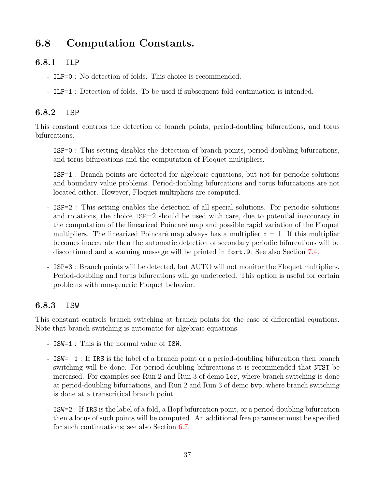# 6.8 Computation Constants.

#### 6.8.1 ILP

- ILP=0 : No detection of folds. This choice is recommended.
- ILP=1 : Detection of folds. To be used if subsequent fold continuation is intended.

#### 6.8.2 ISP

This constant controls the detection of branch points, period-doubling bifurcations, and torus bifurcations.

- ISP=0 : This setting disables the detection of branch points, period-doubling bifurcations, and torus bifurcations and the computation of Floquet multipliers.
- ISP=1 : Branch points are detected for algebraic equations, but not for periodic solutions and boundary value problems. Period-doubling bifurcations and torus bifurcations are not located either. However, Floquet multipliers are computed.
- ISP=2 : This setting enables the detection of all special solutions. For periodic solutions and rotations, the choice  $ISP=2$  should be used with care, due to potential inaccuracy in the computation of the linearized Poincaré map and possible rapid variation of the Floquet multipliers. The linearized Poincaré map always has a multiplier  $z = 1$ . If this multiplier becomes inaccurate then the automatic detection of secondary periodic bifurcations will be discontinued and a warning message will be printed in fort.9. See also Section [7.4](#page-43-0).
- ISP=3 : Branch points will be detected, but AUTO will not monitor the Floquet multipliers. Period-doubling and torus bifurcations will go undetected. This option is useful for certain problems with non-generic Floquet behavior.

#### 6.8.3 ISW

This constant controls branch switching at branch points for the case of differential equations. Note that branch switching is automatic for algebraic equations.

- ISW=1 : This is the normal value of ISW.
- ISW=−1 : If IRS is the label of a branch point or a period-doubling bifurcation then branch switching will be done. For period doubling bifurcations it is recommended that NTST be increased. For examples see Run 2 and Run 3 of demo lor, where branch switching is done at period-doubling bifurcations, and Run 2 and Run 3 of demo bvp, where branch switching is done at a transcritical branch point.
- ISW=2 : If IRS is the label of a fold, a Hopf bifurcation point, or a period-doubling bifurcation then a locus of such points will be computed. An additional free parameter must be specified for such continuations; see also Section [6.7](#page-34-0).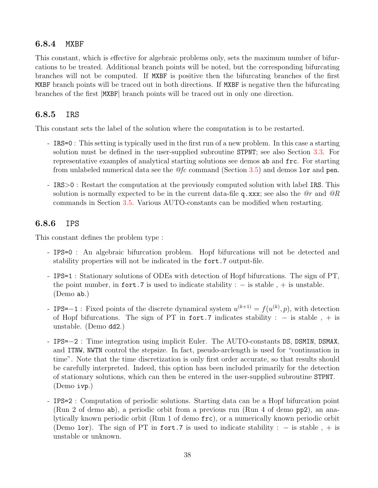#### 6.8.4 MXBF

This constant, which is effective for algebraic problems only, sets the maximum number of bifurcations to be treated. Additional branch points will be noted, but the corresponding bifurcating branches will not be computed. If MXBF is positive then the bifurcating branches of the first MXBF branch points will be traced out in both directions. If MXBF is negative then the bifurcating branches of the first |MXBF| branch points will be traced out in only one direction.

#### 6.8.5 IRS

This constant sets the label of the solution where the computation is to be restarted.

- IRS=0 : This setting is typically used in the first run of a new problem. In this case a starting solution must be defined in the user-supplied subroutine STPNT; see also Section [3.3.](#page-15-0) For representative examples of analytical starting solutions see demos ab and frc. For starting from unlabeled numerical data see the  $\mathcal{Q}$  command (Section [3.5\)](#page-16-0) and demos lor and pen.
- IRS>0 : Restart the computation at the previously computed solution with label IRS. This solution is normally expected to be in the current data-file q.xxx; see also the  $\mathcal{Q}_r$  and  $\mathcal{Q}_R$ commands in Section [3.5.](#page-16-0) Various AUTO-constants can be modified when restarting.

#### 6.8.6 IPS

This constant defines the problem type :

- IPS=0 : An algebraic bifurcation problem. Hopf bifurcations will not be detected and stability properties will not be indicated in the fort.7 output-file.
- IPS=1 : Stationary solutions of ODEs with detection of Hopf bifurcations. The sign of PT, the point number, in fort.7 is used to indicate stability :  $-$  is stable,  $+$  is unstable. (Demo ab.)
- IPS=-1 : Fixed points of the discrete dynamical system  $u^{(k+1)} = f(u^{(k)}, p)$ , with detection of Hopf bifurcations. The sign of PT in fort.7 indicates stability :  $-$  is stable,  $+$  is unstable. (Demo dd2.)
- IPS=−2 : Time integration using implicit Euler. The AUTO-constants DS, DSMIN, DSMAX, and ITNW, NWTN control the stepsize. In fact, pseudo-arclength is used for "continuation in time". Note that the time discretization is only first order accurate, so that results should be carefully interpreted. Indeed, this option has been included primarily for the detection of stationary solutions, which can then be entered in the user-supplied subroutine STPNT. (Demo ivp.)
- IPS=2 : Computation of periodic solutions. Starting data can be a Hopf bifurcation point (Run 2 of demo ab), a periodic orbit from a previous run (Run 4 of demo pp2), an analytically known periodic orbit (Run 1 of demo frc), or a numerically known periodic orbit (Demo lor). The sign of PT in fort.7 is used to indicate stability :  $-$  is stable ,  $+$  is unstable or unknown.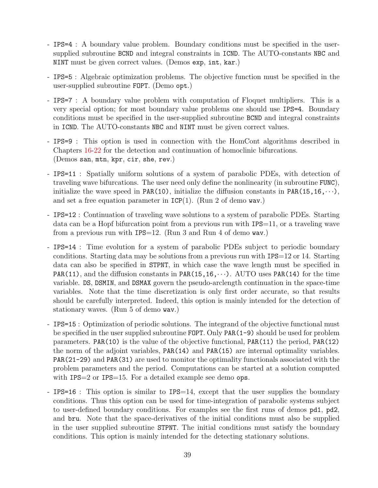- IPS=4 : A boundary value problem. Boundary conditions must be specified in the usersupplied subroutine BCND and integral constraints in ICND. The AUTO-constants NBC and NINT must be given correct values. (Demos exp, int, kar.)
- IPS=5 : Algebraic optimization problems. The objective function must be specified in the user-supplied subroutine FOPT. (Demo opt.)
- IPS=7 : A boundary value problem with computation of Floquet multipliers. This is a very special option; for most boundary value problems one should use IPS=4. Boundary conditions must be specified in the user-supplied subroutine BCND and integral constraints in ICND. The AUTO-constants NBC and NINT must be given correct values.
- IPS=9 : This option is used in connection with the HomCont algorithms described in Chapters [16](#page-107-0)[-22](#page-148-0) for the detection and continuation of homoclinic bifurcations. (Demos san, mtn, kpr, cir, she, rev.)
- IPS=11 : Spatially uniform solutions of a system of parabolic PDEs, with detection of traveling wave bifurcations. The user need only define the nonlinearity (in subroutine FUNC), initialize the wave speed in PAR(10), initialize the diffusion constants in PAR(15,16, $\cdots$ ), and set a free equation parameter in  $ICP(1)$ . (Run 2 of demo wav.)
- IPS=12 : Continuation of traveling wave solutions to a system of parabolic PDEs. Starting data can be a Hopf bifurcation point from a previous run with IPS=11, or a traveling wave from a previous run with IPS=12. (Run 3 and Run 4 of demo wav.)
- IPS=14 : Time evolution for a system of parabolic PDEs subject to periodic boundary conditions. Starting data may be solutions from a previous run with IPS=12 or 14. Starting data can also be specified in STPNT, in which case the wave length must be specified in PAR(11), and the diffusion constants in PAR(15,16, $\cdots$ ). AUTO uses PAR(14) for the time variable. DS, DSMIN, and DSMAX govern the pseudo-arclength continuation in the space-time variables. Note that the time discretization is only first order accurate, so that results should be carefully interpreted. Indeed, this option is mainly intended for the detection of stationary waves. (Run 5 of demo wav.)
- IPS=15 : Optimization of periodic solutions. The integrand of the objective functional must be specified in the user supplied subroutine FOPT. Only PAR(1-9) should be used for problem parameters. PAR(10) is the value of the objective functional, PAR(11) the period, PAR(12) the norm of the adjoint variables, PAR(14) and PAR(15) are internal optimality variables. PAR(21-29) and PAR(31) are used to monitor the optimality functionals associated with the problem parameters and the period. Computations can be started at a solution computed with IPS=2 or IPS=15. For a detailed example see demo ops.
- IPS=16 : This option is similar to IPS=14, except that the user supplies the boundary conditions. Thus this option can be used for time-integration of parabolic systems subject to user-defined boundary conditions. For examples see the first runs of demos pd1, pd2, and bru. Note that the space-derivatives of the initial conditions must also be supplied in the user supplied subroutine STPNT. The initial conditions must satisfy the boundary conditions. This option is mainly intended for the detecting stationary solutions.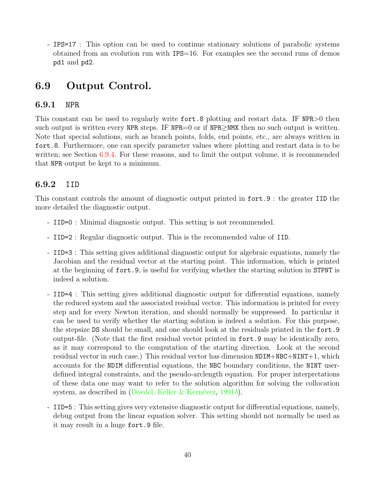- IPS=17 : This option can be used to continue stationary solutions of parabolic systems obtained from an evolution run with  $IPS=16$ . For examples see the second runs of demos pd1 and pd2.

# 6.9 Output Control.

#### 6.9.1 NPR

This constant can be used to regularly write fort. 8 plotting and restart data. IF NPR $>0$  then such output is written every NPR steps. IF NPR=0 or if NPR $>$ NMX then no such output is written. Note that special solutions, such as branch points, folds, end points, etc., are always written in fort.8. Furthermore, one can specify parameter values where plotting and restart data is to be written; see Section [6.9.4](#page-41-0). For these reasons, and to limit the output volume, it is recommended that NPR output be kept to a minimum.

#### 6.9.2 IID

This constant controls the amount of diagnostic output printed in fort.9 : the greater IID the more detailed the diagnostic output.

- IID=0 : Minimal diagnostic output. This setting is not recommended.
- IID=2 : Regular diagnostic output. This is the recommended value of IID.
- IID=3 : This setting gives additional diagnostic output for algebraic equations, namely the Jacobian and the residual vector at the starting point. This information, which is printed at the beginning of fort.9, is useful for verifying whether the starting solution in STPNT is indeed a solution.
- IID=4 : This setting gives additional diagnostic output for differential equations, namely the reduced system and the associated residual vector. This information is printed for every step and for every Newton iteration, and should normally be suppressed. In particular it can be used to verify whether the starting solution is indeed a solution. For this purpose, the stepsize DS should be small, and one should look at the residuals printed in the fort.9 output-file. (Note that the first residual vector printed in fort.9 may be identically zero, as it may correspond to the computation of the starting direction. Look at the second residual vector in such case.) This residual vector has dimension  $NDIM+NBC+NINT+1$ , which accounts for the NDIM differential equations, the NBC boundary conditions, the NINT userdefined integral constraints, and the pseudo-arclength equation. For proper interpretations of these data one may want to refer to the solution algorithm for solving the collocation system,as described in (Doedel, Keller & Kernévez, [1991](#page-155-0)b).
- IID=5 : This setting gives very extensive diagnostic output for differential equations, namely, debug output from the linear equation solver. This setting should not normally be used as it may result in a huge fort.9 file.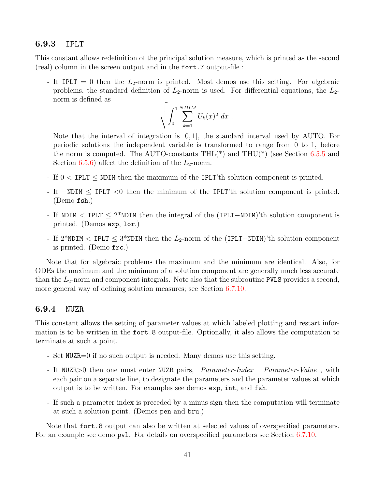#### 6.9.3 IPLT

This constant allows redefinition of the principal solution measure, which is printed as the second (real) column in the screen output and in the fort.7 output-file :

- If IPLT = 0 then the  $L_2$ -norm is printed. Most demos use this setting. For algebraic problems, the standard definition of  $L_2$ -norm is used. For differential equations, the  $L_2$ norm is defined as

$$
\sqrt{\int_0^1 \sum_{k=1}^{NDIM} U_k(x)^2 dx}.
$$

Note that the interval of integration is [0, 1], the standard interval used by AUTO. For periodic solutions the independent variable is transformed to range from 0 to 1, before the norm is computed. The AUTO-constants  $THL(*)$  and  $THU(*)$  (see Section [6.5.5](#page-32-0) and Section [6.5.6](#page-33-0)) affect the definition of the  $L_2$ -norm.

- If  $0 <$  IPLT  $\leq$  NDIM then the maximum of the IPLT'th solution component is printed.
- If −NDIM ≤ IPLT <0 then the minimum of the IPLT'th solution component is printed. (Demo fsh.)
- If NDIM < IPLT ≤ 2\*NDIM then the integral of the (IPLT−NDIM)'th solution component is printed. (Demos exp, lor.)
- If 2\*NDIM < IPLT  $\leq$  3\*NDIM then the L<sub>2</sub>-norm of the (IPLT–NDIM)'th solution component is printed. (Demo frc.)

Note that for algebraic problems the maximum and the minimum are identical. Also, for ODEs the maximum and the minimum of a solution component are generally much less accurate than the  $L_2$ -norm and component integrals. Note also that the subroutine PVLS provides a second, more general way of defining solution measures; see Section [6.7.10](#page-36-0).

#### <span id="page-41-0"></span>6.9.4 NUZR

This constant allows the setting of parameter values at which labeled plotting and restart information is to be written in the fort.8 output-file. Optionally, it also allows the computation to terminate at such a point.

- Set NUZR=0 if no such output is needed. Many demos use this setting.
- If NUZR>0 then one must enter NUZR pairs, *Parameter-Index Parameter-Value*, with each pair on a separate line, to designate the parameters and the parameter values at which output is to be written. For examples see demos exp, int, and fsh.
- If such a parameter index is preceded by a minus sign then the computation will terminate at such a solution point. (Demos pen and bru.)

Note that fort.8 output can also be written at selected values of overspecified parameters. For an example see demo pvl. For details on overspecified parameters see Section [6.7.10](#page-36-0).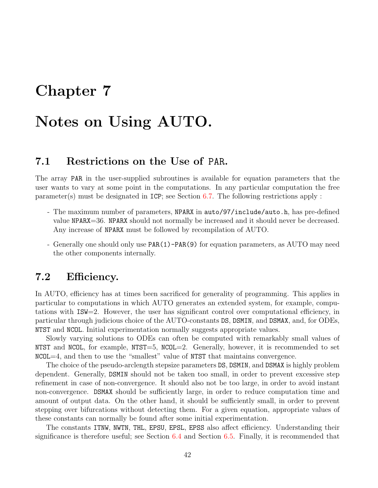# Chapter 7

# Notes on Using AUTO.

## 7.1 Restrictions on the Use of PAR.

The array PAR in the user-supplied subroutines is available for equation parameters that the user wants to vary at some point in the computations. In any particular computation the free parameter(s) must be designated in ICP; see Section [6.7.](#page-34-0) The following restrictions apply :

- The maximum number of parameters, NPARX in auto/97/include/auto.h, has pre-defined value NPARX=36. NPARX should not normally be increased and it should never be decreased. Any increase of NPARX must be followed by recompilation of AUTO.
- Generally one should only use PAR(1)-PAR(9) for equation parameters, as AUTO may need the other components internally.

# 7.2 Efficiency.

In AUTO, efficiency has at times been sacrificed for generality of programming. This applies in particular to computations in which AUTO generates an extended system, for example, computations with ISW=2. However, the user has significant control over computational efficiency, in particular through judicious choice of the AUTO-constants DS, DSMIN, and DSMAX, and, for ODEs, NTST and NCOL. Initial experimentation normally suggests appropriate values.

Slowly varying solutions to ODEs can often be computed with remarkably small values of NTST and NCOL, for example,  $NTST=5$ ,  $NCOL=2$ . Generally, however, it is recommended to set  $NCOL=4$ , and then to use the "smallest" value of NTST that maintains convergence.

The choice of the pseudo-arclength stepsize parameters DS, DSMIN, and DSMAX is highly problem dependent. Generally, DSMIN should not be taken too small, in order to prevent excessive step refinement in case of non-convergence. It should also not be too large, in order to avoid instant non-convergence. DSMAX should be sufficiently large, in order to reduce computation time and amount of output data. On the other hand, it should be sufficiently small, in order to prevent stepping over bifurcations without detecting them. For a given equation, appropriate values of these constants can normally be found after some initial experimentation.

The constants ITNW, NWTN, THL, EPSU, EPSL, EPSS also affect efficiency. Understanding their significance is therefore useful; see Section [6.4](#page-31-0) and Section [6.5.](#page-32-1) Finally, it is recommended that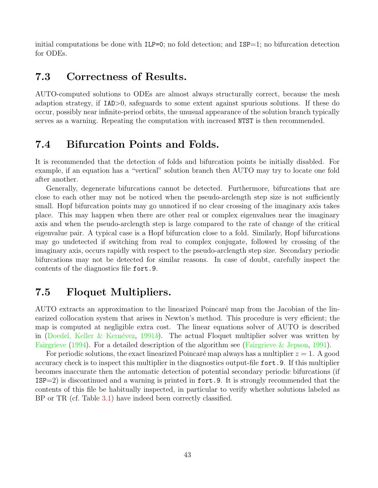initial computations be done with  $ILP=0$ ; no fold detection; and  $ISP=1$ ; no bifurcation detection for ODEs.

#### 7.3 Correctness of Results.

AUTO-computed solutions to ODEs are almost always structurally correct, because the mesh adaption strategy, if IAD>0, safeguards to some extent against spurious solutions. If these do occur, possibly near infinite-period orbits, the unusual appearance of the solution branch typically serves as a warning. Repeating the computation with increased NTST is then recommended.

# <span id="page-43-0"></span>7.4 Bifurcation Points and Folds.

It is recommended that the detection of folds and bifurcation points be initially disabled. For example, if an equation has a "vertical" solution branch then AUTO may try to locate one fold after another.

Generally, degenerate bifurcations cannot be detected. Furthermore, bifurcations that are close to each other may not be noticed when the pseudo-arclength step size is not sufficiently small. Hopf bifurcation points may go unnoticed if no clear crossing of the imaginary axis takes place. This may happen when there are other real or complex eigenvalues near the imaginary axis and when the pseudo-arclength step is large compared to the rate of change of the critical eigenvalue pair. A typical case is a Hopf bifurcation close to a fold. Similarly, Hopf bifurcations may go undetected if switching from real to complex conjugate, followed by crossing of the imaginary axis, occurs rapidly with respect to the pseudo-arclength step size. Secondary periodic bifurcations may not be detected for similar reasons. In case of doubt, carefully inspect the contents of the diagnostics file fort.9.

# 7.5 Floquet Multipliers.

AUTO extracts an approximation to the linearized Poincaré map from the Jacobian of the linearized collocation system that arises in Newton's method. This procedure is very efficient; the map is computed at negligible extra cost. The linear equations solver of AUTO is described in(Doedel, Keller & Kernévez, [1991](#page-155-0)b). The actual Floquet multiplier solver was written by [Fairgrieve](#page-155-1) ([1994](#page-155-1)). For a detailed description of the algorithm see [\(Fairgrieve & Jepson](#page-155-2), [1991\)](#page-155-2).

For periodic solutions, the exact linearized Poincaré map always has a multiplier  $z = 1$ . A good accuracy check is to inspect this multiplier in the diagnostics output-file fort.9. If this multiplier becomes inaccurate then the automatic detection of potential secondary periodic bifurcations (if ISP=2) is discontinued and a warning is printed in fort.9. It is strongly recommended that the contents of this file be habitually inspected, in particular to verify whether solutions labeled as BP or TR (cf. Table [3.1](#page-20-0)) have indeed been correctly classified.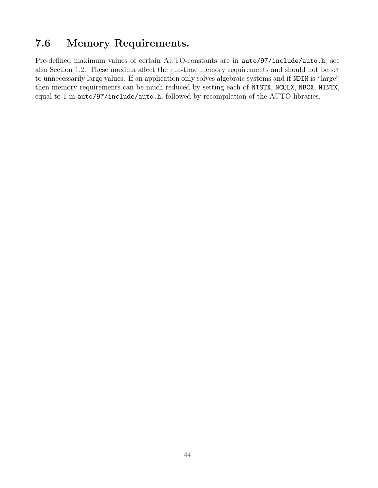# 7.6 Memory Requirements.

Pre-defined maximum values of certain AUTO-constants are in auto/97/include/auto.h; see also Section [1.2.](#page-9-0) These maxima affect the run-time memory requirements and should not be set to unnecessarily large values. If an application only solves algebraic systems and if NDIM is "large" then memory requirements can be much reduced by setting each of NTSTX, NCOLX, NBCX, NINTX, equal to 1 in auto/97/include/auto.h, followed by recompilation of the AUTO libraries.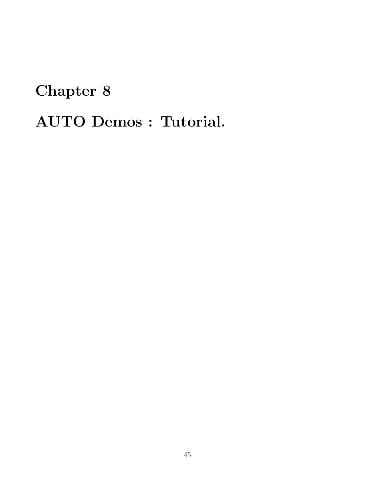# Chapter 8 AUTO Demos : Tutorial.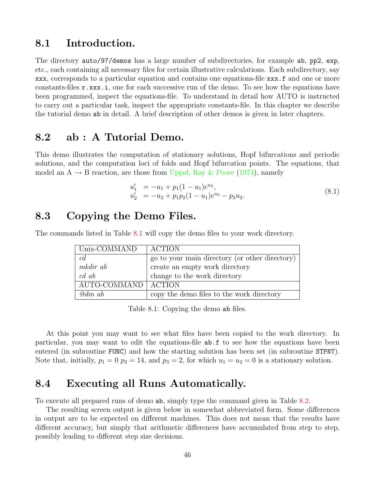#### 8.1 Introduction.

The directory auto/97/demos has a large number of subdirectories, for example ab, pp2, exp, etc., each containing all necessary files for certain illustrative calculations. Each subdirectory, say xxx, corresponds to a particular equation and contains one equations-file xxx.f and one or more constants-files  $r.xxx.i$ , one for each successive run of the demo. To see how the equations have been programmed, inspect the equations-file. To understand in detail how AUTO is instructed to carry out a particular task, inspect the appropriate constants-file. In this chapter we describe the tutorial demo ab in detail. A brief description of other demos is given in later chapters.

#### 8.2 ab : A Tutorial Demo.

This demo illustrates the computation of stationary solutions, Hopf bifurcations and periodic solutions, and the computation loci of folds and Hopf bifurcation points. The equations, that model an  $A \rightarrow B$  reaction, are those from [Uppal, Ray & Poore](#page-157-0) ([1974](#page-157-0)), namely

$$
u'_1 = -u_1 + p_1(1 - u_1)e^{u_2},
$$
  
\n
$$
u'_2 = -u_2 + p_1p_2(1 - u_1)e^{u_2} - p_3u_2.
$$
\n(8.1)

#### 8.3 Copying the Demo Files.

The commands listed in Table [8.1](#page-46-0) will copy the demo files to your work directory.

| Unix-COMMAND          | <b>ACTION</b>                                  |
|-----------------------|------------------------------------------------|
| c d                   | go to your main directory (or other directory) |
| mkdir ab              | create an empty work directory                 |
| c d a b               | change to the work directory                   |
| AUTO-COMMAND   ACTION |                                                |
| $\omega$ dm ab        | copy the demo files to the work directory      |

<span id="page-46-0"></span>Table 8.1: Copying the demo ab files.

At this point you may want to see what files have been copied to the work directory. In particular, you may want to edit the equations-file ab.f to see how the equations have been entered (in subroutine FUNC) and how the starting solution has been set (in subroutine STPNT). Note that, initially,  $p_1 = 0$   $p_2 = 14$ , and  $p_3 = 2$ , for which  $u_1 = u_2 = 0$  is a stationary solution.

## 8.4 Executing all Runs Automatically.

To execute all prepared runs of demo ab, simply type the command given in Table [8.2](#page-47-0).

The resulting screen output is given below in somewhat abbreviated form. Some differences in output are to be expected on different machines. This does not mean that the results have different accuracy, but simply that arithmetic differences have accumulated from step to step, possibly leading to different step size decisions.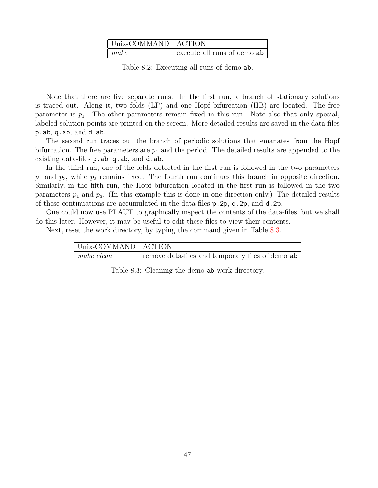| Unix-COMMAND   ACTION |                             |
|-----------------------|-----------------------------|
| make                  | execute all runs of demo ab |

<span id="page-47-0"></span>Table 8.2: Executing all runs of demo ab.

Note that there are five separate runs. In the first run, a branch of stationary solutions is traced out. Along it, two folds (LP) and one Hopf bifurcation (HB) are located. The free parameter is  $p_1$ . The other parameters remain fixed in this run. Note also that only special, labeled solution points are printed on the screen. More detailed results are saved in the data-files p.ab, q.ab, and d.ab.

The second run traces out the branch of periodic solutions that emanates from the Hopf bifurcation. The free parameters are  $p_1$  and the period. The detailed results are appended to the existing data-files p.ab, q.ab, and d.ab.

In the third run, one of the folds detected in the first run is followed in the two parameters  $p_1$  and  $p_3$ , while  $p_2$  remains fixed. The fourth run continues this branch in opposite direction. Similarly, in the fifth run, the Hopf bifurcation located in the first run is followed in the two parameters  $p_1$  and  $p_3$ . (In this example this is done in one direction only.) The detailed results of these continuations are accumulated in the data-files p.2p, q.2p, and d.2p.

One could now use PLAUT to graphically inspect the contents of the data-files, but we shall do this later. However, it may be useful to edit these files to view their contents.

Next, reset the work directory, by typing the command given in Table [8.3.](#page-47-1)

| Unix-COMMAND   ACTION |                                                  |
|-----------------------|--------------------------------------------------|
| make clean            | remove data-files and temporary files of demo ab |

<span id="page-47-1"></span>Table 8.3: Cleaning the demo ab work directory.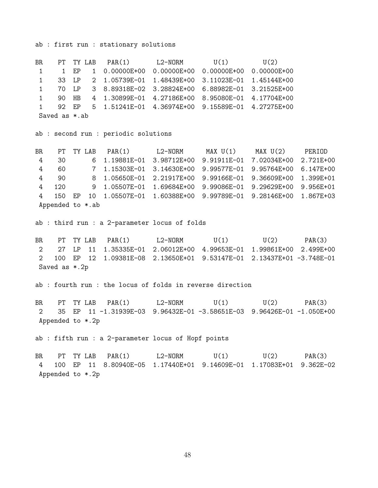ab : first run : stationary solutions

BR PT TY LAB  $PAR(1)$  L2-NORM  $U(1)$   $U(2)$ 1 1 EP 1 0.00000E+00 0.00000E+00 0.00000E+00 0.00000E+00 1 33 LP 2 1.05739E-01 1.48439E+00 3.11023E-01 1.45144E+00 1 70 LP 3 8.89318E-02 3.28824E+00 6.88982E-01 3.21525E+00 1 90 HB 4 1.30899E-01 4.27186E+00 8.95080E-01 4.17704E+00 1 92 EP 5 1.51241E-01 4.36974E+00 9.15589E-01 4.27275E+00 Saved as \*.ab

ab : second run : periodic solutions

BR PT TY LAB PAR(1) L2-NORM MAX U(1) MAX U(2) PERIOD 4 30 6 1.19881E-01 3.98712E+00 9.91911E-01 7.02034E+00 2.721E+00 4 60 7 1.15303E-01 3.14630E+00 9.99577E-01 9.95764E+00 6.147E+00 4 90 8 1.05650E-01 2.21917E+00 9.99166E-01 9.36609E+00 1.399E+01 4 120 9 1.05507E-01 1.69684E+00 9.99086E-01 9.29629E+00 9.956E+01 4 150 EP 10 1.05507E-01 1.60388E+00 9.99789E-01 9.28146E+00 1.867E+03 Appended to \*.ab

ab : third run : a 2-parameter locus of folds

BR PT TY LAB PAR(1) L2-NORM U(1) U(2) PAR(3) 2 27 LP 11 1.35335E-01 2.06012E+00 4.99653E-01 1.99861E+00 2.499E+00 2 100 EP 12 1.09381E-08 2.13650E+01 9.53147E-01 2.13437E+01 -3.748E-01 Saved as \*.2p

ab : fourth run : the locus of folds in reverse direction

BR PT TY LAB PAR(1) L2-NORM U(1) U(2) PAR(3) 2 35 EP 11 -1.31939E-03 9.96432E-01 -3.58651E-03 9.96426E-01 -1.050E+00 Appended to \*.2p

ab : fifth run : a 2-parameter locus of Hopf points

BR PT TY LAB PAR(1) L2-NORM U(1) U(2) PAR(3) 4 100 EP 11 8.80940E-05 1.17440E+01 9.14609E-01 1.17083E+01 9.362E-02 Appended to \*.2p

48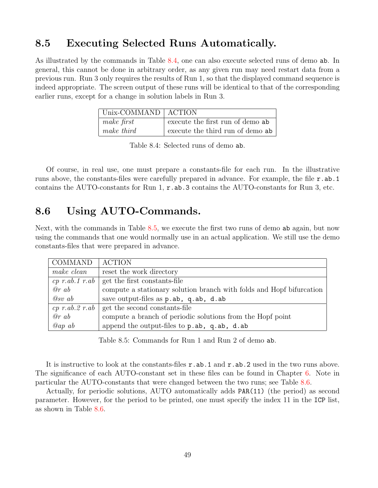# 8.5 Executing Selected Runs Automatically.

As illustrated by the commands in Table [8.4,](#page-49-0) one can also execute selected runs of demo ab. In general, this cannot be done in arbitrary order, as any given run may need restart data from a previous run. Run 3 only requires the results of Run 1, so that the displayed command sequence is indeed appropriate. The screen output of these runs will be identical to that of the corresponding earlier runs, except for a change in solution labels in Run 3.

| $ $ Unix-COMMAND $ $ ACTION |                                  |
|-----------------------------|----------------------------------|
| make first                  | execute the first run of demo ab |
| make third                  | execute the third run of demo ab |

<span id="page-49-0"></span>Table 8.4: Selected runs of demo ab.

Of course, in real use, one must prepare a constants-file for each run. In the illustrative runs above, the constants-files were carefully prepared in advance. For example, the file r.ab.1 contains the AUTO-constants for Run 1,  $r$  ab 3 contains the AUTO-constants for Run 3, etc.

# 8.6 Using AUTO-Commands.

Next, with the commands in Table [8.5](#page-49-1), we execute the first two runs of demo ab again, but now using the commands that one would normally use in an actual application. We still use the demo constants-files that were prepared in advance.

| COMMAND              | <b>ACTION</b>                                                        |
|----------------------|----------------------------------------------------------------------|
| make clean           | reset the work directory                                             |
| $cp \ r.ab.1 \ r.ab$ | get the first constants-file                                         |
| @r ab                | compute a stationary solution branch with folds and Hopf bifurcation |
| $@sv$ ab             | save output-files as p.ab, q.ab, d.ab                                |
|                      | $cp\ r.ab.2\ r.ab$ get the second constants-file                     |
| @r ab                | compute a branch of periodic solutions from the Hopf point           |
| $Qap \ ab$           | append the output-files to p.ab, q.ab, d.ab                          |

<span id="page-49-1"></span>Table 8.5: Commands for Run 1 and Run 2 of demo ab.

It is instructive to look at the constants-files r.ab.1 and r.ab.2 used in the two runs above. The significance of each AUTO-constant set in these files can be found in Chapter [6.](#page-29-0) Note in particular the AUTO-constants that were changed between the two runs; see Table [8.6](#page-50-0).

Actually, for periodic solutions, AUTO automatically adds PAR(11) (the period) as second parameter. However, for the period to be printed, one must specify the index 11 in the ICP list, as shown in Table [8.6.](#page-50-0)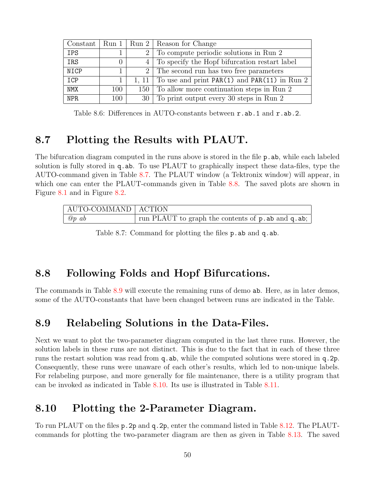|            |          | Constant   Run $1$   Run $2$   Reason for Change         |
|------------|----------|----------------------------------------------------------|
| <b>IPS</b> |          | 2 To compute periodic solutions in Run 2                 |
| IRS        | $\theta$ | 4 To specify the Hopf bifurcation restart label          |
| NICP       |          | 2 The second run has two free parameters                 |
| ICP        |          | 1, 11   To use and print $PAR(1)$ and $PAR(11)$ in Run 2 |
| <b>NMX</b> | 100      | 150 To allow more continuation steps in Run 2            |
| NPR.       | 100      | 30 To print output every 30 steps in Run 2               |

<span id="page-50-0"></span>Table 8.6: Differences in AUTO-constants between r.ab.1 and r.ab.2.

## 8.7 Plotting the Results with PLAUT.

The bifurcation diagram computed in the runs above is stored in the file p. ab, while each labeled solution is fully stored in q.ab. To use PLAUT to graphically inspect these data-files, type the AUTO-command given in Table [8.7.](#page-50-1) The PLAUT window (a Tektronix window) will appear, in which one can enter the PLAUT-commands given in Table [8.8](#page-51-0). The saved plots are shown in Figure [8.1](#page-51-1) and in Figure [8.2](#page-52-0).

| AUTO-COMMAND   ACTION |                                                     |
|-----------------------|-----------------------------------------------------|
| $\omega p$ ab         | run PLAUT to graph the contents of p. ab and q. ab; |

<span id="page-50-1"></span>Table 8.7: Command for plotting the files p. ab and q. ab.

#### 8.8 Following Folds and Hopf Bifurcations.

The commands in Table [8.9](#page-52-1) will execute the remaining runs of demo ab. Here, as in later demos, some of the AUTO-constants that have been changed between runs are indicated in the Table.

#### 8.9 Relabeling Solutions in the Data-Files.

Next we want to plot the two-parameter diagram computed in the last three runs. However, the solution labels in these runs are not distinct. This is due to the fact that in each of these three runs the restart solution was read from q.ab, while the computed solutions were stored in q.2p. Consequently, these runs were unaware of each other's results, which led to non-unique labels. For relabeling purpose, and more generally for file maintenance, there is a utility program that can be invoked as indicated in Table [8.10.](#page-52-2) Its use is illustrated in Table [8.11](#page-53-0).

# 8.10 Plotting the 2-Parameter Diagram.

To run PLAUT on the files p.2p and q.2p, enter the command listed in Table [8.12.](#page-53-1) The PLAUTcommands for plotting the two-parameter diagram are then as given in Table [8.13](#page-53-2). The saved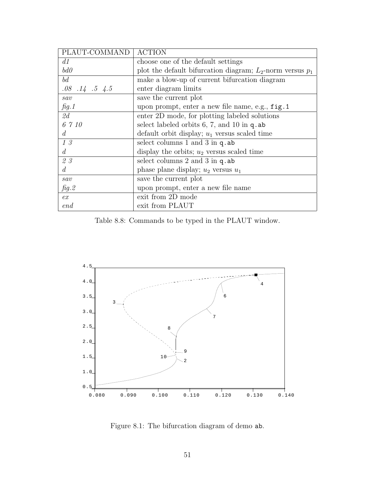| PLAUT-COMMAND          | <b>ACTION</b>                                                  |
|------------------------|----------------------------------------------------------------|
| d1                     | choose one of the default settings                             |
| bd0                    | plot the default bifurcation diagram; $L_2$ -norm versus $p_1$ |
| bd                     | make a blow-up of current bifurcation diagram                  |
| $.08$ $.14$ $.5$ $4.5$ | enter diagram limits                                           |
| sav                    | save the current plot                                          |
| fig.1                  | upon prompt, enter a new file name, e.g., fig. 1               |
| 2d                     | enter 2D mode, for plotting labeled solutions                  |
| 6 7 10                 | select labeled orbits $6, 7$ , and $10$ in q. ab               |
| d.                     | default orbit display; $u_1$ versus scaled time                |
| 13                     | select columns $1$ and $3$ in $q$ ab                           |
| d.                     | display the orbits; $u_2$ versus scaled time                   |
| 23                     | select columns $2$ and $3$ in $q$ ab                           |
| d.                     | phase plane display; $u_2$ versus $u_1$                        |
| sav                    | save the current plot                                          |
| fig.2                  | upon prompt, enter a new file name                             |
| ex                     | exit from 2D mode                                              |
| end                    | exit from PLAUT                                                |

<span id="page-51-0"></span>Table 8.8: Commands to be typed in the PLAUT window.



<span id="page-51-1"></span>Figure 8.1: The bifurcation diagram of demo ab.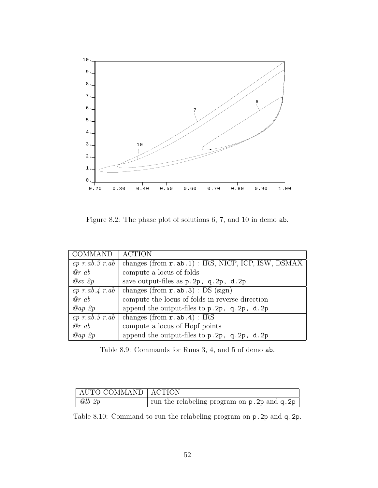

<span id="page-52-0"></span>Figure 8.2: The phase plot of solutions 6, 7, and 10 in demo ab.

| <b>COMMAND</b>     | <b>ACTION</b>                                                    |
|--------------------|------------------------------------------------------------------|
| $cp\ r.ab.3\ r.ab$ | changes (from $r$ , ab, 1) : IRS, NICP, ICP, ISW, DSMAX          |
| @r ab              | compute a locus of folds                                         |
| $Q_{SV}$ 2p        | save output-files as $p.2p$ , $q.2p$ , $d.2p$                    |
|                    | $cp \ r.ab.4 \ r.ab$   changes (from <b>r.ab.3</b> ) : DS (sign) |
| @r ab              | compute the locus of folds in reverse direction                  |
| Qap 2p             | append the output-files to p. 2p, q. 2p, d. 2p                   |
| $cp\ r.ab.5\ r.ab$ | changes (from $r$ ab $.4$ ) : IRS                                |
| @r ab              | compute a locus of Hopf points                                   |
| Qap2p              | append the output-files to p. 2p, q. 2p, d. 2p                   |

<span id="page-52-1"></span>Table 8.9: Commands for Runs 3, 4, and 5 of demo ab.

| AUTO-COMMAND   ACTION |                                               |
|-----------------------|-----------------------------------------------|
| $Qlb$ 2p              | run the relabeling program on p. 2p and q. 2p |

<span id="page-52-2"></span>Table 8.10: Command to run the relabeling program on p.2p and q.2p.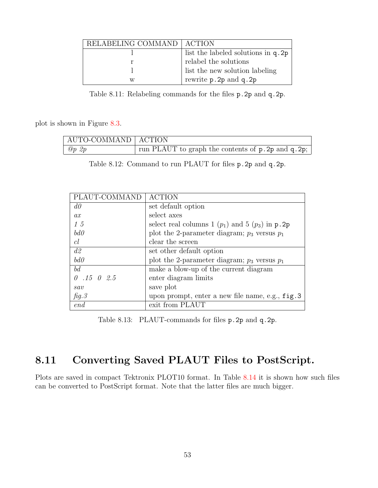| RELABELING COMMAND   ACTION |                                      |
|-----------------------------|--------------------------------------|
|                             | list the labeled solutions in $q.2p$ |
|                             | relabel the solutions                |
|                             | list the new solution labeling       |
| w                           | rewrite p. 2p and q. 2p              |

<span id="page-53-0"></span>Table 8.11: Relabeling commands for the files p.2p and q.2p.

plot is shown in Figure [8.3.](#page-54-0)

| AUTO-COMMAND   ACTION |                                                     |
|-----------------------|-----------------------------------------------------|
| $\omega p \, 2p$      | run PLAUT to graph the contents of p. 2p and q. 2p; |

<span id="page-53-1"></span>Table 8.12: Command to run PLAUT for files p.2p and q.2p.

| PLAUT-COMMAND      | <b>ACTION</b>                                        |
|--------------------|------------------------------------------------------|
| $d\theta$          | set default option                                   |
| ax                 | select axes                                          |
| 15                 | select real columns 1 $(p_1)$ and 5 $(p_3)$ in p. 2p |
| bd0                | plot the 2-parameter diagram; $p_3$ versus $p_1$     |
| cl                 | clear the screen                                     |
| d2                 | set other default option                             |
| bd0                | plot the 2-parameter diagram; $p_3$ versus $p_1$     |
| bd                 | make a blow-up of the current diagram                |
| $0.15 \quad 0.2.5$ | enter diagram limits                                 |
| sav                | save plot                                            |
| fig.3              | upon prompt, enter a new file name, e.g., fig. 3     |
| end                | exit from PLAUT                                      |

<span id="page-53-2"></span>Table 8.13: PLAUT-commands for files p.2p and q.2p.

# 8.11 Converting Saved PLAUT Files to PostScript.

Plots are saved in compact Tektronix PLOT10 format. In Table [8.14](#page-54-1) it is shown how such files can be converted to PostScript format. Note that the latter files are much bigger.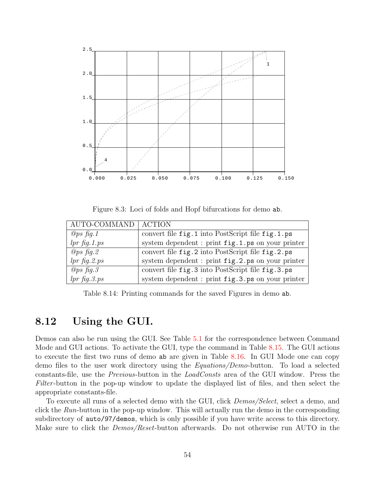

<span id="page-54-0"></span>Figure 8.3: Loci of folds and Hopf bifurcations for demo ab.

| AUTO-COMMAND    | ACTION                                                       |
|-----------------|--------------------------------------------------------------|
| $Qps$ fig. 1    | convert file fig. 1 into PostScript file fig. 1.ps           |
| $lpr$ fig. 1.ps | system dependent : print fig.1.ps on your printer            |
| $Qps$ fig. 2    | convert file fig. 2 into PostScript file fig. 2.ps           |
| $lpr$ fig. 2.ps | system dependent : print fig.2.ps on your printer            |
| $Qps$ fig. 3    | convert file fig. 3 into PostScript file fig. 3.ps           |
| $lpr$ fig. 3.ps | system dependent : print $\mathtt{fig.3.ps}$ on your printer |

<span id="page-54-1"></span>Table 8.14: Printing commands for the saved Figures in demo ab.

#### 8.12 Using the GUI.

Demos can also be run using the GUI. See Table [5.1](#page-27-0) for the correspondence between Command Mode and GUI actions. To activate the GUI, type the command in Table [8.15](#page-55-0). The GUI actions to execute the first two runs of demo ab are given in Table [8.16](#page-55-1). In GUI Mode one can copy demo files to the user work directory using the Equations/Demo-button. To load a selected constants-file, use the Previous-button in the LoadConsts area of the GUI window. Press the Filter-button in the pop-up window to update the displayed list of files, and then select the appropriate constants-file.

To execute all runs of a selected demo with the GUI, click *Demos/Select*, select a demo, and click the Run-button in the pop-up window. This will actually run the demo in the corresponding subdirectory of auto/97/demos, which is only possible if you have write access to this directory. Make sure to click the *Demos/Reset*-button afterwards. Do not otherwise run AUTO in the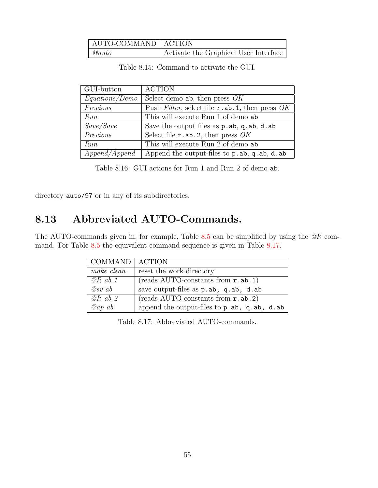| AUTO-COMMAND   ACTION |                                       |
|-----------------------|---------------------------------------|
| $\mathcal{Q}auto$     | Activate the Graphical User Interface |

<span id="page-55-0"></span>Table 8.15: Command to activate the GUI.

| GUI-button     | <b>ACTION</b>                                           |
|----------------|---------------------------------------------------------|
| Equations/Demo | Select demo ab, then press $OK$                         |
| Previous       | Push Filter, select file $r$ . ab. 1, then press OK     |
| Run            | This will execute Run 1 of demo ab                      |
| Save/Save      | Save the output files as $p$ . ab, q. ab, d. ab         |
| Previous       | Select file $r$ .ab.2, then press OK                    |
| Run            | This will execute Run 2 of demo ab                      |
| Append/Append) | Append the output-files to $p$ . ab, $q$ . ab, $d$ . ab |

<span id="page-55-1"></span>Table 8.16: GUI actions for Run 1 and Run 2 of demo ab.

directory auto/97 or in any of its subdirectories.

# 8.13 Abbreviated AUTO-Commands.

The AUTO-commands given in, for example, Table  $8.5$  can be simplified by using the  $@R$  com-mand. For Table [8.5](#page-49-1) the equivalent command sequence is given in Table [8.17.](#page-55-2)

| COMMAND   ACTION |                                              |
|------------------|----------------------------------------------|
| make clean       | reset the work directory                     |
| $@R$ ab 1        | $(\text{reads AUTO-constants from } r.ab.1)$ |
| $@sv$ ab         | save output-files as p.ab, q.ab, d.ab        |
| $@R$ ab 2        | $(\text{reads AUTO-constants from } r.ab.2)$ |
| $Qap \, ab$      | append the output-files to p.ab, q.ab, d.ab  |

<span id="page-55-2"></span>Table 8.17: Abbreviated AUTO-commands.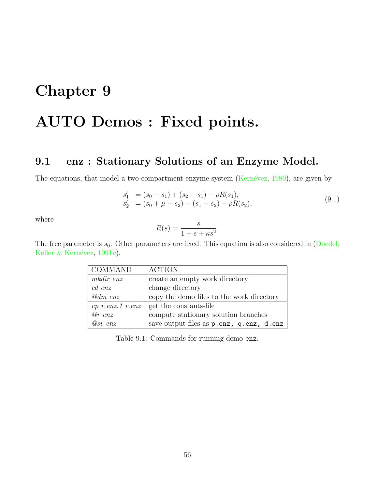# Chapter 9 AUTO Demos : Fixed points.

# 9.1 enz : Stationary Solutions of an Enzyme Model.

Theequations, that model a two-compartment enzyme system (Kernévez, [1980](#page-156-0)), are given by

$$
s'_{1} = (s_{0} - s_{1}) + (s_{2} - s_{1}) - \rho R(s_{1}),
$$
  
\n
$$
s'_{2} = (s_{0} + \mu - s_{2}) + (s_{1} - s_{2}) - \rho R(s_{2}),
$$
\n(9.1)

where

$$
R(s) = \frac{s}{1 + s + \kappa s^2}.
$$

Thefree parameter is  $s_0$ . Other parameters are fixed. This equation is also considered in ([Doedel,](#page-155-3) Keller & Kernévez,  $1991a$  $1991a$ ).

| COMMAND            | <b>ACTION</b>                             |
|--------------------|-------------------------------------------|
| mkdir enz          | create an empty work directory            |
| $cd$ enz           | change directory                          |
| $@dm$ enz          | copy the demo files to the work directory |
| $cp$ r.enz.1 r.enz | get the constants-file                    |
| $@r$ enz           | compute stationary solution branches      |
| $Q_{SV}$ enz       | save output-files as p.enz, q.enz, d.enz  |

Table 9.1: Commands for running demo enz.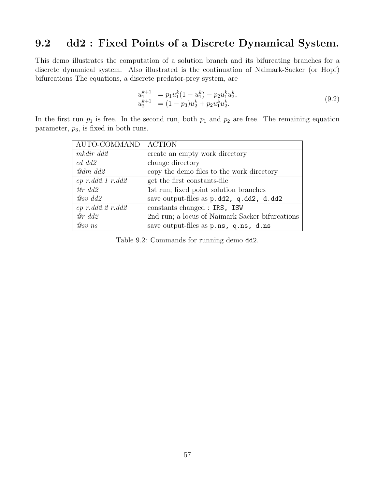# 9.2 dd2 : Fixed Points of a Discrete Dynamical System.

This demo illustrates the computation of a solution branch and its bifurcating branches for a discrete dynamical system. Also illustrated is the continuation of Naimark-Sacker (or Hopf) bifurcations The equations, a discrete predator-prey system, are

$$
u_1^{k+1} = p_1 u_1^k (1 - u_1^k) - p_2 u_1^k u_2^k,u_2^{k+1} = (1 - p_3) u_2^k + p_2 u_1^k u_2^k.
$$
\n(9.2)

In the first run  $p_1$  is free. In the second run, both  $p_1$  and  $p_2$  are free. The remaining equation parameter,  $p_3$ , is fixed in both runs.

| AUTO-COMMAND   ACTION      |                                                 |
|----------------------------|-------------------------------------------------|
| mkdir dd2                  | create an empty work directory                  |
| $c d \ d d2$               | change directory                                |
| $\omega$ dm dd2            | copy the demo files to the work directory       |
| $cp$ $r$ .dd2.1 $r$ .dd2   | get the first constants-file                    |
| $@r\ dd2$                  | 1st run; fixed point solution branches          |
| $Q_{SV}$ dd2               | save output-files as p.dd2, q.dd2, d.dd2        |
| $cp \ r. d d2.2 \ r. d d2$ | constants changed : IRS, ISW                    |
| $@r\ dd2$                  | 2nd run; a locus of Naimark-Sacker bifurcations |
| $@sv$ ns                   | save output-files as p.ns, q.ns, d.ns           |

Table 9.2: Commands for running demo dd2.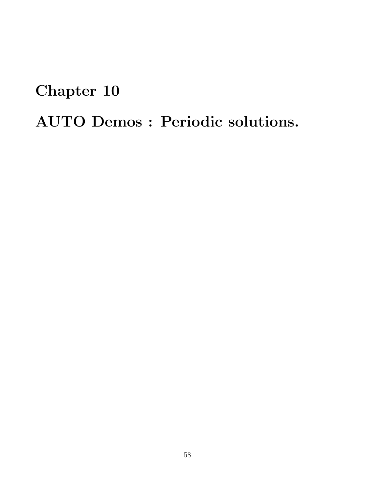# Chapter 10

AUTO Demos : Periodic solutions.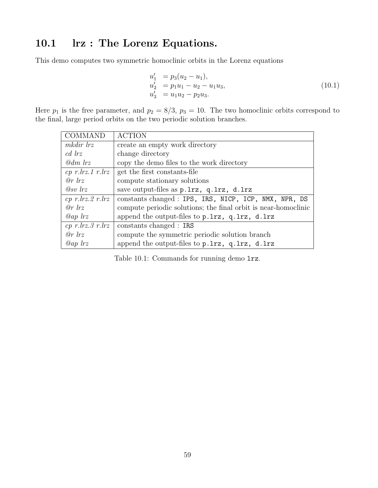# 10.1 lrz : The Lorenz Equations.

This demo computes two symmetric homoclinic orbits in the Lorenz equations

$$
u'_1 = p_3(u_2 - u_1), u'_2 = p_1u_1 - u_2 - u_1u_3, u'_3 = u_1u_2 - p_2u_3.
$$
 (10.1)

Here  $p_1$  is the free parameter, and  $p_2 = 8/3$ ,  $p_3 = 10$ . The two homoclinic orbits correspond to the final, large period orbits on the two periodic solution branches.

| COMMAND                     | <b>ACTION</b>                                                  |
|-----------------------------|----------------------------------------------------------------|
| mkdir lrz                   | create an empty work directory                                 |
| cd lrz                      | change directory                                               |
| $\omega$ dm lrz             | copy the demo files to the work directory                      |
| $cp$ r.lrz.1 r.lrz          | get the first constants-file                                   |
| $\varrho r$ lrz             | compute stationary solutions                                   |
| $\oslash$ $\oslash$ $\iota$ | save output-files as p.lrz, q.lrz, d.lrz                       |
| $cp$ r.lrz. $2$ r.lrz       | constants changed : IPS, IRS, NICP, ICP, NMX, NPR, DS          |
| $\varrho r$ lrz             | compute periodic solutions; the final orbit is near-homoclinic |
| $Qap$ lrz                   | append the output-files to p.lrz, q.lrz, d.lrz                 |
| $cp$ r.lrz. $3$ r.lrz       | constants changed : IRS                                        |
| $\varrho r$ lrz             | compute the symmetric periodic solution branch                 |
| $Qap$ lrz                   | append the output-files to p.lrz, q.lrz, d.lrz                 |

Table 10.1: Commands for running demo lrz.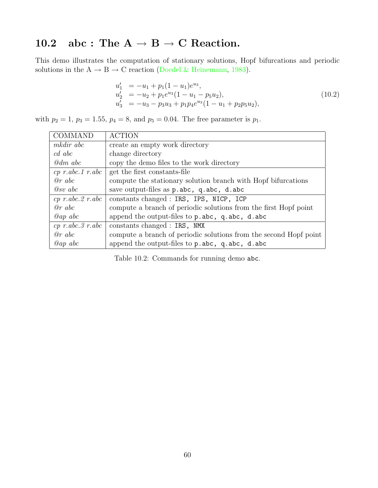# 10.2 abc : The  $A \rightarrow B \rightarrow C$  Reaction.

This demo illustrates the computation of stationary solutions, Hopf bifurcations and periodic solutions in the  $A \rightarrow B \rightarrow C$  reaction [\(Doedel & Heinemann,](#page-154-0) [1983](#page-154-0)).

$$
u'_1 = -u_1 + p_1(1 - u_1)e^{u_3},
$$
  
\n
$$
u'_2 = -u_2 + p_1e^{u_3}(1 - u_1 - p_5u_2),
$$
  
\n
$$
u'_3 = -u_3 - p_3u_3 + p_1p_4e^{u_3}(1 - u_1 + p_2p_5u_2),
$$
\n(10.2)

with  $p_2 = 1$ ,  $p_3 = 1.55$ ,  $p_4 = 8$ , and  $p_5 = 0.04$ . The free parameter is  $p_1$ .

| <b>COMMAND</b>            | <b>ACTION</b>                                                     |
|---------------------------|-------------------------------------------------------------------|
| mkdir abc                 | create an empty work directory                                    |
| $cd \; abc$               | change directory                                                  |
| $\omega$ dm abc           | copy the demo files to the work directory                         |
| $cp\ r.abc.1\ r.abc$      | get the first constants-file                                      |
| @rabc                     | compute the stationary solution branch with Hopf bifurcations     |
| $Q_{SV}$ abc              | save output-files as p.abc, q.abc, d.abc                          |
| $cp \ r. abc. 2 \ r. abc$ | constants changed : IRS, IPS, NICP, ICP                           |
| @rabc                     | compute a branch of periodic solutions from the first Hopf point  |
| $@ap\;abc$                | append the output-files to $p$ . abc, $q$ . abc, $d$ . abc        |
| $cp\ r. abc. 3\ r. abc$   | constants changed : IRS, NMX                                      |
| @rabc                     | compute a branch of periodic solutions from the second Hopf point |
| $Qap \; abc$              | append the output-files to p.abc, q.abc, d.abc                    |

Table 10.2: Commands for running demo abc.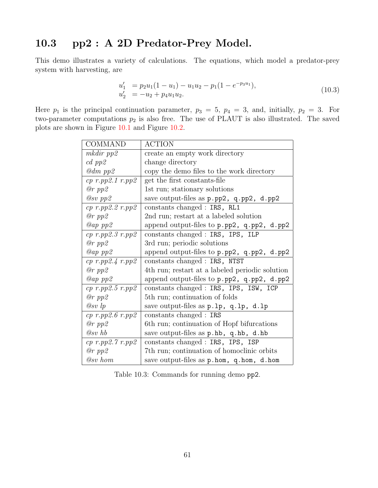# 10.3 pp2 : A 2D Predator-Prey Model.

This demo illustrates a variety of calculations. The equations, which model a predator-prey system with harvesting, are

$$
u'_1 = p_2 u_1 (1 - u_1) - u_1 u_2 - p_1 (1 - e^{-p_3 u_1}),
$$
  
\n
$$
u'_2 = -u_2 + p_4 u_1 u_2.
$$
\n(10.3)

Here  $p_1$  is the principal continuation parameter,  $p_3 = 5$ ,  $p_4 = 3$ , and, initially,  $p_2 = 3$ . For two-parameter computations  $p_2$  is also free. The use of PLAUT is also illustrated. The saved plots are shown in Figure [10.1](#page-63-0) and Figure [10.2.](#page-63-1)

| <b>COMMAND</b>             | <b>ACTION</b>                                   |
|----------------------------|-------------------------------------------------|
| $m$ kdir pp $\mathfrak{D}$ | create an empty work directory                  |
| $cd$ pp2                   | change directory                                |
| $Qdm$ pp2                  | copy the demo files to the work directory       |
| $cp$ r.pp $2.1$ r.pp $2$   | get the first constants-file                    |
| $@r$ pp $2$                | 1st run; stationary solutions                   |
| $Q_{SV}$ pp2               | save output-files as p.pp2, q.pp2, d.pp2        |
| $cp$ r.pp $2.2$ r.pp $2$   | constants changed : IRS, RL1                    |
| $@r$ pp2                   | 2nd run; restart at a labeled solution          |
| $Qap$ pp2                  | append output-files to p.pp2, q.pp2, d.pp2      |
| $cp$ r.pp $2.3$ r.pp $2$   | constants changed : IRS, IPS, ILP               |
| $@r$ pp2                   | 3rd run; periodic solutions                     |
| $Qap$ pp2                  | append output-files to p.pp2, q.pp2, d.pp2      |
| $cp$ r.pp2.4 r.pp2         | constants changed : IRS, NTST                   |
| $@r$ pp2                   | 4th run; restart at a labeled periodic solution |
| $Qap$ pp2                  | append output-files to p.pp2, q.pp2, d.pp2      |
| $cp$ r.pp $2.5$ r.pp $2$   | constants changed : IRS, IPS, ISW, ICP          |
| $@r$ pp2                   | 5th run; continuation of folds                  |
| $@sv$ lp                   | save output-files as p.lp, q.lp, d.lp           |
| $cp$ r.pp2.6 r.pp2         | constants changed : IRS                         |
| $@r$ pp $2$                | 6th run; continuation of Hopf bifurcations      |
| $@sv$ hb                   | save output-files as p.hb, q.hb, d.hb           |
| $cp$ r.pp2.7 r.pp2         | constants changed : IRS, IPS, ISP               |
| $@r$ pp2                   | 7th run; continuation of homoclinic orbits      |
| $@sv\ hom$                 | save output-files as p.hom, q.hom, d.hom        |

Table 10.3: Commands for running demo pp2.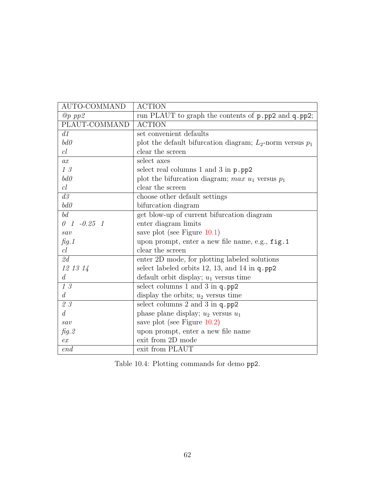| AUTO-COMMAND                    | <b>ACTION</b>                                                  |
|---------------------------------|----------------------------------------------------------------|
| $@p$ pp2                        | run PLAUT to graph the contents of p.pp2 and q.pp2;            |
| PLAUT-COMMAND                   | <b>ACTION</b>                                                  |
| d1                              | set convenient defaults                                        |
| b d0                            | plot the default bifurcation diagram; $L_2$ -norm versus $p_1$ |
| cl                              | clear the screen                                               |
| ax                              | select axes                                                    |
| 13                              | select real columns $1$ and $3$ in $p$ . $pp2$                 |
| b d0                            | plot the bifurcation diagram; max $u_1$ versus $p_1$           |
| cl                              | clear the screen                                               |
| d3                              | choose other default settings                                  |
| b d0                            | bifurcation diagram                                            |
| bd                              | get blow-up of current bifurcation diagram                     |
| $0 \quad 1 \quad -0.25 \quad 1$ | enter diagram limits                                           |
| sav                             | save plot (see Figure $10.1$ )                                 |
| fig.1                           | upon prompt, enter a new file name, e.g., fig.1                |
| cl                              | clear the screen                                               |
| 2d                              | enter 2D mode, for plotting labeled solutions                  |
| 12 13 14                        | select labeled orbits 12, 13, and 14 in $q$ . pp2              |
| d                               | default orbit display; $u_1$ versus time                       |
| 13                              | select columns 1 and 3 in q.pp2                                |
| d                               | display the orbits; $u_2$ versus time                          |
| 23                              | select columns 2 and 3 in q.pp2                                |
| $\overline{d}$                  | phase plane display; $u_2$ versus $u_1$                        |
| sav                             | save plot (see Figure $10.2$ )                                 |
| fig.2                           | upon prompt, enter a new file name                             |
| ex                              | exit from 2D mode                                              |
| end                             | exit from PLAUT                                                |

Table 10.4: Plotting commands for demo pp2.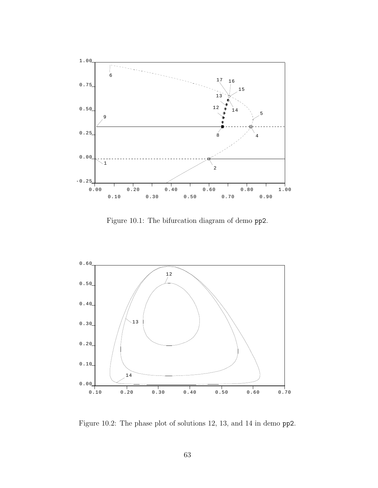

<span id="page-63-0"></span>Figure 10.1: The bifurcation diagram of demo pp2.



<span id="page-63-1"></span>Figure 10.2: The phase plot of solutions 12, 13, and 14 in demo pp2.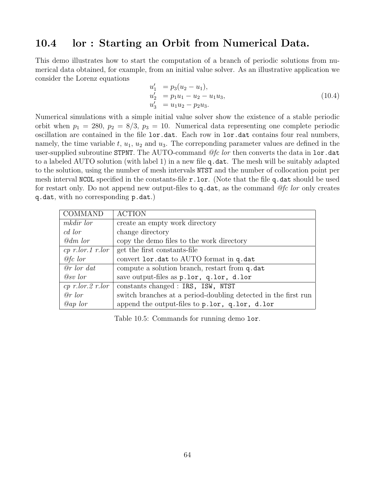#### 10.4 lor : Starting an Orbit from Numerical Data.

This demo illustrates how to start the computation of a branch of periodic solutions from numerical data obtained, for example, from an initial value solver. As an illustrative application we consider the Lorenz equations

$$
u'_1 = p_3(u_2 - u_1), \n u'_2 = p_1u_1 - u_2 - u_1u_3, \n u'_3 = u_1u_2 - p_2u_3.
$$
\n(10.4)

Numerical simulations with a simple initial value solver show the existence of a stable periodic orbit when  $p_1 = 280$ ,  $p_2 = 8/3$ ,  $p_3 = 10$ . Numerical data representing one complete periodic oscillation are contained in the file lor.dat. Each row in lor.dat contains four real numbers, namely, the time variable t,  $u_1, u_2$  and  $u_3$ . The corresponding parameter values are defined in the user-supplied subroutine STPNT. The AUTO-command @fc lor then converts the data in lor.dat to a labeled AUTO solution (with label 1) in a new file q.dat. The mesh will be suitably adapted to the solution, using the number of mesh intervals NTST and the number of collocation point per mesh interval NCOL specified in the constants-file r.lor. (Note that the file q.dat should be used for restart only. Do not append new output-files to  $q$  dat, as the command  $@fc$  lor only creates q.dat, with no corresponding p.dat.)

| <b>COMMAND</b>        | <b>ACTION</b>                                                  |
|-----------------------|----------------------------------------------------------------|
| mkdir lor             | create an empty work directory                                 |
| cd lor                | change directory                                               |
| @dm lor               | copy the demo files to the work directory                      |
|                       | cp r.lor.1 r.lor get the first constants-file                  |
| $@fc$ lor             | convert lor. dat to AUTO format in q. dat                      |
| $\Theta r$ lor dat    | compute a solution branch, restart from q.dat                  |
| $Q_{SV}$ lor          | save output-files as p.lor, q.lor, d.lor                       |
| $cp$ r.lor. $2$ r.lor | constants changed : IRS, ISW, NTST                             |
| @r>lor                | switch branches at a period-doubling detected in the first run |
| $Qap$ lor             | append the output-files to p.lor, q.lor, d.lor                 |

Table 10.5: Commands for running demo lor.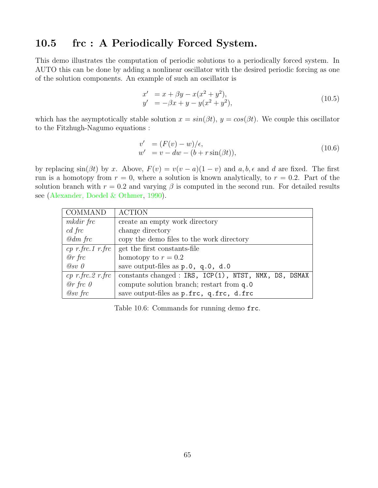## 10.5 frc : A Periodically Forced System.

This demo illustrates the computation of periodic solutions to a periodically forced system. In AUTO this can be done by adding a nonlinear oscillator with the desired periodic forcing as one of the solution components. An example of such an oscillator is

$$
x' = x + \beta y - x(x^2 + y^2), \n y' = -\beta x + y - y(x^2 + y^2),
$$
\n(10.5)

which has the asymptotically stable solution  $x = sin(\beta t)$ ,  $y = cos(\beta t)$ . We couple this oscillator to the Fitzhugh-Nagumo equations :

$$
v' = (F(v) - w)/\epsilon,w' = v - dw - (b + r\sin(\beta t)),
$$
\n(10.6)

by replacing  $sin(\beta t)$  by x. Above,  $F(v) = v(v - a)(1 - v)$  and  $a, b, \epsilon$  and d are fixed. The first run is a homotopy from  $r = 0$ , where a solution is known analytically, to  $r = 0.2$ . Part of the solution branch with  $r = 0.2$  and varying  $\beta$  is computed in the second run. For detailed results see([Alexander, Doedel & Othmer,](#page-154-1) [1990](#page-154-1)).

| COMMAND         | <b>ACTION</b>                                                                            |
|-----------------|------------------------------------------------------------------------------------------|
| mkdir frc       | create an empty work directory                                                           |
| $cd$ frc        | change directory                                                                         |
| $\omega$ dm frc | copy the demo files to the work directory                                                |
|                 | <i>cp r.frc.1 r.frc</i>   get the first constants-file                                   |
| $\varrho r$ frc | homotopy to $r = 0.2$                                                                    |
| $@sv$ 0         | save output-files as p.0, q.0, d.0                                                       |
|                 | $cp \ r.frc.2 \ r.frc \mid \text{constants changed} : IRS, ICP(1), NTST, NMX, DS, DSMAX$ |
| $@r$ frc $0$    | compute solution branch; restart from q.0                                                |
| $@sv$ frc       | save output-files as p.frc, q.frc, d.frc                                                 |

Table 10.6: Commands for running demo frc.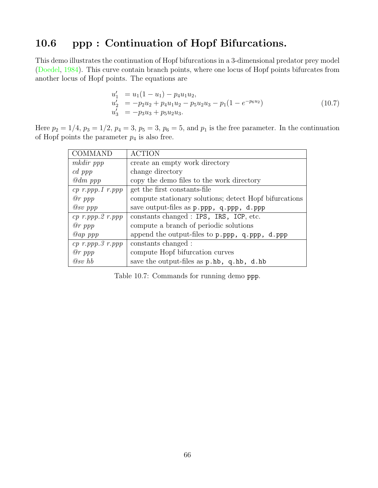# 10.6 ppp : Continuation of Hopf Bifurcations.

This demo illustrates the continuation of Hopf bifurcations in a 3-dimensional predator prey model ([Doedel,](#page-154-2) [1984\)](#page-154-2). This curve contain branch points, where one locus of Hopf points bifurcates from another locus of Hopf points. The equations are

$$
u'_1 = u_1(1 - u_1) - p_4 u_1 u_2,
$$
  
\n
$$
u'_2 = -p_2 u_2 + p_4 u_1 u_2 - p_5 u_2 u_3 - p_1(1 - e^{-p_6 u_2})
$$
  
\n
$$
u'_3 = -p_3 u_3 + p_5 u_2 u_3.
$$
\n(10.7)

Here  $p_2 = 1/4$ ,  $p_3 = 1/2$ ,  $p_4 = 3$ ,  $p_5 = 3$ ,  $p_6 = 5$ , and  $p_1$  is the free parameter. In the continuation of Hopf points the parameter  $p_4$  is also free.

| <b>COMMAND</b>        | <b>ACTION</b>                                          |
|-----------------------|--------------------------------------------------------|
| mkdir ppp             | create an empty work directory                         |
| cd ppp                | change directory                                       |
| $\omega$ dm ppp       | copy the demo files to the work directory              |
| $cp$ r.ppp.1 r.ppp    | get the first constants-file                           |
| $@r$ ppp              | compute stationary solutions; detect Hopf bifurcations |
| $Q_{SV}$ ppp          | save output-files as p.ppp, q.ppp, d.ppp               |
| $cp$ r.ppp. $2$ r.ppp | constants changed : IPS, IRS, ICP, etc.                |
| $@r$ ppp              | compute a branch of periodic solutions                 |
| $Qap$ ppp             | append the output-files to p.ppp, q.ppp, d.ppp         |
| $cp$ r.ppp. $3$ r.ppp | constants changed:                                     |
| $\varrho r$ ppp       | compute Hopf bifurcation curves                        |
| $@sv$ hb              | save the output-files as p.hb, q.hb, d.hb              |

Table 10.7: Commands for running demo ppp.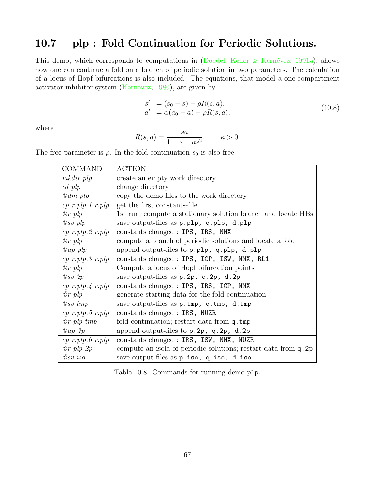# 10.7 plp : Fold Continuation for Periodic Solutions.

This demo, which corresponds to computations in (Doedel, Keller & Kernévez, [1991](#page-155-3)a), shows how one can continue a fold on a branch of periodic solution in two parameters. The calculation of a locus of Hopf bifurcations is also included. The equations, that model a one-compartment activator-inhibitorsystem (Kernévez,  $1980$ ), are given by

$$
s' = (s_0 - s) - \rho R(s, a),
$$
  
\n
$$
a' = \alpha (a_0 - a) - \rho R(s, a),
$$
\n(10.8)

where

$$
R(s, a) = \frac{sa}{1 + s + \kappa s^2}, \qquad \kappa > 0.
$$

The free parameter is  $\rho$ . In the fold continuation  $s_0$  is also free.

| <b>COMMAND</b>            | <b>ACTION</b>                                                    |
|---------------------------|------------------------------------------------------------------|
| mkdir plp                 | create an empty work directory                                   |
| $cd$ plp                  | change directory                                                 |
| $\mathcal{Q}$ dm plp      | copy the demo files to the work directory                        |
| $cp \ r. plp. 1 \ r. plp$ | get the first constants-file                                     |
| $\varrho r$ plp           | 1st run; compute a stationary solution branch and locate HBs     |
| $Q_{SV}$ plp              | save output-files as p.plp, q.plp, d.plp                         |
| $cp \ r. plp. 2 \ r. plp$ | constants changed : IPS, IRS, NMX                                |
| $\varrho r$ plp           | compute a branch of periodic solutions and locate a fold         |
| $Qap$ plp                 | append output-files to p.plp, q.plp, d.plp                       |
| $cp$ r.plp.3 r.plp        | constants changed : IPS, ICP, ISW, NMX, RL1                      |
| $\varrho r$ plp           | Compute a locus of Hopf bifurcation points                       |
| $Q_{SV}$ 2p               | save output-files as $p.2p$ , $q.2p$ , $d.2p$                    |
| $cp \ r. plp. 4 \ r. plp$ | constants changed : IPS, IRS, ICP, NMX                           |
| $\varrho r$ plp           | generate starting data for the fold continuation                 |
| $@sv$ tmp                 | save output-files as $p.\text{tmp}, q.\text{tmp}, d.\text{tmp})$ |
| $cp \ r. plp. 5 \ r. plp$ | constants changed : IRS, NUZR                                    |
| $\varrho r$ plp tmp       | fold continuation; restart data from q.tmp                       |
| Qap 2p                    | append output-files to $p.2p$ , $q.2p$ , $d.2p$                  |
| $cp \ r. plp. 6 \ r. plp$ | constants changed : IRS, ISW, NMX, NUZR                          |
| $\varnothing$ r plp $2p$  | compute an isola of periodic solutions; restart data from q. 2p  |
| $@sv$ iso                 | save output-files as $p.iso, q.iso, d.iso$                       |

Table 10.8: Commands for running demo plp.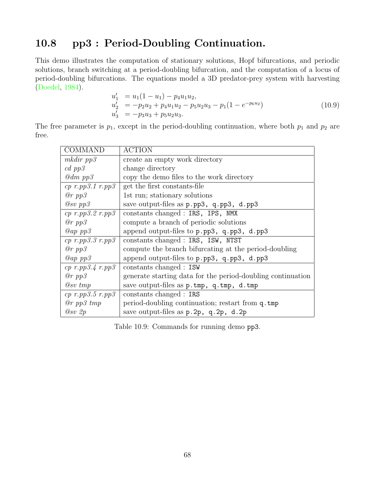# 10.8 pp3 : Period-Doubling Continuation.

This demo illustrates the computation of stationary solutions, Hopf bifurcations, and periodic solutions, branch switching at a period-doubling bifurcation, and the computation of a locus of period-doubling bifurcations. The equations model a 3D predator-prey system with harvesting ([Doedel,](#page-154-2) [1984](#page-154-2)).

$$
u'_1 = u_1(1 - u_1) - p_4 u_1 u_2,
$$
  
\n
$$
u'_2 = -p_2 u_2 + p_4 u_1 u_2 - p_5 u_2 u_3 - p_1(1 - e^{-p_6 u_2})
$$
  
\n
$$
u'_3 = -p_3 u_3 + p_5 u_2 u_3.
$$
\n(10.9)

The free parameter is  $p_1$ , except in the period-doubling continuation, where both  $p_1$  and  $p_2$  are free.

| <b>COMMAND</b>           | <b>ACTION</b>                                                          |
|--------------------------|------------------------------------------------------------------------|
| $m$ kdir $pp3$           | create an empty work directory                                         |
| $cd$ pp $\beta$          | change directory                                                       |
| $\omega$ dm pp $\beta$   | copy the demo files to the work directory                              |
| $cp$ r.pp3.1 r.pp3       | get the first constants-file                                           |
| $@r$ pp $3$              | 1st run; stationary solutions                                          |
| $@sv$ pp $3$             | save output-files as p.pp3, q.pp3, d.pp3                               |
| $cp$ r.pp3.2 r.pp3       | constants changed : IRS, IPS, NMX                                      |
| @r~pp3                   | compute a branch of periodic solutions                                 |
| $Qap$ pp $3$             | append output-files to p.pp3, q.pp3, d.pp3                             |
| $cp$ r.pp $3.3$ r.pp $3$ | constants changed : IRS, ISW, NTST                                     |
| @r~pp3                   | compute the branch bifurcating at the period-doubling                  |
| $Qap$ pp $3$             | append output-files to p.pp3, q.pp3, d.pp3                             |
| $cp \ r.pp3.4 \ r.pp3$   | constants changed : ISW                                                |
| $@r$ pp $3$              | generate starting data for the period-doubling continuation            |
| $@sv$ tmp                | save output-files as $p.\texttt{tmp}, q.\texttt{tmp}, d.\texttt{tmp})$ |
| $cp$ r.pp $3.5$ r.pp $3$ | constants changed : IRS                                                |
| $@r$ pp3 tmp             | period-doubling continuation; restart from q.tmp                       |
| @sv2p                    | save output-files as $p.2p$ , $q.2p$ , $d.2p$                          |

Table 10.9: Commands for running demo pp3.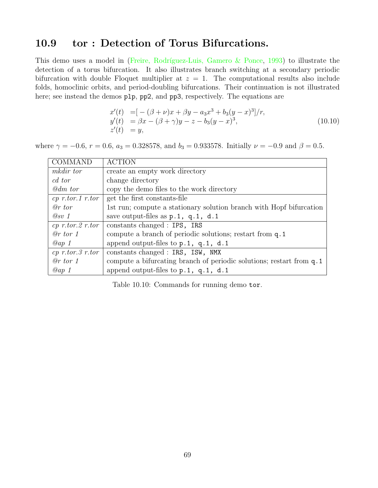# 10.9 tor : Detection of Torus Bifurcations.

Thisdemo uses a model in (Freire, Rodríguez-Luis, Gamero  $\&$  Ponce, [1993\)](#page-155-4) to illustrate the detection of a torus bifurcation. It also illustrates branch switching at a secondary periodic bifurcation with double Floquet multiplier at  $z = 1$ . The computational results also include folds, homoclinic orbits, and period-doubling bifurcations. Their continuation is not illustrated here; see instead the demos plp, pp2, and pp3, respectively. The equations are

$$
x'(t) = [-(\beta + \nu)x + \beta y - a_3x^3 + b_3(y - x)^3]/r,y'(t) = \beta x - (\beta + \gamma)y - z - b_3(y - x)^3,z'(t) = y,
$$
\n(10.10)

where  $\gamma = -0.6$ ,  $r = 0.6$ ,  $a_3 = 0.328578$ , and  $b_3 = 0.933578$ . Initially  $\nu = -0.9$  and  $\beta = 0.5$ .

| <b>COMMAND</b>        | <b>ACTION</b>                                                        |
|-----------------------|----------------------------------------------------------------------|
| <i>mkdir</i> tor      | create an empty work directory                                       |
| cd tor                | change directory                                                     |
| @dm tor               | copy the demo files to the work directory                            |
| $cp$ r.tor.1 r.tor    | get the first constants-file                                         |
| $@r$ tor              | 1st run; compute a stationary solution branch with Hopf bifurcation  |
| $Q_{SV}$ 1            | save output-files as $p.1$ , $q.1$ , $d.1$                           |
| $cp$ r.tor. $2$ r.tor | constants changed : IPS, IRS                                         |
| $@r$ tor 1            | compute a branch of periodic solutions; restart from q.1             |
| $Qap$ 1               | append output-files to $p.1$ , $q.1$ , $d.1$                         |
| $cp$ r.tor. $3$ r.tor | constants changed : IRS, ISW, NMX                                    |
| $@r$ tor 1            | compute a bifurcating branch of periodic solutions; restart from q.1 |
| Qap1                  | append output-files to $p.1$ , $q.1$ , $d.1$                         |

Table 10.10: Commands for running demo tor.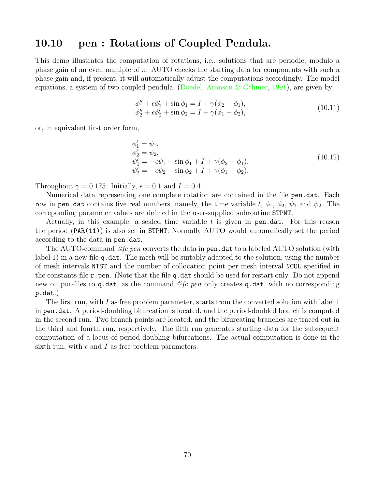#### 10.10 pen : Rotations of Coupled Pendula.

This demo illustrates the computation of rotations, i.e., solutions that are periodic, modulo a phase gain of an even multiple of  $\pi$ . AUTO checks the starting data for components with such a phase gain and, if present, it will automatically adjust the computations accordingly. The model equations, a system of two coupled pendula, [\(Doedel, Aronson & Othmer,](#page-155-5) [1991](#page-155-5)), are given by

$$
\begin{aligned}\n\phi_1'' + \epsilon \phi_1' + \sin \phi_1 &= I + \gamma(\phi_2 - \phi_1), \\
\phi_2'' + \epsilon \phi_2' + \sin \phi_2 &= I + \gamma(\phi_1 - \phi_2),\n\end{aligned} \tag{10.11}
$$

or, in equivalent first order form,

$$
\begin{aligned}\n\phi_1' &= \psi_1, \\
\phi_2' &= \psi_2, \\
\psi_1' &= -\epsilon \psi_1 - \sin \phi_1 + I + \gamma(\phi_2 - \phi_1), \\
\psi_2' &= -\epsilon \psi_2 - \sin \phi_2 + I + \gamma(\phi_1 - \phi_2).\n\end{aligned} \tag{10.12}
$$

Throughout  $\gamma = 0.175$ . Initially,  $\epsilon = 0.1$  and  $I = 0.4$ .

Numerical data representing one complete rotation are contained in the file pen.dat. Each row in pen.dat contains five real numbers, namely, the time variable t,  $\phi_1$ ,  $\phi_2$ ,  $\psi_1$  and  $\psi_2$ . The correponding parameter values are defined in the user-supplied subroutine STPNT.

Actually, in this example, a scaled time variable  $t$  is given in pen.dat. For this reason the period (PAR(11)) is also set in STPNT. Normally AUTO would automatically set the period according to the data in pen.dat.

The AUTO-command @fc pen converts the data in pen.dat to a labeled AUTO solution (with label 1) in a new file q.dat. The mesh will be suitably adapted to the solution, using the number of mesh intervals NTST and the number of collocation point per mesh interval NCOL specified in the constants-file  $\mathbf r$  pen. (Note that the file q.dat should be used for restart only. Do not append new output-files to q.dat, as the command  $@fe$  pen only creates q.dat, with no corresponding p.dat.)

The first run, with I as free problem parameter, starts from the converted solution with label 1 in pen.dat. A period-doubling bifurcation is located, and the period-doubled branch is computed in the second run. Two branch points are located, and the bifurcating branches are traced out in the third and fourth run, respectively. The fifth run generates starting data for the subsequent computation of a locus of period-doubling bifurcations. The actual computation is done in the sixth run, with  $\epsilon$  and I as free problem parameters.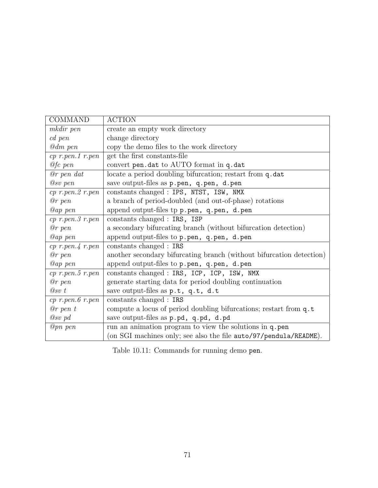| <b>COMMAND</b>        | <b>ACTION</b>                                                        |
|-----------------------|----------------------------------------------------------------------|
| mkdir pen             | create an empty work directory                                       |
| $cd$ pen              | change directory                                                     |
| $@dm$ pen             | copy the demo files to the work directory                            |
| $cp$ r.pen.1 r.pen    | get the first constants-file                                         |
| $@fc$ pen             | convert pen.dat to AUTO format in q.dat                              |
| $@r$ pen dat          | locate a period doubling bifurcation; restart from q.dat             |
| $@sv$ pen             | save output-files as p.pen, q.pen, d.pen                             |
| $cp$ r.pen. $2$ r.pen | constants changed : IPS, NTST, ISW, NMX                              |
| $@r\ pen$             | a branch of period-doubled (and out-of-phase) rotations              |
| $@ap\, pen$           | append output-files tp p.pen, q.pen, d.pen                           |
| $cp$ r.pen. $3$ r.pen | constants changed : IRS, ISP                                         |
| $@r\ pen$             | a secondary bifurcating branch (without bifurcation detection)       |
| $@ap\, pen$           | append output-files to p.pen, q.pen, d.pen                           |
| $cp$ r.pen. $4$ r.pen | constants changed : IRS                                              |
| @r pen                | another secondary bifurcating branch (without bifurcation detection) |
| @ap pen               | append output-files to p.pen, q.pen, d.pen                           |
| $cp$ r.pen. $5$ r.pen | constants changed : IRS, ICP, ICP, ISW, NMX                          |
| $@r\ pen$             | generate starting data for period doubling continuation              |
| $\oslash$ sv t        | save output-files as p.t, q.t, d.t                                   |
| $cp$ r.pen. $6$ r.pen | constants changed : IRS                                              |
| $@r$ pen t            | compute a locus of period doubling bifurcations; restart from q.t.   |
| $Q_{SV}$ pd           | save output-files as p.pd, q.pd, d.pd                                |
| $@pn$ pen             | run an animation program to view the solutions in q. pen             |
|                       | (on SGI machines only; see also the file auto/97/pendula/README).    |

Table 10.11: Commands for running demo pen.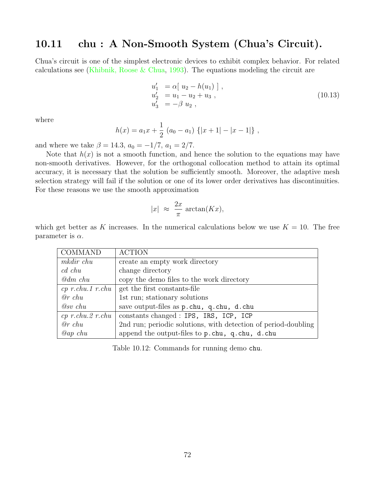#### 10.11 chu : A Non-Smooth System (Chua's Circuit).

Chua's circuit is one of the simplest electronic devices to exhibit complex behavior. For related calculations see [\(Khibnik, Roose & Chua](#page-156-0), [1993\)](#page-156-0). The equations modeling the circuit are

$$
u'_1 = \alpha [ u_2 - h(u_1) ],
$$
  
\n
$$
u'_2 = u_1 - u_2 + u_3 ,
$$
  
\n
$$
u'_3 = -\beta u_2 ,
$$
  
\n(10.13)

where

$$
h(x) = a_1 x + \frac{1}{2} (a_0 - a_1) \{ |x + 1| - |x - 1| \},
$$

and where we take  $\beta = 14.3$ ,  $a_0 = -1/7$ ,  $a_1 = 2/7$ .

Note that  $h(x)$  is not a smooth function, and hence the solution to the equations may have non-smooth derivatives. However, for the orthogonal collocation method to attain its optimal accuracy, it is necessary that the solution be sufficiently smooth. Moreover, the adaptive mesh selection strategy will fail if the solution or one of its lower order derivatives has discontinuities. For these reasons we use the smooth approximation

$$
|x| \approx \frac{2x}{\pi} \arctan(Kx),
$$

which get better as K increases. In the numerical calculations below we use  $K = 10$ . The free parameter is  $\alpha$ .

| <b>COMMAND</b>       | <b>ACTION</b>                                                       |
|----------------------|---------------------------------------------------------------------|
| mkdir chu            | create an empty work directory                                      |
| $cd$ chu             | change directory                                                    |
| $\mathcal{Q}$ dm chu | copy the demo files to the work directory                           |
|                      | $cp\ r.chu.1\ r.chu$ get the first constants-file                   |
| $@r$ chu             | 1st run; stationary solutions                                       |
| $@sv$ chu            | save output-files as p.chu, q.chu, d.chu                            |
|                      | $cp \ r.chu. 2 \ r.chu \mid constants\ changed: IPS, IRS, ICP, ICP$ |
| $@r$ chu             | 2nd run; periodic solutions, with detection of period-doubling      |
| $Qap$ chu            | append the output-files to p.chu, q.chu, d.chu                      |

Table 10.12: Commands for running demo chu.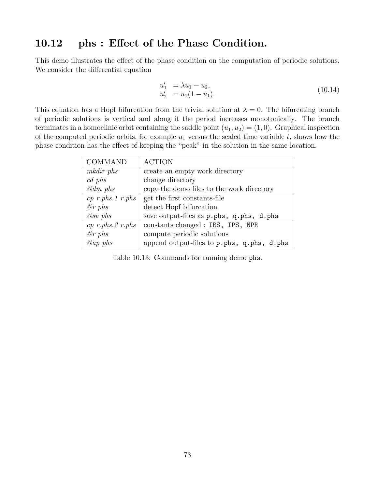#### 10.12 phs : Effect of the Phase Condition.

This demo illustrates the effect of the phase condition on the computation of periodic solutions. We consider the differential equation

$$
u'_1 = \lambda u_1 - u_2, u'_2 = u_1(1 - u_1).
$$
 (10.14)

This equation has a Hopf bifurcation from the trivial solution at  $\lambda = 0$ . The bifurcating branch of periodic solutions is vertical and along it the period increases monotonically. The branch terminates in a homoclinic orbit containing the saddle point  $(u_1, u_2) = (1, 0)$ . Graphical inspection of the computed periodic orbits, for example  $u_1$  versus the scaled time variable t, shows how the phase condition has the effect of keeping the "peak" in the solution in the same location.

| COMMAND               | <b>ACTION</b>                                   |
|-----------------------|-------------------------------------------------|
| mkdir phs             | create an empty work directory                  |
| $cd$ phs              | change directory                                |
| $\omega$ dm phs       | copy the demo files to the work directory       |
|                       | cp r.phs.1 r.phs   get the first constants-file |
| @rphs                 | detect Hopf bifurcation                         |
| $@sv$ phs             | save output-files as p.phs, q.phs, d.phs        |
| $cp$ r.phs. $2$ r.phs | constants changed : IRS, IPS, NPR               |
| @rphs                 | compute periodic solutions                      |
| $Qap$ phs             | append output-files to p.phs, q.phs, d.phs      |

Table 10.13: Commands for running demo phs.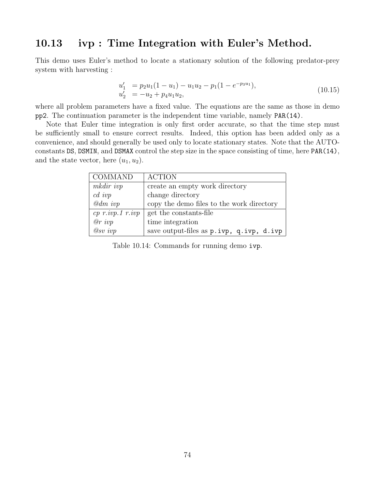#### 10.13 ivp : Time Integration with Euler's Method.

This demo uses Euler's method to locate a stationary solution of the following predator-prey system with harvesting :

$$
u'_1 = p_2 u_1 (1 - u_1) - u_1 u_2 - p_1 (1 - e^{-p_3 u_1}),
$$
  
\n
$$
u'_2 = -u_2 + p_4 u_1 u_2,
$$
\n(10.15)

where all problem parameters have a fixed value. The equations are the same as those in demo pp2. The continuation parameter is the independent time variable, namely PAR(14).

Note that Euler time integration is only first order accurate, so that the time step must be sufficiently small to ensure correct results. Indeed, this option has been added only as a convenience, and should generally be used only to locate stationary states. Note that the AUTOconstants DS, DSMIN, and DSMAX control the step size in the space consisting of time, here PAR(14), and the state vector, here  $(u_1, u_2)$ .

| COMMAND             | <b>ACTION</b>                                           |
|---------------------|---------------------------------------------------------|
| mkdir ivp           | create an empty work directory                          |
| $cd$ ivp            | change directory                                        |
| $\mathcal{Q}dm$ ivp | copy the demo files to the work directory               |
|                     | $cp \; r. ivp. 1 \; r. ivp \mid get the constants-file$ |
| $\varrho r$ ivp     | time integration                                        |
| $@sv$ ivp           | save output-files as p.ivp, q.ivp, d.ivp                |

Table 10.14: Commands for running demo ivp.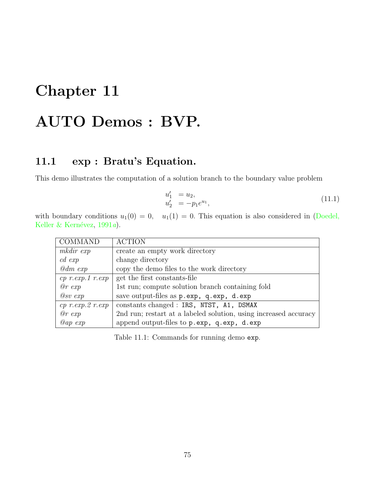# Chapter 11 AUTO Demos : BVP.

# 11.1 exp : Bratu's Equation.

This demo illustrates the computation of a solution branch to the boundary value problem

$$
u_1' = u_2,u_2' = -p_1 e^{u_1},
$$
\n(11.1)

withboundary conditions  $u_1(0) = 0$ ,  $u_1(1) = 0$ . This equation is also considered in ([Doedel,](#page-155-0) Keller & Kernévez,  $1991a$  $1991a$ ).

| <b>COMMAND</b>             | <b>ACTION</b>                                                    |
|----------------------------|------------------------------------------------------------------|
| mkdir exp                  | create an empty work directory                                   |
| $cd \; exp$                | change directory                                                 |
| $\omega$ dm exp            | copy the demo files to the work directory                        |
| $cp \ r.\exp.1 \ r.\exp$   | get the first constants-file                                     |
| @r~exp                     | 1st run; compute solution branch containing fold                 |
| @sv~exp                    | save output-files as p.exp, q.exp, d.exp                         |
| $cp\ r.\ exp.\ 2\ r.\ exp$ | constants changed : IRS, NTST, A1, DSMAX                         |
| @r~exp                     | 2nd run; restart at a labeled solution, using increased accuracy |
| $Qap \, exp$               | append output-files to p.exp, q.exp, d.exp                       |

Table 11.1: Commands for running demo exp.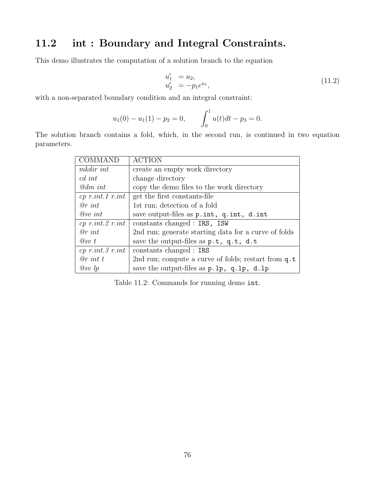### 11.2 int : Boundary and Integral Constraints.

This demo illustrates the computation of a solution branch to the equation

$$
u_1' = u_2,u_2' = -p_1 e^{u_1},
$$
\n(11.2)

with a non-separated boundary condition and an integral constraint:

$$
u_1(0) - u_1(1) - p_2 = 0,
$$
 
$$
\int_0^1 u(t)dt - p_3 = 0.
$$

The solution branch contains a fold, which, in the second run, is continued in two equation parameters.

| <b>COMMAND</b>            | <b>ACTION</b>                                        |
|---------------------------|------------------------------------------------------|
| mkdir int                 | create an empty work directory                       |
| $c d$ int                 | change directory                                     |
| $\mathcal{Q}dm$ int       | copy the demo files to the work directory            |
| $cp$ r.int. 1 r.int       | get the first constants-file                         |
| $\varnothing$ r int       | 1st run; detection of a fold                         |
| $\oslash$ sv int          | save output-files as p. int, q. int, d. int          |
| $cp \ r.int. 2 \ r.int$   | constants changed : IRS, ISW                         |
| $\varnothing$ r int       | 2nd run; generate starting data for a curve of folds |
| $\oslash$ sv t            | save the output-files as $p.t$ , $q.t$ , $d.t$       |
| $cp \ r. int. 3 \ r. int$ | constants changed : IRS                              |
| $\Theta r$ int t          | 2nd run; compute a curve of folds; restart from q.t. |
| $\oslash$ sv lp           | save the output-files as $p.lp$ , $q.lp$ , $d.lp$    |

Table 11.2: Commands for running demo int.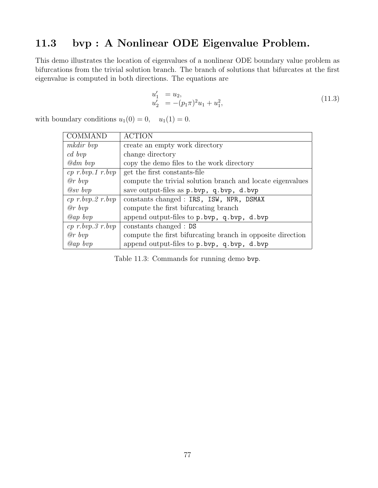## 11.3 bvp : A Nonlinear ODE Eigenvalue Problem.

This demo illustrates the location of eigenvalues of a nonlinear ODE boundary value problem as bifurcations from the trivial solution branch. The branch of solutions that bifurcates at the first eigenvalue is computed in both directions. The equations are

$$
u'_1 = u_2,u'_2 = -(p_1 \pi)^2 u_1 + u_1^2,
$$
 (11.3)

with boundary conditions  $u_1(0) = 0$ ,  $u_1(1) = 0$ .

| <b>COMMAND</b>         | <b>ACTION</b>                                              |
|------------------------|------------------------------------------------------------|
| mkdir bvp              | create an empty work directory                             |
| $cd \; bvp$            | change directory                                           |
| $\omega$ dm bvp        | copy the demo files to the work directory                  |
| $cp \ r.bvp.1 \ r.bvp$ | get the first constants-file                               |
| $@r$ bvp               | compute the trivial solution branch and locate eigenvalues |
| $@sv$ bvp              | save output-files as $p.bvp$ , $q.bvp$ , $d.bvp$           |
| $cp \ r.bvp.2 \ r.bvp$ | constants changed : IRS, ISW, NPR, DSMAX                   |
| $\varrho r \; b v p$   | compute the first bifurcating branch                       |
| $Qap \; bvp$           | append output-files to $p.bvp$ , $q.bvp$ , $d.bvp$         |
| $cp \ r.bvp.3 \ r.bvp$ | constants changed : DS                                     |
| $\varrho r \; b v p$   | compute the first bifurcating branch in opposite direction |
| $Qap \; bvp$           | append output-files to p.bvp, q.bvp, d.bvp                 |

Table 11.3: Commands for running demo bvp.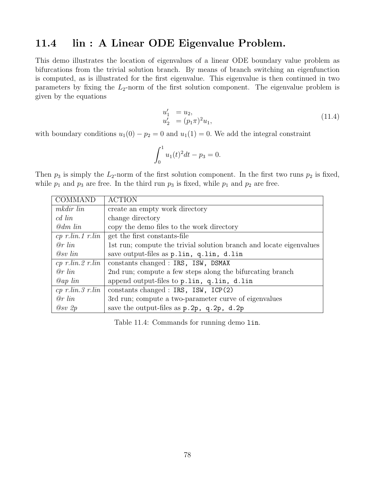#### 11.4 lin : A Linear ODE Eigenvalue Problem.

This demo illustrates the location of eigenvalues of a linear ODE boundary value problem as bifurcations from the trivial solution branch. By means of branch switching an eigenfunction is computed, as is illustrated for the first eigenvalue. This eigenvalue is then continued in two parameters by fixing the  $L_2$ -norm of the first solution component. The eigenvalue problem is given by the equations

$$
u_1' = u_2,u_2' = (p_1 \pi)^2 u_1,
$$
 (11.4)

with boundary conditions  $u_1(0) - p_2 = 0$  and  $u_1(1) = 0$ . We add the integral constraint

$$
\int_0^1 u_1(t)^2 dt - p_3 = 0.
$$

Then  $p_3$  is simply the  $L_2$ -norm of the first solution component. In the first two runs  $p_2$  is fixed, while  $p_1$  and  $p_3$  are free. In the third run  $p_3$  is fixed, while  $p_1$  and  $p_2$  are free.

| COMMAND                                   | <b>ACTION</b>                                                       |
|-------------------------------------------|---------------------------------------------------------------------|
| mkdir lin                                 | create an empty work directory                                      |
| cd lin                                    | change directory                                                    |
| @dm lin                                   | copy the demo files to the work directory                           |
| $cp \ r. lin. 1 \ r. lin$                 | get the first constants-file                                        |
| $\varrho r$ lin                           | 1st run; compute the trivial solution branch and locate eigenvalues |
| $Q_{SV}$ lin                              | save output-files as p.lin, q.lin, d.lin                            |
| $cp \ r. lin. 2 \ r. lin$                 | constants changed : IRS, ISW, DSMAX                                 |
| $\varrho r$ lin                           | 2nd run; compute a few steps along the bifurcating branch           |
| $Qap$ lin                                 | append output-files to p.lin, q.lin, d.lin                          |
| $cp \ r.$ <i>lin.</i> $3 \ r.$ <i>lin</i> | constants changed : $IRS$ , $ISW$ , $ICP(2)$                        |
| $\varrho r$ lin                           | 3rd run; compute a two-parameter curve of eigenvalues               |
| $Q_{SV} 2p$                               | save the output-files as $p.2p$ , $q.2p$ , $d.2p$                   |

Table 11.4: Commands for running demo lin.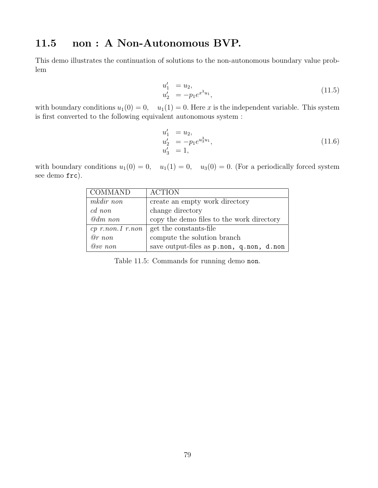### 11.5 non : A Non-Autonomous BVP.

This demo illustrates the continuation of solutions to the non-autonomous boundary value problem

$$
u_1' = u_2,u_2' = -p_1 e^{x^3 u_1},
$$
\n(11.5)

with boundary conditions  $u_1(0) = 0$ ,  $u_1(1) = 0$ . Here x is the independent variable. This system is first converted to the following equivalent autonomous system :

$$
u'_1 = u_2,u'_2 = -p_1 e^{u_3^3 u_1},u'_3 = 1,
$$
\n(11.6)

with boundary conditions  $u_1(0) = 0$ ,  $u_1(1) = 0$ ,  $u_3(0) = 0$ . (For a periodically forced system see demo frc).

| <b>COMMAND</b>     | <b>ACTION</b>                             |
|--------------------|-------------------------------------------|
| mkdir non          | create an empty work directory            |
| $cd$ non           | change directory                          |
| @dm non            | copy the demo files to the work directory |
| $cp$ r.non.1 r.non | get the constants-file                    |
| $@r$ non           | compute the solution branch               |
| $@sv$ non          | save output-files as p.non, q.non, d.non  |

Table 11.5: Commands for running demo non.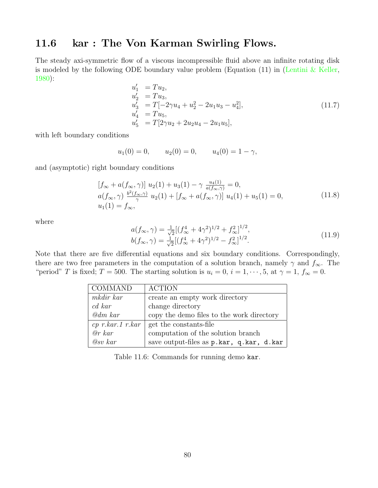#### 11.6 kar : The Von Karman Swirling Flows.

The steady axi-symmetric flow of a viscous incompressible fluid above an infinite rotating disk is modeled by the following ODE boundary value problem (Equation (11) in [\(Lentini & Keller](#page-156-1), [1980](#page-156-1)):  $\overline{1}$ 

$$
u'_1 = Tu_2,
$$
  
\n
$$
u'_2 = Tu_3,
$$
  
\n
$$
u'_3 = T[-2\gamma u_4 + u_2^2 - 2u_1 u_3 - u_4^2],
$$
  
\n
$$
u'_4 = Tu_5,
$$
  
\n
$$
u'_5 = T[2\gamma u_2 + 2u_2 u_4 - 2u_1 u_5],
$$
\n(11.7)

with left boundary conditions

$$
u_1(0) = 0,
$$
  $u_2(0) = 0,$   $u_4(0) = 1 - \gamma,$ 

and (asymptotic) right boundary conditions

$$
\begin{aligned}\n[f_{\infty} + a(f_{\infty}, \gamma)] \ u_2(1) + u_3(1) - \gamma \ \frac{u_4(1)}{a(f_{\infty}, \gamma)} = 0, \\
a(f_{\infty}, \gamma) \ \frac{b^2(f_{\infty}, \gamma)}{\gamma} \ u_2(1) + [f_{\infty} + a(f_{\infty}, \gamma)] \ u_4(1) + u_5(1) = 0, \\
u_1(1) = f_{\infty},\n\end{aligned} \tag{11.8}
$$

where

$$
a(f_{\infty}, \gamma) = \frac{1}{\sqrt{2}} [(f_{\infty}^4 + 4\gamma^2)^{1/2} + f_{\infty}^2]^{1/2},
$$
  
\n
$$
b(f_{\infty}, \gamma) = \frac{1}{\sqrt{2}} [(f_{\infty}^4 + 4\gamma^2)^{1/2} - f_{\infty}^2]^{1/2}.
$$
\n(11.9)

Note that there are five differential equations and six boundary conditions. Correspondingly, there are two free parameters in the computation of a solution branch, namely  $\gamma$  and  $f_{\infty}$ . The "period" T is fixed; T = 500. The starting solution is  $u_i = 0$ ,  $i = 1, \dots, 5$ , at  $\gamma = 1$ ,  $f_{\infty} = 0$ .

| COMMAND            | <b>ACTION</b>                             |
|--------------------|-------------------------------------------|
| mkdir kar          | create an empty work directory            |
| $cd\;kar$          | change directory                          |
| $Qdm$ kar          | copy the demo files to the work directory |
| $cp$ r.kar.1 r.kar | get the constants-file                    |
| $\omega r$ kar     | computation of the solution branch        |
| $Q_{SV}$ $kar$     | save output-files as p.kar, q.kar, d.kar  |

Table 11.6: Commands for running demo kar.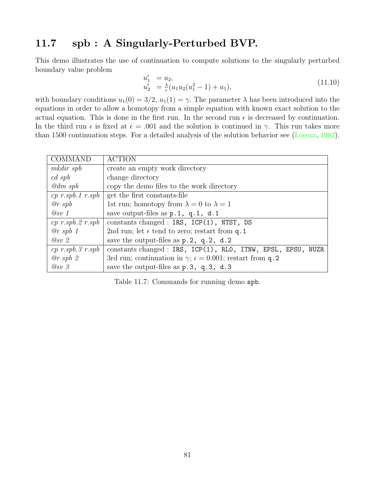#### 11.7 spb : A Singularly-Perturbed BVP.

This demo illustrates the use of continuation to compute solutions to the singularly perturbed boundary value problem

$$
u'_1 = u_2,u'_2 = \frac{\lambda}{\epsilon}(u_1 u_2 (u_1^2 - 1) + u_1),
$$
 (11.10)

with boundary conditions  $u_1(0) = 3/2$ ,  $u_1(1) = \gamma$ . The parameter  $\lambda$  has been introduced into the equations in order to allow a homotopy from a simple equation with known exact solution to the actual equation. This is done in the first run. In the second run  $\epsilon$  is decreased by continuation. In the third run  $\epsilon$  is fixed at  $\epsilon = .001$  and the solution is continued in  $\gamma$ . This run takes more than 1500 continuation steps. For a detailed analysis of the solution behavior see([Lorenz](#page-156-2), [1982](#page-156-2)).

| COMMAND                                               | <b>ACTION</b>                                                             |
|-------------------------------------------------------|---------------------------------------------------------------------------|
| mkdir spb                                             | create an empty work directory                                            |
| $cd \; spb$                                           | change directory                                                          |
| $\mathcal{Q}$ dm spb                                  | copy the demo files to the work directory                                 |
| $cp\ r.\mathfrak{s}pb.1\ r.\mathfrak{s}pb$            | get the first constants-file                                              |
| @rspb                                                 | 1st run; homotopy from $\lambda = 0$ to $\lambda = 1$                     |
| $\oslash$ sv 1                                        | save output-files as $p.1$ , $q.1$ , $d.1$                                |
| $cp\ r.\mathfrak{s}pb.\mathfrak{2}\ r.\mathfrak{s}pb$ | constants changed : IRS, $ICP(1)$ , NTST, DS                              |
| @rspb1                                                | 2nd run; let $\epsilon$ tend to zero; restart from q.1                    |
| $Q_{SV}$ 2                                            | save the output-files as $p.2$ , $q.2$ , $d.2$                            |
| $cp\ r.\mathfrak{s}pb.\mathfrak{F}\ r.\mathfrak{s}pb$ | constants changed : IRS, ICP(1), RLO, ITNW, EPSL, EPSU, NUZR              |
| @rspb2                                                | 3rd run; continuation in $\gamma$ ; $\epsilon = 0.001$ ; restart from q.2 |
| $Q_{SV}$ 3                                            | save the output-files as $p.3$ , $q.3$ , $d.3$                            |

Table 11.7: Commands for running demo spb.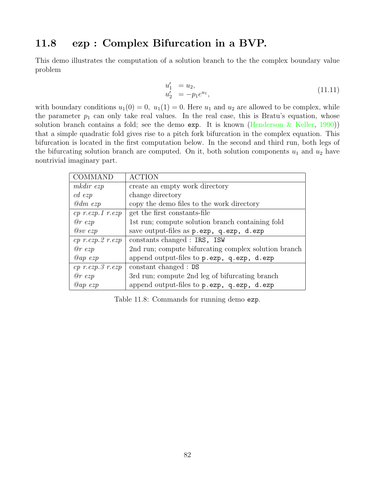#### 11.8 ezp : Complex Bifurcation in a BVP.

This demo illustrates the computation of a solution branch to the the complex boundary value problem

$$
u_1' = u_2,u_2' = -p_1 e^{u_1},
$$
\n(11.11)

with boundary conditions  $u_1(0) = 0$ ,  $u_1(1) = 0$ . Here  $u_1$  and  $u_2$  are allowed to be complex, while the parameter  $p_1$  can only take real values. In the real case, this is Bratu's equation, whose solution branch contains a fold; see the demo exp. It is known (Henderson  $\&$  Keller, [1990](#page-155-1))) that a simple quadratic fold gives rise to a pitch fork bifurcation in the complex equation. This bifurcation is located in the first computation below. In the second and third run, both legs of the bifurcating solution branch are computed. On it, both solution components  $u_1$  and  $u_2$  have nontrivial imaginary part.

| <b>COMMAND</b>        | <b>ACTION</b>                                                              |
|-----------------------|----------------------------------------------------------------------------|
| mkdir ezp             | create an empty work directory                                             |
| $cd$ ezp              | change directory                                                           |
| $@dm$ ezp             | copy the demo files to the work directory                                  |
| $cp$ r.ezp.1 r.ezp    | get the first constants-file                                               |
| $@r\;exp$             | 1st run; compute solution branch containing fold                           |
| $@sv$ $ezp$           | save output-files as $p \cdot \text{exp}$ , q.ezp, d.ezp                   |
| $cp$ r.ezp. $2$ r.ezp | constants changed : IRS, ISW                                               |
| $@r\;exp$             | 2nd run; compute bifurcating complex solution branch                       |
| $@ap\;exp$            | append output-files to $p \cdot \text{exp}$ , $q \cdot \text{exp}$ , d.ezp |
| $cp$ r.ezp. $3$ r.ezp | constant changed : DS                                                      |
| $@r\;exp$             | 3rd run; compute 2nd leg of bifurcating branch                             |
| $@ap\;exp$            | append output-files to p.ezp, q.ezp, d.ezp                                 |

Table 11.8: Commands for running demo ezp.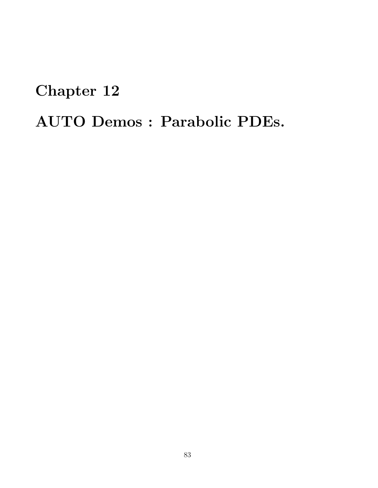# Chapter 12

# AUTO Demos : Parabolic PDEs.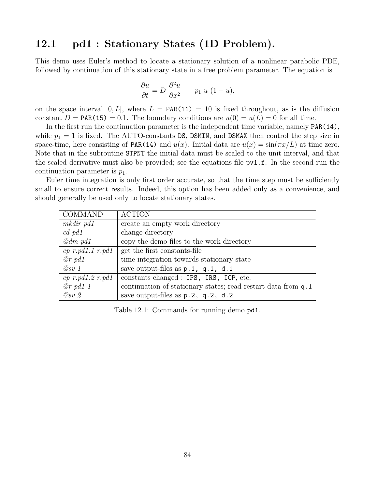## 12.1 pd1 : Stationary States (1D Problem).

This demo uses Euler's method to locate a stationary solution of a nonlinear parabolic PDE, followed by continuation of this stationary state in a free problem parameter. The equation is

$$
\frac{\partial u}{\partial t} = D \frac{\partial^2 u}{\partial x^2} + p_1 u (1 - u),
$$

on the space interval [0, L], where  $L = \text{PAR}(11) = 10$  is fixed throughout, as is the diffusion constant  $D = \text{PAR}(15) = 0.1$ . The boundary conditions are  $u(0) = u(L) = 0$  for all time.

In the first run the continuation parameter is the independent time variable, namely PAR(14), while  $p_1 = 1$  is fixed. The AUTO-constants DS, DSMIN, and DSMAX then control the step size in space-time, here consisting of PAR(14) and  $u(x)$ . Initial data are  $u(x) = \sin(\pi x/L)$  at time zero. Note that in the subroutine STPNT the initial data must be scaled to the unit interval, and that the scaled derivative must also be provided; see the equations-file pv1.f. In the second run the continuation parameter is  $p_1$ .

Euler time integration is only first order accurate, so that the time step must be sufficiently small to ensure correct results. Indeed, this option has been added only as a convenience, and should generally be used only to locate stationary states.

| <b>COMMAND</b>           | <b>ACTION</b>                                                  |
|--------------------------|----------------------------------------------------------------|
| $mkdir$ pd1              | create an empty work directory                                 |
| $cd$ pd1                 | change directory                                               |
| $\mathcal{Q}$ dm pd1     | copy the demo files to the work directory                      |
| $cp \ r.p d1.1 \ r.p d1$ | get the first constants-file                                   |
| $@r$ pd1                 | time integration towards stationary state                      |
| @sv 1                    | save output-files as $p.1$ , $q.1$ , $d.1$                     |
|                          | $cp \ r.pd1.2 \ r.pd1$ constants changed : IPS, IRS, ICP, etc. |
| $@r$ pd1 1               | continuation of stationary states; read restart data from q.1  |
| $Q_{SV}$ 2               | save output-files as $p.2$ , $q.2$ , $d.2$                     |

Table 12.1: Commands for running demo pd1.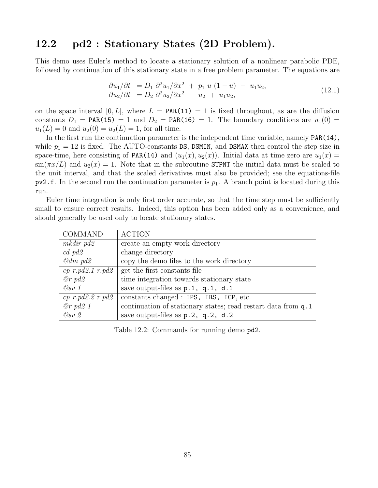#### 12.2 pd2 : Stationary States (2D Problem).

This demo uses Euler's method to locate a stationary solution of a nonlinear parabolic PDE, followed by continuation of this stationary state in a free problem parameter. The equations are

$$
\frac{\partial u_1}{\partial t} = D_1 \frac{\partial^2 u_1}{\partial x^2} + p_1 u (1 - u) - u_1 u_2, \n\frac{\partial u_2}{\partial t} = D_2 \frac{\partial^2 u_2}{\partial x^2} - u_2 + u_1 u_2,
$$
\n(12.1)

on the space interval  $[0, L]$ , where  $L = \text{PAR}(11) = 1$  is fixed throughout, as are the diffusion constants  $D_1$  = PAR(15) = 1 and  $D_2$  = PAR(16) = 1. The boundary conditions are  $u_1(0)$  =  $u_1(L) = 0$  and  $u_2(0) = u_2(L) = 1$ , for all time.

In the first run the continuation parameter is the independent time variable, namely PAR(14), while  $p_1 = 12$  is fixed. The AUTO-constants DS, DSMIN, and DSMAX then control the step size in space-time, here consisting of PAR(14) and  $(u_1(x), u_2(x))$ . Initial data at time zero are  $u_1(x)$  $\sin(\pi x/L)$  and  $u_2(x) = 1$ . Note that in the subroutine STPNT the initial data must be scaled to the unit interval, and that the scaled derivatives must also be provided; see the equations-file  $pv2.f.$  In the second run the continuation parameter is  $p_1$ . A branch point is located during this run.

Euler time integration is only first order accurate, so that the time step must be sufficiently small to ensure correct results. Indeed, this option has been added only as a convenience, and should generally be used only to locate stationary states.

| COMMAND                | <b>ACTION</b>                                                 |
|------------------------|---------------------------------------------------------------|
| $mkdir$ pd2            | create an empty work directory                                |
| $cd$ $pd2$             | change directory                                              |
| $\omega$ dm pd2        | copy the demo files to the work directory                     |
| $cp \ r.pd2.1 \ r.pd2$ | get the first constants-file                                  |
| $@r$ pd2               | time integration towards stationary state                     |
| @sv 1                  | save output-files as $p.1$ , $q.1$ , d.1                      |
| $cp \ r.pd2.2 \ r.pd2$ | constants changed : IPS, IRS, ICP, etc.                       |
| $@r$ pd2 1             | continuation of stationary states; read restart data from q.1 |
| $Q_{SV}$ 2             | save output-files as $p.2$ , $q.2$ , $d.2$                    |

Table 12.2: Commands for running demo pd2.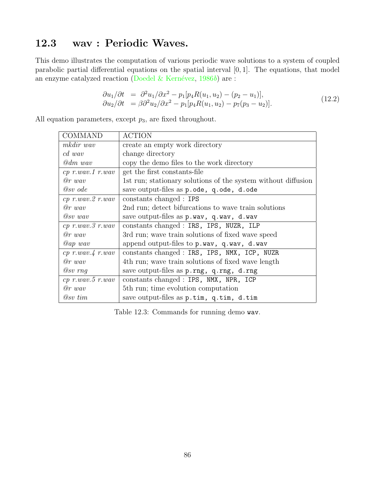# 12.3 wav : Periodic Waves.

This demo illustrates the computation of various periodic wave solutions to a system of coupled parabolic partial differential equations on the spatial interval [0, 1]. The equations, that model an enzyme catalyzed reaction (Doedel & Kernévez,  $1986b$  $1986b$ ) are :

$$
\begin{array}{ll}\n\partial u_1/\partial t &=& \partial^2 u_1/\partial x^2 - p_1[p_4 R(u_1, u_2) - (p_2 - u_1)], \\
\partial u_2/\partial t &=& \partial^2 u_2/\partial x^2 - p_1[p_4 R(u_1, u_2) - p_7(p_3 - u_2)].\n\end{array} \tag{12.2}
$$

All equation parameters, except  $p_3$ , are fixed throughout.

| <b>COMMAND</b>         | <b>ACTION</b>                                                 |
|------------------------|---------------------------------------------------------------|
| mkdir wav              | create an empty work directory                                |
| cd wav                 | change directory                                              |
| $\mathcal{Q}dm$ wav    | copy the demo files to the work directory                     |
| $cp$ r.wav.1 r.wav     | get the first constants-file                                  |
| $@r$ wav               | 1st run; stationary solutions of the system without diffusion |
| $@sv$ ode              | save output-files as p.ode, q.ode, d.ode                      |
| $cp$ r.wav. $2$ r.wav  | constants changed : IPS                                       |
| $@r$ wav               | 2nd run; detect bifurcations to wave train solutions          |
| $@sv$ wav              | save output-files as p.wav, q.wav, d.wav                      |
| $cp$ $r.wav.3$ $r.wav$ | constants changed : IRS, IPS, NUZR, ILP                       |
| $\varrho r$ wav        | 3rd run; wave train solutions of fixed wave speed             |
| $@ap$ wav              | append output-files to $p$ . wav, $q$ . wav, $d$ . wav        |
| $cp$ r.wav. $4$ r.wav  | constants changed : IRS, IPS, NMX, ICP, NUZR                  |
| $@r$ wav               | 4th run; wave train solutions of fixed wave length            |
| $@sv$ rng              | save output-files as p.rng, q.rng, d.rng                      |
| $cp$ r.wav.5 r.wav     | constants changed : IPS, NMX, NPR, ICP                        |
| $@r$ wav               | 5th run; time evolution computation                           |
| $\varnothing$ sv tim   | save output-files as $p.time$ , q.tim, d.tim                  |

Table 12.3: Commands for running demo wav.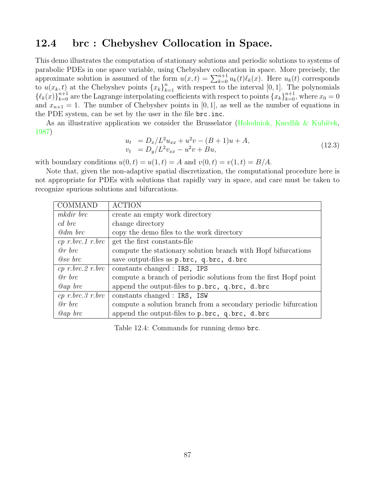#### 12.4 brc : Chebyshev Collocation in Space.

This demo illustrates the computation of stationary solutions and periodic solutions to systems of parabolic PDEs in one space variable, using Chebyshev collocation in space. More precisely, the approximate solution is assumed of the form  $u(x,t) = \sum_{k=0}^{n+1} u_k(t) \ell_k(x)$ . Here  $u_k(t)$  corresponds to  $u(x_k, t)$  at the Chebyshev points  $\{x_k\}_{k=1}^n$  with respect to the interval [0, 1]. The polynomials  $\{\ell_k(x)\}_{k=0}^{n+1}$  are the Lagrange interpolating coefficients with respect to points  $\{x_k\}_{k=0}^{n+1}$ , where  $x_0 = 0$ and  $x_{n+1} = 1$ . The number of Chebyshev points in [0, 1], as well as the number of equations in the PDE system, can be set by the user in the file brc.inc.

As an illustrative application we consider the Brusselator (Holodniok, Knedlik & Kubíček, [1987](#page-155-3))

$$
u_t = D_x/L^2 u_{xx} + u^2 v - (B+1)u + A,
$$
  
\n
$$
v_t = D_y/L^2 v_{xx} - u^2 v + Bu,
$$
\n(12.3)

with boundary conditions  $u(0, t) = u(1, t) = A$  and  $v(0, t) = v(1, t) = B/A$ .

Note that, given the non-adaptive spatial discretization, the computational procedure here is not appropriate for PDEs with solutions that rapidly vary in space, and care must be taken to recognize spurious solutions and bifurcations.

| COMMAND                | <b>ACTION</b>                                                    |
|------------------------|------------------------------------------------------------------|
| mkdir brc              | create an empty work directory                                   |
| cd brc                 | change directory                                                 |
| $\omega$ dm brc        | copy the demo files to the work directory                        |
| $cp \ r.brc.1 \ r.brc$ | get the first constants-file                                     |
| $\varrho r$ brc        | compute the stationary solution branch with Hopf bifurcations    |
| $@sv$ brc              | save output-files as p.brc, q.brc, d.brc                         |
| $cp \ r.brc.2 \ r.brc$ | constants changed : IRS, IPS                                     |
| $@r$ brc               | compute a branch of periodic solutions from the first Hopf point |
| $@ap$ brc              | append the output-files to p.brc, q.brc, d.brc                   |
| $cp \ r.brc.3 \ r.brc$ | constants changed : IRS, ISW                                     |
| $@r$ brc               | compute a solution branch from a secondary periodic bifurcation  |
| $Qap$ brc              | append the output-files to p.brc, q.brc, d.brc                   |

Table 12.4: Commands for running demo brc.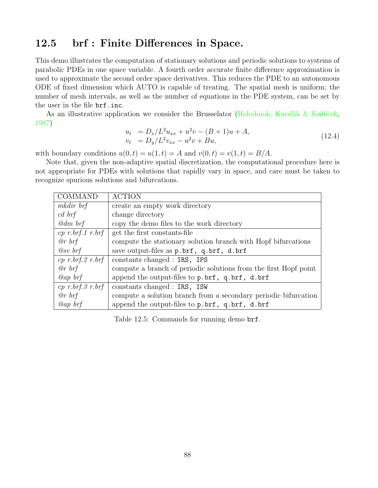#### 12.5 brf : Finite Differences in Space.

This demo illustrates the computation of stationary solutions and periodic solutions to systems of parabolic PDEs in one space variable. A fourth order accurate finite difference approximation is used to approximate the second order space derivatives. This reduces the PDE to an autonomous ODE of fixed dimension which AUTO is capable of treating. The spatial mesh is uniform; the number of mesh intervals, as well as the number of equations in the PDE system, can be set by the user in the file brf.inc.

As an illustrative application we consider the Brusselator (Holodniok, Knedlik & Kubíček, [1987](#page-155-3))

$$
u_t = D_x/L^2 u_{xx} + u^2 v - (B+1)u + A,
$$
  
\n
$$
v_t = D_y/L^2 v_{xx} - u^2 v + Bu,
$$
\n(12.4)

with boundary conditions  $u(0, t) = u(1, t) = A$  and  $v(0, t) = v(1, t) = B/A$ .

Note that, given the non-adaptive spatial discretization, the computational procedure here is not appropriate for PDEs with solutions that rapidly vary in space, and care must be taken to recognize spurious solutions and bifurcations.

| <b>COMMAND</b>         | <b>ACTION</b>                                                    |
|------------------------|------------------------------------------------------------------|
| mkdir brf              | create an empty work directory                                   |
| $cd \; b\mathcal{r}f$  | change directory                                                 |
| $\mathcal{Q}$ dm brf   | copy the demo files to the work directory                        |
| $cp \ r.brf.1 \ r.brf$ | get the first constants-file                                     |
| $\mathcal{Q}_r$ brf    | compute the stationary solution branch with Hopf bifurcations    |
| $Q_{SV}$ brf           | save output-files as p.brf, q.brf, d.brf                         |
| $cp \ r.brf.2 \ r.brf$ | constants changed : IRS, IPS                                     |
| $\mathcal{Q}_r$ brf    | compute a branch of periodic solutions from the first Hopf point |
| $Qap$ brf              | append the output-files to p.brf, q.brf, d.brf                   |
| $cp \ r.brf.3 \ r.brf$ | constants changed : IRS, ISW                                     |
| $\mathcal{Q}_r$ brf    | compute a solution branch from a secondary periodic bifurcation  |
| Qap~brf                | append the output-files to p.brf, q.brf, d.brf                   |

Table 12.5: Commands for running demo brf.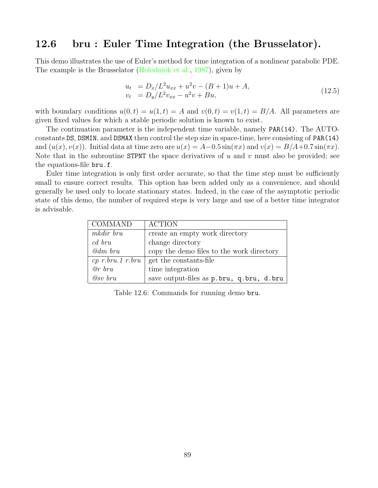#### 12.6 bru : Euler Time Integration (the Brusselator).

This demo illustrates the use of Euler's method for time integration of a nonlinear parabolic PDE. The example is the Brusselator [\(Holodniok et al.](#page-155-3), [1987](#page-155-3)), given by

$$
u_t = D_x/L^2 u_{xx} + u^2 v - (B+1)u + A,
$$
  
\n
$$
v_t = D_y/L^2 v_{xx} - u^2 v + Bu,
$$
\n(12.5)

with boundary conditions  $u(0, t) = u(1, t) = A$  and  $v(0, t) = v(1, t) = B/A$ . All parameters are given fixed values for which a stable periodic solution is known to exist.

The continuation parameter is the independent time variable, namely PAR(14). The AUTOconstants DS, DSMIN, and DSMAX then control the step size in space-time, here consisting of PAR(14) and  $(u(x), v(x))$ . Initial data at time zero are  $u(x) = A - 0.5 \sin(\pi x)$  and  $v(x) = B/A + 0.7 \sin(\pi x)$ . Note that in the subroutine STPNT the space derivatives of  $u$  and  $v$  must also be provided; see the equations-file bru.f.

Euler time integration is only first order accurate, so that the time step must be sufficiently small to ensure correct results. This option has been added only as a convenience, and should generally be used only to locate stationary states. Indeed, in the case of the asymptotic periodic state of this demo, the number of required steps is very large and use of a better time integrator is advisable.

| COMMAND                   | <b>ACTION</b>                             |
|---------------------------|-------------------------------------------|
| mkdir bru                 | create an empty work directory            |
| cd bru                    | change directory                          |
| $\mathcal{Q}$ dm bru      | copy the demo files to the work directory |
| $cp \; r.$ bru.1 $r.$ bru | get the constants-file                    |
| $@r$ bru                  | time integration                          |
| $Q_{SV}$ bru              | save output-files as p.bru, q.bru, d.bru  |

Table 12.6: Commands for running demo bru.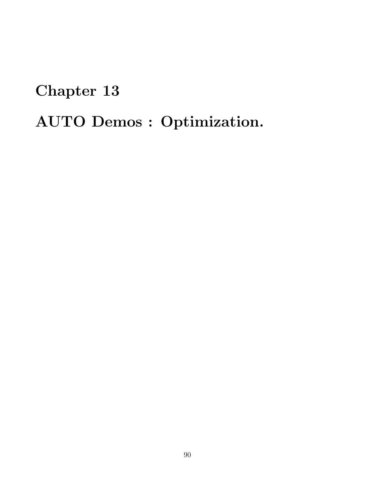# Chapter 13 AUTO Demos : Optimization.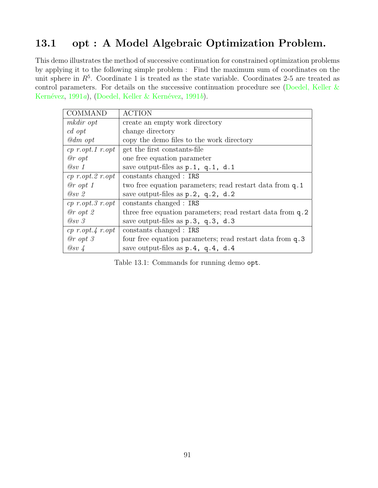# 13.1 opt : A Model Algebraic Optimization Problem.

This demo illustrates the method of successive continuation for constrained optimization problems by applying it to the following simple problem : Find the maximum sum of coordinates on the unit sphere in  $R^5$ . Coordinate 1 is treated as the state variable. Coordinates 2-5 are treated as control parameters. For details on the successive continuation procedure see([Doedel, Keller &](#page-155-0) Kernévez, [1991](#page-155-4)a),(Doedel, Keller & Kernévez, 1991b).

| <b>COMMAND</b>          | <b>ACTION</b>                                              |
|-------------------------|------------------------------------------------------------|
| mkdir opt               | create an empty work directory                             |
| $c d$ opt               | change directory                                           |
| $\mathcal{Q}$ dm opt    | copy the demo files to the work directory                  |
| $cp\ r. opt. 1\ r. opt$ | get the first constants-file                               |
| $@r$ opt                | one free equation parameter                                |
| @sv 1                   | save output-files as $p.1$ , $q.1$ , $d.1$                 |
| $cp\ r. opt. 2\ r. opt$ | constants changed : IRS                                    |
| $@r\; opt\; 1$          | two free equation parameters; read restart data from q.1   |
| $Q_{SV}$ 2              | save output-files as $p.2$ , $q.2$ , $d.2$                 |
| $cp\ r. opt. 3\ r. opt$ | constants changed : IRS                                    |
| $@r\; opt\; 2$          | three free equation parameters; read restart data from q.2 |
| $Q_{SV}$ 3              | save output-files as p.3, q.3, d.3                         |
| $cp\ r. opt.4\ r. opt$  | constants changed : IRS                                    |
| $@r\; opt\; 3$          | four free equation parameters; read restart data from q.3  |
| $@sv \downarrow$        | save output-files as $p.4$ , $q.4$ , $d.4$                 |

Table 13.1: Commands for running demo opt.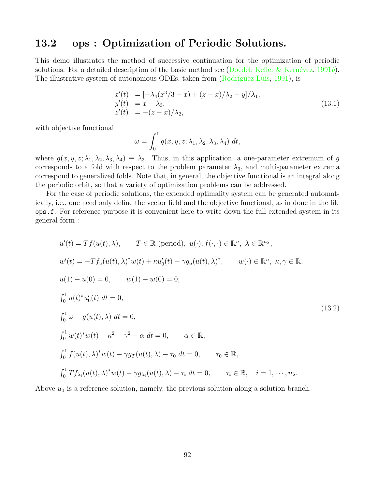#### 13.2 ops : Optimization of Periodic Solutions.

This demo illustrates the method of successive continuation for the optimization of periodic solutions. For a detailed description of the basic method see (Doedel, Keller & Kernévez, [1991](#page-155-4)b). The illustrative system of autonomous ODEs, taken from (Rodríguez-Luis, [1991](#page-156-3)), is

$$
x'(t) = [-\lambda_4(x^3/3 - x) + (z - x)/\lambda_2 - y]/\lambda_1,y'(t) = x - \lambda_3,z'(t) = -(z - x)/\lambda_2,
$$
\n(13.1)

with objective functional

$$
\omega = \int_0^1 g(x, y, z; \lambda_1, \lambda_2, \lambda_3, \lambda_4) dt,
$$

where  $g(x, y, z; \lambda_1, \lambda_2, \lambda_3, \lambda_4) \equiv \lambda_3$ . Thus, in this application, a one-parameter extremum of g corresponds to a fold with respect to the problem parameter  $\lambda_3$ , and multi-parameter extrema correspond to generalized folds. Note that, in general, the objective functional is an integral along the periodic orbit, so that a variety of optimization problems can be addressed.

For the case of periodic solutions, the extended optimality system can be generated automatically, i.e., one need only define the vector field and the objective functional, as in done in the file ops.f. For reference purpose it is convenient here to write down the full extended system in its general form :

$$
u'(t) = Tf(u(t), \lambda), \qquad T \in \mathbb{R} \text{ (period)}, \ u(\cdot), f(\cdot, \cdot) \in \mathbb{R}^n, \ \lambda \in \mathbb{R}^{n_{\lambda}},
$$
  
\n
$$
w'(t) = -Tf_u(u(t), \lambda)^* w(t) + \kappa u'_0(t) + \gamma g_u(u(t), \lambda)^*, \qquad w(\cdot) \in \mathbb{R}^n, \ \kappa, \gamma \in \mathbb{R},
$$
  
\n
$$
u(1) - u(0) = 0, \qquad w(1) - w(0) = 0,
$$
  
\n
$$
\int_0^1 u(t)^* u'_0(t) dt = 0,
$$
  
\n
$$
\int_0^1 w(t)^* w(t) + \kappa^2 + \gamma^2 - \alpha dt = 0, \qquad \alpha \in \mathbb{R},
$$
  
\n
$$
\int_0^1 f(u(t), \lambda)^* w(t) - \gamma g_T(u(t), \lambda) - \tau_0 dt = 0, \qquad \tau_0 \in \mathbb{R},
$$
  
\n
$$
\int_0^1 Tf_{\lambda_i}(u(t), \lambda)^* w(t) - \gamma g_{\lambda_i}(u(t), \lambda) - \tau_i dt = 0, \qquad \tau_i \in \mathbb{R}, \quad i = 1, \dots, n_{\lambda}.
$$
  
\n(13.2)

Above  $u_0$  is a reference solution, namely, the previous solution along a solution branch.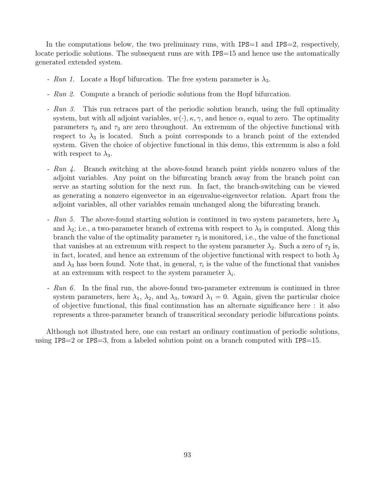In the computations below, the two preliminary runs, with  $IPS=1$  and  $IPS=2$ , respectively, locate periodic solutions. The subsequent runs are with IPS=15 and hence use the automatically generated extended system.

- Run 1. Locate a Hopf bifurcation. The free system parameter is  $\lambda_3$ .
- Run 2. Compute a branch of periodic solutions from the Hopf bifurcation.
- Run 3. This run retraces part of the periodic solution branch, using the full optimality system, but with all adjoint variables,  $w(\cdot), \kappa, \gamma$ , and hence  $\alpha$ , equal to zero. The optimality parameters  $\tau_0$  and  $\tau_3$  are zero throughout. An extremum of the objective functional with respect to  $\lambda_3$  is located. Such a point corresponds to a branch point of the extended system. Given the choice of objective functional in this demo, this extremum is also a fold with respect to  $\lambda_3$ .
- Run 4. Branch switching at the above-found branch point yields nonzero values of the adjoint variables. Any point on the bifurcating branch away from the branch point can serve as starting solution for the next run. In fact, the branch-switching can be viewed as generating a nonzero eigenvector in an eigenvalue-eigenvector relation. Apart from the adjoint variables, all other variables remain unchanged along the bifurcating branch.
- Run 5. The above-found starting solution is continued in two system parameters, here  $\lambda_3$ and  $\lambda_2$ ; i.e., a two-parameter branch of extrema with respect to  $\lambda_3$  is computed. Along this branch the value of the optimality parameter  $\tau_2$  is monitored, i.e., the value of the functional that vanishes at an extremum with respect to the system parameter  $\lambda_2$ . Such a zero of  $\tau_2$  is, in fact, located, and hence an extremum of the objective functional with respect to both  $\lambda_2$ and  $\lambda_3$  has been found. Note that, in general,  $\tau_i$  is the value of the functional that vanishes at an extremum with respect to the system parameter  $\lambda_i$ .
- Run 6. In the final run, the above-found two-parameter extremum is continued in three system parameters, here  $\lambda_1$ ,  $\lambda_2$ , and  $\lambda_3$ , toward  $\lambda_1 = 0$ . Again, given the particular choice of objective functional, this final continuation has an alternate significance here : it also represents a three-parameter branch of transcritical secondary periodic bifurcations points.

Although not illustrated here, one can restart an ordinary continuation of periodic solutions, using  $IPS=2$  or  $IPS=3$ , from a labeled solution point on a branch computed with  $IPS=15$ .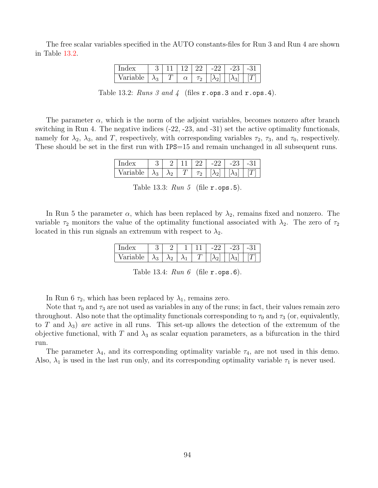The free scalar variables specified in the AUTO constants-files for Run 3 and Run 4 are shown in Table [13.2.](#page-94-0)

| Index    |             |  | 22       | $-22$ | $-23$ |  |
|----------|-------------|--|----------|-------|-------|--|
| Variable | $\lambda_3$ |  | $\tau_2$ |       |       |  |

<span id="page-94-0"></span>

| Table 13.2: Runs 3 and 4 (files $r.\texttt{ops.3}$ and $r.\texttt{ops.4}$ ). |  |  |
|------------------------------------------------------------------------------|--|--|
|------------------------------------------------------------------------------|--|--|

The parameter  $\alpha$ , which is the norm of the adjoint variables, becomes nonzero after branch switching in Run 4. The negative indices (-22, -23, and -31) set the active optimality functionals, namely for  $\lambda_2$ ,  $\lambda_3$ , and T, respectively, with corresponding variables  $\tau_2$ ,  $\tau_3$ , and  $\tau_0$ , respectively. These should be set in the first run with IPS=15 and remain unchanged in all subsequent runs.

| Index           |             |             |                 | $-2^\circ$ | -25 |  |
|-----------------|-------------|-------------|-----------------|------------|-----|--|
| hle.<br>Variat. | $\lambda_3$ | $\lambda_2$ | $\tau_{\Omega}$ |            |     |  |

Table 13.3:  $Run 5$  (file r.ops.5).

In Run 5 the parameter  $\alpha$ , which has been replaced by  $\lambda_2$ , remains fixed and nonzero. The variable  $\tau_2$  monitors the value of the optimality functional associated with  $\lambda_2$ . The zero of  $\tau_2$ located in this run signals an extremum with respect to  $\lambda_2$ .

| `nde∶       |                |     | <u>.</u> | × | $\overline{\phantom{0}}$ | н., |  |
|-------------|----------------|-----|----------|---|--------------------------|-----|--|
| я<br>$\sim$ | $\Omega$<br>٦5 | ላ ? |          |   |                          |     |  |

Table 13.4:  $Run 6$  (file  $r.ops.6$ ).

In Run 6  $\tau_2$ , which has been replaced by  $\lambda_1$ , remains zero.

Note that  $\tau_0$  and  $\tau_3$  are not used as variables in any of the runs; in fact, their values remain zero throughout. Also note that the optimality functionals corresponding to  $\tau_0$  and  $\tau_3$  (or, equivalently, to T and  $\lambda_3$ ) are active in all runs. This set-up allows the detection of the extremum of the objective functional, with T and  $\lambda_3$  as scalar equation parameters, as a bifurcation in the third run.

The parameter  $\lambda_4$ , and its corresponding optimality variable  $\tau_4$ , are not used in this demo. Also,  $\lambda_1$  is used in the last run only, and its corresponding optimality variable  $\tau_1$  is never used.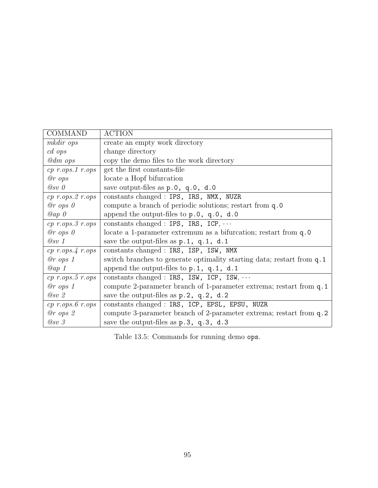| <b>COMMAND</b>             | <b>ACTION</b>                                                          |
|----------------------------|------------------------------------------------------------------------|
| mkdir ops                  | create an empty work directory                                         |
| $cd$ ops                   | change directory                                                       |
| $@dm$ ops                  | copy the demo files to the work directory                              |
| $cp\ r.ops.1\ r.ops$       | get the first constants-file                                           |
| @r~ops                     | locate a Hopf bifurcation                                              |
| $@sv$ 0                    | save output-files as $p.0$ , $q.0$ , $d.0$                             |
| $cp$ r.ops. $2$ r.ops      | constants changed : IPS, IRS, NMX, NUZR                                |
| $@r$ ops $0$               | compute a branch of periodic solutions; restart from q.0               |
| $Qap$ 0                    | append the output-files to $p.0$ , $q.0$ , $d.0$                       |
| $cp\ r.ops.3\ r.ops$       | constants changed : IPS, IRS, ICP, $\cdots$                            |
| $@r$ ops $0$               | locate a 1-parameter extremum as a bifurcation; restart from q.0       |
| @sv 1                      | save the output-files as $p.1$ , $q.1$ , $d.1$                         |
| $cp\ r.ops.4\ r.ops$       | constants changed : IRS, ISP, ISW, NMX                                 |
| $@r$ ops 1                 | switch branches to generate optimality starting data; restart from q.1 |
| $Qap$ 1                    | append the output-files to $p.1$ , $q.1$ , $d.1$                       |
| $cp\ r.ops. 5\ r. ops.$    | constants changed : IRS, ISW, ICP, ISW, $\cdots$                       |
| $@r$ ops 1                 | compute 2-parameter branch of 1-parameter extrema; restart from q.1    |
| $Q_{SV}$ 2                 | save the output-files as $p.2$ , $q.2$ , $d.2$                         |
| $cp\ r.\ ops.\ 6\ r.\ ops$ | constants changed : IRS, ICP, EPSL, EPSU, NUZR                         |
| $@r$ ops $2$               | compute 3-parameter branch of 2-parameter extrema; restart from q.2    |
| $Q_{SV}$ 3                 | save the output-files as $p.3$ , $q.3$ , $d.3$                         |

Table 13.5: Commands for running demo ops.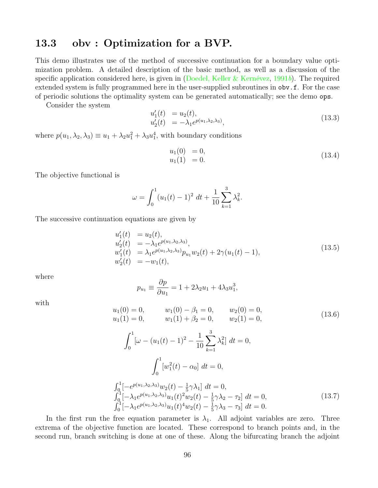#### 13.3 obv : Optimization for a BVP.

This demo illustrates use of the method of successive continuation for a boundary value optimization problem. A detailed description of the basic method, as well as a discussion of the specific application considered here, is given in (Doedel, Keller & Kernévez, [1991](#page-155-4)b). The required extended system is fully programmed here in the user-supplied subroutines in obv.f. For the case of periodic solutions the optimality system can be generated automatically; see the demo ops.

Consider the system

$$
u'_1(t) = u_2(t), u'_2(t) = -\lambda_1 e^{p(u_1, \lambda_2, \lambda_3)},
$$
\n(13.3)

where  $p(u_1, \lambda_2, \lambda_3) \equiv u_1 + \lambda_2 u_1^2 + \lambda_3 u_1^4$ , with boundary conditions

$$
u_1(0) = 0,u_1(1) = 0.
$$
 (13.4)

The objective functional is

$$
\omega = \int_0^1 (u_1(t) - 1)^2 dt + \frac{1}{10} \sum_{k=1}^3 \lambda_k^2.
$$

The successive continuation equations are given by

$$
u'_1(t) = u_2(t),
$$
  
\n
$$
u'_2(t) = -\lambda_1 e^{p(u_1, \lambda_2, \lambda_3)},
$$
  
\n
$$
w'_1(t) = \lambda_1 e^{p(u_1, \lambda_2, \lambda_3)} p_{u_1} w_2(t) + 2\gamma (u_1(t) - 1),
$$
  
\n
$$
w'_2(t) = -w_1(t),
$$
\n(13.5)

where

$$
p_{u_1} \equiv \frac{\partial p}{\partial u_1} = 1 + 2\lambda_2 u_1 + 4\lambda_3 u_1^3,
$$

with

$$
u_1(0) = 0, \t\t w_1(0) - \beta_1 = 0, \t\t w_2(0) = 0, u_1(1) = 0, \t\t w_1(1) + \beta_2 = 0, \t\t w_2(1) = 0,
$$
\t\t(13.6)

$$
\int_0^1 [\omega - (u_1(t) - 1)^2 - \frac{1}{10} \sum_{k=1}^3 \lambda_k^2] dt = 0,
$$
  

$$
\int_0^1 [w_1^2(t) - \alpha_0] dt = 0,
$$
  

$$
\int_0^1 [-e^{p(u_1, \lambda_2, \lambda_3)} w_2(t) - \frac{1}{5} \gamma \lambda_1] dt = 0,
$$
  

$$
\int_0^1 [-\lambda_1 e^{p(u_1, \lambda_2, \lambda_3)} u_1(t)^2 w_2(t) - \frac{1}{5} \gamma \lambda_2 - \tau_2] dt = 0,
$$
  

$$
\int_0^1 [-\lambda_1 e^{p(u_1, \lambda_2, \lambda_3)} u_1(t)^2 w_2(t) - \frac{1}{5} \gamma \lambda_3 - \tau_3] dt = 0.
$$
 (13.7)

In the first run the free equation parameter is  $\lambda_1$ . All adjoint variables are zero. Three extrema of the objective function are located. These correspond to branch points and, in the second run, branch switching is done at one of these. Along the bifurcating branch the adjoint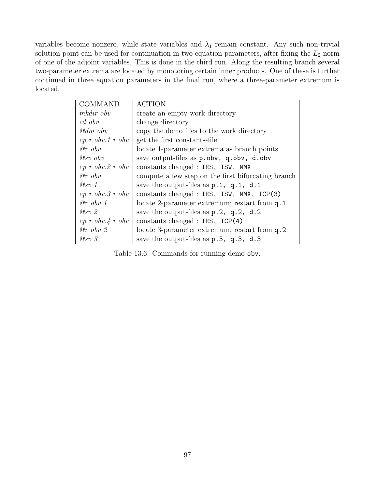variables become nonzero, while state variables and  $\lambda_1$  remain constant. Any such non-trivial solution point can be used for continuation in two equation parameters, after fixing the  $L_2$ -norm of one of the adjoint variables. This is done in the third run. Along the resulting branch several two-parameter extrema are located by monotoring certain inner products. One of these is further continued in three equation parameters in the final run, where a three-parameter extremum is located.

| <b>COMMAND</b>       | <b>ACTION</b>                                      |
|----------------------|----------------------------------------------------|
| mkdir obv            | create an empty work directory                     |
| $cd\;obv$            | change directory                                   |
| $@dm$ obv            | copy the demo files to the work directory          |
| $cp\ r.obv.1\ r.obv$ | get the first constants-file                       |
| $@r\;obv$            | locate 1-parameter extrema as branch points        |
| $@sv$ obv            | save output-files as p.obv, q.obv, d.obv           |
| $cp\ r.obv.2\ r.obv$ | constants changed : IRS, ISW, NMX                  |
| $@r\;obv$            | compute a few step on the first bifurcating branch |
| @sv 1                | save the output-files as $p.1$ , $q.1$ , $d.1$     |
| $cp\ r.obv.3\ r.obv$ | constants changed : IRS, ISW, NMX, ICP(3)          |
| $@r\;obv\;1$         | locate 2-parameter extremum; restart from q.1      |
| $Q_{SV}$ 2           | save the output-files as $p.2$ , $q.2$ , $d.2$     |
| $cp\ r.obv.4\ r.obv$ | constants changed : $IRS$ , $ICP(4)$               |
| $@r\;obv\;2$         | locate 3-parameter extremum; restart from q.2      |
| $\oslash sv$ 3       | save the output-files as $p.3$ , $q.3$ , $d.3$     |

Table 13.6: Commands for running demo obv.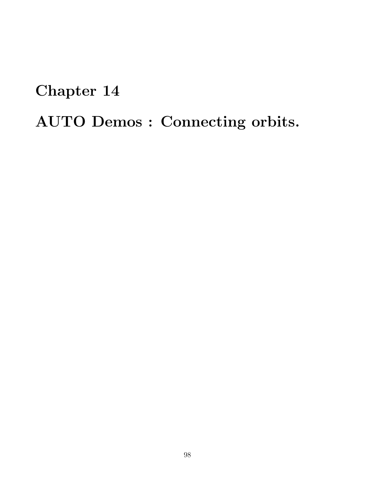Chapter 14

AUTO Demos : Connecting orbits.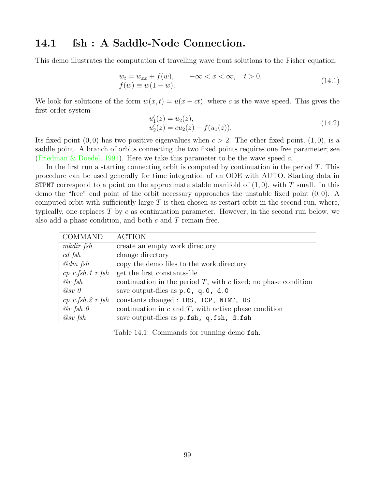#### 14.1 fsh : A Saddle-Node Connection.

This demo illustrates the computation of travelling wave front solutions to the Fisher equation,

$$
w_t = w_{xx} + f(w), \qquad -\infty < x < \infty, \quad t > 0, \tag{14.1}
$$
\n
$$
f(w) \equiv w(1 - w).
$$

We look for solutions of the form  $w(x, t) = u(x + ct)$ , where c is the wave speed. This gives the first order system

$$
u'_1(z) = u_2(z), u'_2(z) = cu_2(z) - f(u_1(z)).
$$
\n(14.2)

Its fixed point  $(0,0)$  has two positive eigenvalues when  $c > 2$ . The other fixed point,  $(1,0)$ , is a saddle point. A branch of orbits connecting the two fixed points requires one free parameter; see ([Friedman & Doedel](#page-155-5), [1991\)](#page-155-5). Here we take this parameter to be the wave speed  $c$ .

In the first run a starting connecting orbit is computed by continuation in the period  $T$ . This procedure can be used generally for time integration of an ODE with AUTO. Starting data in **STPNT** correspond to a point on the approximate stable manifold of  $(1, 0)$ , with T small. In this demo the "free" end point of the orbit necessary approaches the unstable fixed point  $(0, 0)$ . A computed orbit with sufficiently large  $T$  is then chosen as restart orbit in the second run, where, typically, one replaces T by c as continuation parameter. However, in the second run below, we also add a phase condition, and both  $c$  and  $T$  remain free.

| COMMAND                | <b>ACTION</b>                                                       |  |
|------------------------|---------------------------------------------------------------------|--|
| mkdir fsh              | create an empty work directory                                      |  |
| cd~fsh                 | change directory                                                    |  |
| $\mathcal{Q}$ dm fsh   | copy the demo files to the work directory                           |  |
|                        | cp r fsh 1 r fsh   get the first constants-file                     |  |
| @r fsh                 | continuation in the period $T$ , with $c$ fixed; no phase condition |  |
| $@sv$ 0                | save output-files as p.0, q.0, d.0                                  |  |
| $cp \ r.fsh.2 \ r.fsh$ | constants changed : IRS, ICP, NINT, DS                              |  |
| @r fsh 0               | continuation in $c$ and $T$ , with active phase condition           |  |
| $@sv$ fsh              | save output-files as p.fsh, q.fsh, d.fsh                            |  |

Table 14.1: Commands for running demo fsh.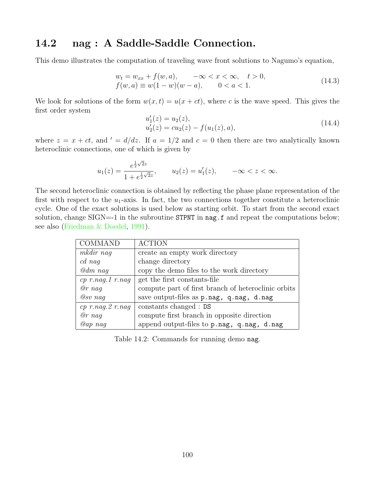## 14.2 nag : A Saddle-Saddle Connection.

This demo illustrates the computation of traveling wave front solutions to Nagumo's equation,

$$
w_t = w_{xx} + f(w, a), \quad -\infty < x < \infty, \quad t > 0, \\
 f(w, a) \equiv w(1 - w)(w - a), \quad 0 < a < 1. \tag{14.3}
$$

We look for solutions of the form  $w(x, t) = u(x + ct)$ , where c is the wave speed. This gives the first order system

$$
u'_1(z) = u_2(z), u'_2(z) = cu_2(z) - f(u_1(z), a),
$$
\n(14.4)

where  $z = x + ct$ , and  $d = d/dz$ . If  $a = 1/2$  and  $c = 0$  then there are two analytically known heteroclinic connections, one of which is given by

$$
u_1(z) = \frac{e^{\frac{1}{2}\sqrt{2}z}}{1 + e^{\frac{1}{2}\sqrt{2}z}}, \qquad u_2(z) = u'_1(z), \qquad -\infty < z < \infty.
$$

The second heteroclinic connection is obtained by reflecting the phase plane representation of the first with respect to the  $u_1$ -axis. In fact, the two connections together constitute a heteroclinic cycle. One of the exact solutions is used below as starting orbit. To start from the second exact solution, change  $SIGN = -1$  in the subroutine  $SIPNT$  in  $nag$ . f and repeat the computations below; see also [\(Friedman & Doedel](#page-155-5), [1991](#page-155-5)).

| COMMAND                | <b>ACTION</b>                                       |
|------------------------|-----------------------------------------------------|
| mkdir nag              | create an empty work directory                      |
| cd nag                 | change directory                                    |
| $\mathcal{Q}$ dm nag   | copy the demo files to the work directory           |
| $cp$ $r.nag.1$ $r.nag$ | get the first constants-file                        |
| $@r\ nag$              | compute part of first branch of heteroclinic orbits |
| $Q_{SV}$ nag           | save output-files as p.nag, q.nag, d.nag            |
| $cp$ r.nag. $2$ r.nag  | constants changed : DS                              |
| $@r\ nag$              | compute first branch in opposite direction          |
| $@ap$ naq              | append output-files to p.nag, q.nag, d.nag          |

Table 14.2: Commands for running demo nag.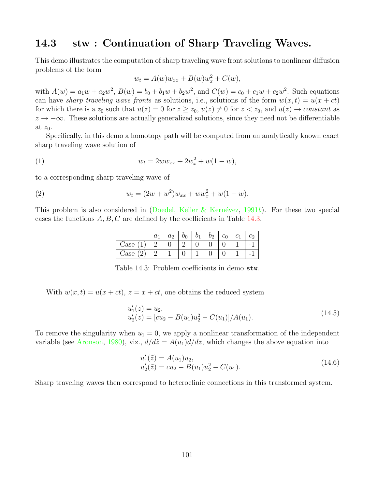#### 14.3 stw : Continuation of Sharp Traveling Waves.

This demo illustrates the computation of sharp traveling wave front solutions to nonlinear diffusion problems of the form

$$
w_t = A(w)w_{xx} + B(w)w_x^2 + C(w),
$$

with  $A(w) = a_1w + a_2w^2$ ,  $B(w) = b_0 + b_1w + b_2w^2$ , and  $C(w) = c_0 + c_1w + c_2w^2$ . Such equations can have sharp traveling wave fronts as solutions, i.e., solutions of the form  $w(x, t) = u(x + ct)$ for which there is a  $z_0$  such that  $u(z) = 0$  for  $z \ge z_0$ ,  $u(z) \ne 0$  for  $z < z_0$ , and  $u(z) \rightarrow constant$  as  $z \rightarrow -\infty$ . These solutions are actually generalized solutions, since they need not be differentiable at  $z_0$ .

Specifically, in this demo a homotopy path will be computed from an analytically known exact sharp traveling wave solution of

(1) 
$$
w_t = 2ww_{xx} + 2w_x^2 + w(1 - w),
$$

to a corresponding sharp traveling wave of

(2) 
$$
w_t = (2w + w^2)w_{xx} + ww_x^2 + w(1 - w).
$$

This problem is also considered in (Doedel, Keller & Kernévez, [1991](#page-155-4)b). For these two special cases the functions  $A, B, C$  are defined by the coefficients in Table [14.3](#page-101-0).

|            | a <sub>1</sub> | a <sub>2</sub> | $b_0$ | $b_1$ | $b_2$ | $c_0$ | $\mathcal{C}_1$ |  |
|------------|----------------|----------------|-------|-------|-------|-------|-----------------|--|
| Case $(1)$ |                |                |       |       |       |       |                 |  |
| Case $(2)$ |                |                |       |       |       |       |                 |  |

<span id="page-101-0"></span>Table 14.3: Problem coefficients in demo stw.

With  $w(x, t) = u(x + ct)$ ,  $z = x + ct$ , one obtains the reduced system

$$
u'_1(z) = u_2,
$$
  
\n
$$
u'_2(z) = [cu_2 - B(u_1)u_2^2 - C(u_1)]/A(u_1).
$$
\n(14.5)

To remove the singularity when  $u_1 = 0$ , we apply a nonlinear transformation of the independent variable (see [Aronson](#page-154-0), [1980\)](#page-154-0), viz.,  $d/d\tilde{z} = A(u_1)d/dz$ , which changes the above equation into

$$
u'_1(\tilde{z}) = A(u_1)u_2,
$$
  
\n
$$
u'_2(\tilde{z}) = cu_2 - B(u_1)u_2^2 - C(u_1).
$$
\n(14.6)

Sharp traveling waves then correspond to heteroclinic connections in this transformed system.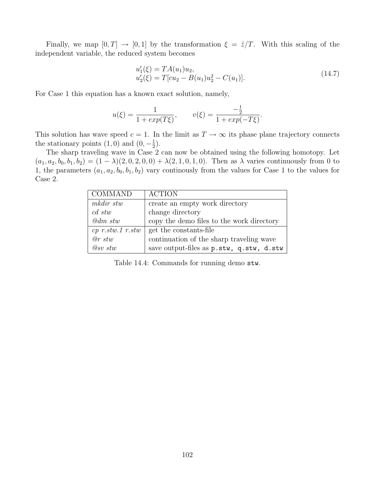Finally, we map  $[0, T] \rightarrow [0, 1]$  by the transformation  $\xi = \tilde{z}/T$ . With this scaling of the independent variable, the reduced system becomes

$$
u'_1(\xi) = TA(u_1)u_2,
$$
  
\n
$$
u'_2(\xi) = T[cu_2 - B(u_1)u_2^2 - C(u_1)].
$$
\n(14.7)

For Case 1 this equation has a known exact solution, namely,

$$
u(\xi) = \frac{1}{1 + exp(T\xi)}, \qquad v(\xi) = \frac{-\frac{1}{2}}{1 + exp(-T\xi)}.
$$

This solution has wave speed  $c = 1$ . In the limit as  $T \to \infty$  its phase plane trajectory connects the stationary points  $(1,0)$  and  $(0,-\frac{1}{2})$  $(\frac{1}{2})$ .

The sharp traveling wave in Case 2 can now be obtained using the following homotopy. Let  $(a_1, a_2, b_0, b_1, b_2) = (1 - \lambda)(2, 0, 2, 0, 0) + \lambda(2, 1, 0, 1, 0)$ . Then as  $\lambda$  varies continuously from 0 to 1, the parameters  $(a_1, a_2, b_0, b_1, b_2)$  vary continously from the values for Case 1 to the values for Case 2.

| <b>COMMAND</b>      | <b>ACTION</b>                             |
|---------------------|-------------------------------------------|
| mkdir stw           | create an empty work directory            |
| $cd$ stw            | change directory                          |
| $\mathcal{Q}dm$ stw | copy the demo files to the work directory |
| $cp$ r.stw.1 r.stw  | get the constants-file                    |
| $@r$ stw            | continuation of the sharp traveling wave  |
| $Q_{SV}$ stw        | save output-files as p.stw, q.stw, d.stw  |

Table 14.4: Commands for running demo stw.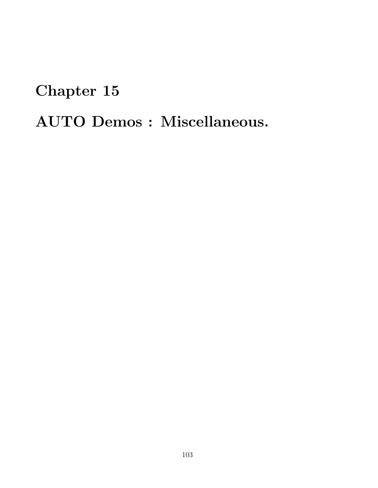# Chapter 15 AUTO Demos : Miscellaneous.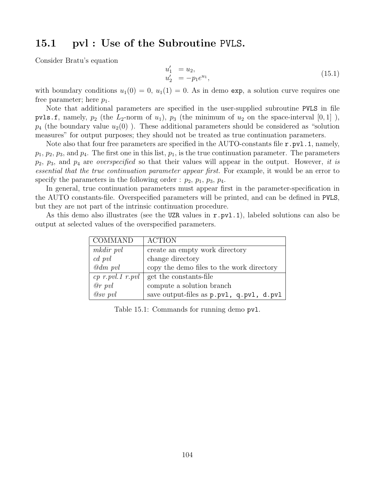#### 15.1 pvl : Use of the Subroutine PVLS.

Consider Bratu's equation

$$
u_1' = u_2,u_2' = -p_1 e^{u_1},
$$
\n(15.1)

with boundary conditions  $u_1(0) = 0$ ,  $u_1(1) = 0$ . As in demo exp, a solution curve requires one free parameter; here  $p_1$ .

Note that additional parameters are specified in the user-supplied subroutine PVLS in file pvls.f, namely,  $p_2$  (the  $L_2$ -norm of  $u_1$ ),  $p_3$  (the minimum of  $u_2$  on the space-interval  $[0, 1]$ ),  $p_4$  (the boundary value  $u_2(0)$ ). These additional parameters should be considered as "solution" measures" for output purposes; they should not be treated as true continuation parameters.

Note also that four free parameters are specified in the AUTO-constants file  $r.$  pvl.1, namely,  $p_1, p_2, p_3$ , and  $p_4$ . The first one in this list,  $p_1$ , is the true continuation parameter. The parameters  $p_2$ ,  $p_3$ , and  $p_4$  are *overspecified* so that their values will appear in the output. However, it is essential that the true continuation parameter appear first. For example, it would be an error to specify the parameters in the following order :  $p_2$ ,  $p_1$ ,  $p_3$ ,  $p_4$ .

In general, true continuation parameters must appear first in the parameter-specification in the AUTO constants-file. Overspecified parameters will be printed, and can be defined in PVLS, but they are not part of the intrinsic continuation procedure.

As this demo also illustrates (see the UZR values in  $r.$  pvl.1), labeled solutions can also be output at selected values of the overspecified parameters.

| COMMAND         | <b>ACTION</b>                                    |
|-----------------|--------------------------------------------------|
| mkdir pvl       | create an empty work directory                   |
| $cd$ pvl        | change directory                                 |
| $\omega$ dm pvl | copy the demo files to the work directory        |
|                 | <i>cp r.pvl.1 r.pvl</i>   get the constants-file |
| $@r$ pvl        | compute a solution branch                        |
| $Q_{SV}$ pvl    | save output-files as p.pvl, q.pvl, d.pvl         |

Table 15.1: Commands for running demo  $pv1$ .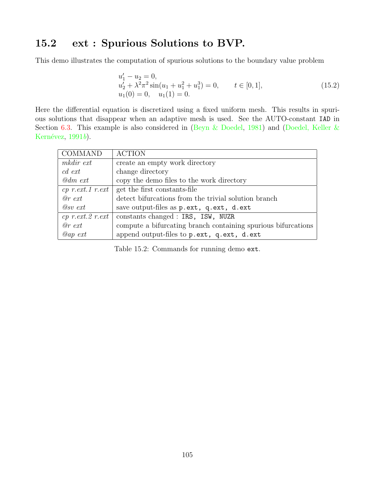## 15.2 ext : Spurious Solutions to BVP.

This demo illustrates the computation of spurious solutions to the boundary value problem

$$
u'_1 - u_2 = 0,
$$
  
\n
$$
u'_2 + \lambda^2 \pi^2 \sin(u_1 + u_1^2 + u_1^3) = 0, \qquad t \in [0, 1],
$$
  
\n
$$
u_1(0) = 0, \quad u_1(1) = 0.
$$
\n(15.2)

Here the differential equation is discretized using a fixed uniform mesh. This results in spurious solutions that disappear when an adaptive mesh is used. See the AUTO-constant IAD in Section [6.3.](#page-30-0) This example is also considered in [\(Beyn & Doedel](#page-154-1), [1981\)](#page-154-1) and [\(Doedel, Keller &](#page-155-4) Kernévez,  $1991b$  $1991b$ .

| COMMAND               | <b>ACTION</b>                                                 |  |
|-----------------------|---------------------------------------------------------------|--|
| mkdir ext             | create an empty work directory                                |  |
| $cd$ ext              | change directory                                              |  |
| $\omega$ dm ext       | copy the demo files to the work directory                     |  |
| $cp$ r.ext.1 r.ext    | get the first constants-file                                  |  |
| $\varnothing$ r ext   | detect bifurcations from the trivial solution branch          |  |
| $\oslash$ sv ext      | save output-files as p.ext, q.ext, d.ext                      |  |
| $cp$ r.ext. $2$ r.ext | constants changed : IRS, ISW, NUZR                            |  |
| $\varnothing$ r ext   | compute a bifurcating branch containing spurious bifurcations |  |
| $Qap$ ext             | append output-files to p.ext, q.ext, d.ext                    |  |

Table 15.2: Commands for running demo ext.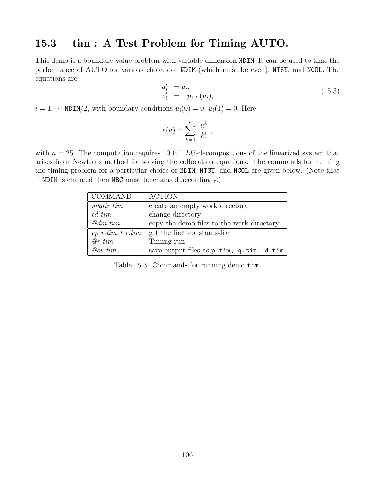#### 15.3 tim : A Test Problem for Timing AUTO.

This demo is a boundary value problem with variable dimension NDIM. It can be used to time the performance of AUTO for various choices of NDIM (which must be even), NTST, and NCOL. The equations are

$$
u'_{i} = u_{i}, v'_{i} = -p_{1} e(u_{i}),
$$
\n(15.3)

 $i = 1, \dots, \text{NDIM}/2$ , with boundary conditions  $u_i(0) = 0$ ,  $u_i(1) = 0$ . Here

$$
e(u) = \sum_{k=0}^{n} \frac{u^k}{k!},
$$

with  $n = 25$ . The computation requires 10 full LU-decompositions of the linearized system that arises from Newton's method for solving the collocation equations. The commands for running the timing problem for a particular choice of NDIM, NTST, and NCOL are given below. (Note that if NDIM is changed then NBC must be changed accordingly.)

| COMMAND             | <b>ACTION</b>                             |
|---------------------|-------------------------------------------|
| mkdir tim           | create an empty work directory            |
| $c d$ tim           | change directory                          |
| $\mathcal{Q}dm$ tim | copy the demo files to the work directory |
| $cp$ r.tim.1 r.tim  | get the first constants-file              |
| @rtim               | Timing run                                |
| $@sv$ tim           | save output-files as p.tim, q.tim, d.tim  |

Table 15.3: Commands for running demo tim.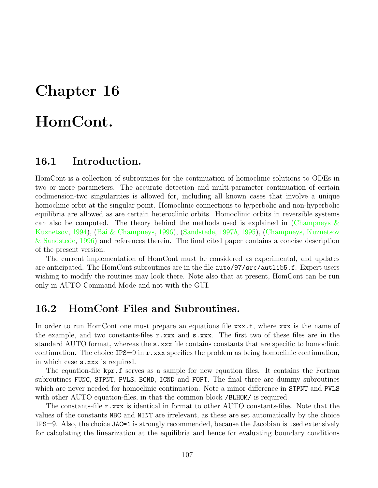# Chapter 16

# HomCont.

#### 16.1 Introduction.

HomCont is a collection of subroutines for the continuation of homoclinic solutions to ODEs in two or more parameters. The accurate detection and multi-parameter continuation of certain codimension-two singularities is allowed for, including all known cases that involve a unique homoclinic orbit at the singular point. Homoclinic connections to hyperbolic and non-hyperbolic equilibria are allowed as are certain heteroclinic orbits. Homoclinic orbits in reversible systems can also be computed. The theory behind the methods used is explained in (Champneys  $\&$ [Kuznetsov](#page-154-2), [1994\)](#page-154-2),([Bai & Champneys](#page-154-3), [1996\)](#page-154-3),([Sandstede](#page-156-4), [1997](#page-156-4)b, [1995](#page-156-5)), [\(Champneys, Kuznetsov](#page-154-4) [& Sandstede,](#page-154-4) [1996\)](#page-154-4) and references therein. The final cited paper contains a concise description of the present version.

The current implementation of HomCont must be considered as experimental, and updates are anticipated. The HomCont subroutines are in the file auto/97/src/autlib5.f. Expert users wishing to modify the routines may look there. Note also that at present, HomCont can be run only in AUTO Command Mode and not with the GUI.

#### 16.2 HomCont Files and Subroutines.

In order to run HomCont one must prepare an equations file xxx.f, where xxx is the name of the example, and two constants-files r.xxx and s.xxx. The first two of these files are in the standard AUTO format, whereas the s.xxx file contains constants that are specific to homoclinic continuation. The choice  $IPS=9$  in  $r$ .xxx specifies the problem as being homoclinic continuation, in which case s.xxx is required.

The equation-file kpr.f serves as a sample for new equation files. It contains the Fortran subroutines FUNC, STPNT, PVLS, BCND, ICND and FOPT. The final three are dummy subroutines which are never needed for homoclinic continuation. Note a minor difference in STPNT and PVLS with other AUTO equation-files, in that the common block /BLHOM/ is required.

The constants-file r.xxx is identical in format to other AUTO constants-files. Note that the values of the constants NBC and NINT are irrelevant, as these are set automatically by the choice IPS=9. Also, the choice JAC=1 is strongly recommended, because the Jacobian is used extensively for calculating the linearization at the equilibria and hence for evaluating boundary conditions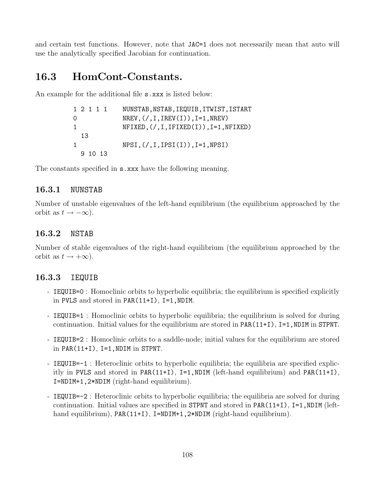and certain test functions. However, note that JAC=1 does not necessarily mean that auto will use the analytically specified Jacobian for continuation.

## 16.3 HomCont-Constants.

An example for the additional file **s**.xxx is listed below:

|   | 1 2 1 1 1 |  | NUNSTAB, NSTAB, IEQUIB, ITWIST, ISTART                    |
|---|-----------|--|-----------------------------------------------------------|
| 0 |           |  | $NREV$ , $\left(\frac{1}{1}, IREV(I)\right)$ , I=1, NREV) |
| 1 |           |  | $NFIXED, (/, I, IFIXED(I)), I=1, NFIXED)$                 |
|   | 13        |  |                                                           |
|   |           |  | $NPSI, (/,I,IPSI(I)), I=1,NPSI)$                          |
|   | 9 10 13   |  |                                                           |

The constants specified in **s**.xxx have the following meaning.

### 16.3.1 NUNSTAB

Number of unstable eigenvalues of the left-hand equilibrium (the equilibrium approached by the orbit as  $t \to -\infty$ ).

### 16.3.2 NSTAB

Number of stable eigenvalues of the right-hand equilibrium (the equilibrium approached by the orbit as  $t \to +\infty$ ).

### 16.3.3 IEQUIB

- IEQUIB=0 : Homoclinic orbits to hyperbolic equilibria; the equilibrium is specified explicitly in PVLS and stored in PAR(11+I), I=1,NDIM.
- IEQUIB=1 : Homoclinic orbits to hyperbolic equilibria; the equilibrium is solved for during continuation. Initial values for the equilibrium are stored in PAR(11+I), I=1, NDIM in STPNT.
- IEQUIB=2 : Homoclinic orbits to a saddle-node; initial values for the equilibrium are stored in PAR $(11+I)$ , I=1, NDIM in STPNT.
- IEQUIB=-1 : Heteroclinic orbits to hyperbolic equilibria; the equilibria are specified explicitly in PVLS and stored in PAR(11+I), I=1,NDIM (left-hand equilibrium) and PAR(11+I), I=NDIM+1,2\*NDIM (right-hand equilibrium).
- IEQUIB=-2 : Heteroclinic orbits to hyperbolic equilibria; the equilibria are solved for during continuation. Initial values are specified in STPNT and stored in  $PAR(11+I)$ ,  $I=1$ , NDIM (lefthand equilibrium), PAR(11+I), I=NDIM+1,2\*NDIM (right-hand equilibrium).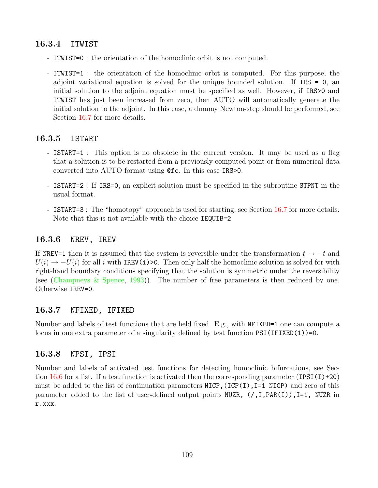### 16.3.4 ITWIST

- ITWIST=0 : the orientation of the homoclinic orbit is not computed.
- ITWIST=1 : the orientation of the homoclinic orbit is computed. For this purpose, the adjoint variational equation is solved for the unique bounded solution. If IRS = 0, an initial solution to the adjoint equation must be specified as well. However, if IRS>0 and ITWIST has just been increased from zero, then AUTO will automatically generate the initial solution to the adjoint. In this case, a dummy Newton-step should be performed, see Section [16.7](#page-112-0) for more details.

### 16.3.5 ISTART

- ISTART=1 : This option is no obsolete in the current version. It may be used as a flag that a solution is to be restarted from a previously computed point or from numerical data converted into AUTO format using @fc. In this case IRS>0.
- ISTART=2 : If IRS=0, an explicit solution must be specified in the subroutine STPNT in the usual format.
- ISTART=3 : The "homotopy" approach is used for starting, see Section [16.7](#page-112-0) for more details. Note that this is not available with the choice IEQUIB=2.

### 16.3.6 NREV, IREV

If NREV=1 then it is assumed that the system is reversible under the transformation  $t \to -t$  and  $U(i) \rightarrow -U(i)$  for all i with IREV(i)>0. Then only half the homoclinic solution is solved for with right-hand boundary conditions specifying that the solution is symmetric under the reversibility (see([Champneys & Spence](#page-154-0), [1993](#page-154-0))). The number of free parameters is then reduced by one. Otherwise IREV=0.

### 16.3.7 NFIXED, IFIXED

Number and labels of test functions that are held fixed. E.g., with NFIXED=1 one can compute a locus in one extra parameter of a singularity defined by test function  $PSI(IFIXED(1))=0$ .

### 16.3.8 NPSI, IPSI

Number and labels of activated test functions for detecting homoclinic bifurcations, see Sec-tion [16.6](#page-111-0) for a list. If a test function is activated then the corresponding parameter  $(IPSI(I)+20)$ must be added to the list of continuation parameters  $NICP$ ,  $ICP(I)$ ,  $I=1$   $NICP$ ) and zero of this parameter added to the list of user-defined output points NUZR,  $($ /,I,PAR(I)),I=1, NUZR in r.xxx.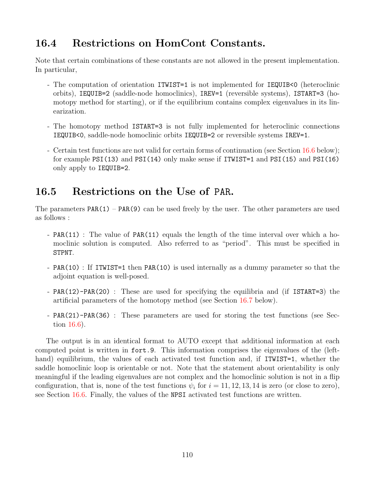## 16.4 Restrictions on HomCont Constants.

Note that certain combinations of these constants are not allowed in the present implementation. In particular,

- The computation of orientation ITWIST=1 is not implemented for IEQUIB<0 (heteroclinic orbits), IEQUIB=2 (saddle-node homoclinics), IREV=1 (reversible systems), ISTART=3 (homotopy method for starting), or if the equilibrium contains complex eigenvalues in its linearization.
- The homotopy method ISTART=3 is not fully implemented for heteroclinic connections IEQUIB<0, saddle-node homoclinic orbits IEQUIB=2 or reversible systems IREV=1.
- Certain test functions are not valid for certain forms of continuation (see Section [16.6](#page-111-0) below); for example PSI(13) and PSI(14) only make sense if ITWIST=1 and PSI(15) and PSI(16) only apply to IEQUIB=2.

## 16.5 Restrictions on the Use of PAR.

The parameters  $PAR(1) - PAR(9)$  can be used freely by the user. The other parameters are used as follows :

- PAR(11) : The value of PAR(11) equals the length of the time interval over which a homoclinic solution is computed. Also referred to as "period". This must be specified in STPNT.
- PAR(10) : If ITWIST=1 then PAR(10) is used internally as a dummy parameter so that the adjoint equation is well-posed.
- PAR(12)-PAR(20) : These are used for specifying the equilibria and (if ISTART=3) the artificial parameters of the homotopy method (see Section [16.7](#page-112-0) below).
- PAR(21)-PAR(36) : These parameters are used for storing the test functions (see Section [16.6](#page-111-0)).

The output is in an identical format to AUTO except that additional information at each computed point is written in fort.9. This information comprises the eigenvalues of the (lefthand) equilibrium, the values of each activated test function and, if **ITWIST=1**, whether the saddle homoclinic loop is orientable or not. Note that the statement about orientability is only meaningful if the leading eigenvalues are not complex and the homoclinic solution is not in a flip configuration, that is, none of the test functions  $\psi_i$  for  $i = 11, 12, 13, 14$  is zero (or close to zero), see Section [16.6.](#page-111-0) Finally, the values of the NPSI activated test functions are written.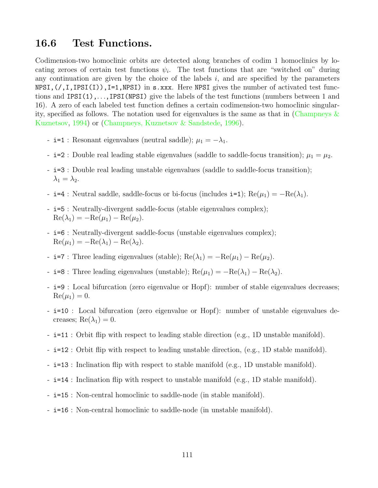## <span id="page-111-0"></span>16.6 Test Functions.

Codimension-two homoclinic orbits are detected along branches of codim 1 homoclinics by locating zeroes of certain test functions  $\psi_i$ . The test functions that are "switched on" during any continuation are given by the choice of the labels  $i$ , and are specified by the parameters NPSI,(/,I,IPSI(I)),I=1,NPSI) in s.xxx. Here NPSI gives the number of activated test functions and IPSI(1),. . .,IPSI(NPSI) give the labels of the test functions (numbers between 1 and 16). A zero of each labeled test function defines a certain codimension-two homoclinic singularity,specified as follows. The notation used for eigenvalues is the same as that in (Champneys  $\&$ [Kuznetsov](#page-154-1), [1994](#page-154-1)) or [\(Champneys, Kuznetsov & Sandstede,](#page-154-2) [1996](#page-154-2)).

- i=1 : Resonant eigenvalues (neutral saddle);  $\mu_1 = -\lambda_1$ .
- i=2 : Double real leading stable eigenvalues (saddle to saddle-focus transition);  $\mu_1 = \mu_2$ .
- i=3 : Double real leading unstable eigenvalues (saddle to saddle-focus transition);  $\lambda_1 = \lambda_2$ .
- i=4 : Neutral saddle, saddle-focus or bi-focus (includes i=1);  $\text{Re}(\mu_1) = -\text{Re}(\lambda_1)$ .
- i=5 : Neutrally-divergent saddle-focus (stable eigenvalues complex);  $\operatorname{Re}(\lambda_1) = -\operatorname{Re}(\mu_1) - \operatorname{Re}(\mu_2).$
- i=6 : Neutrally-divergent saddle-focus (unstable eigenvalues complex);  $\operatorname{Re}(\mu_1) = -\operatorname{Re}(\lambda_1) - \operatorname{Re}(\lambda_2).$
- i=7 : Three leading eigenvalues (stable);  $\text{Re}(\lambda_1) = -\text{Re}(\mu_1) \text{Re}(\mu_2)$ .
- i=8 : Three leading eigenvalues (unstable);  $\text{Re}(\mu_1) = -\text{Re}(\lambda_1) \text{Re}(\lambda_2)$ .
- i=9 : Local bifurcation (zero eigenvalue or Hopf): number of stable eigenvalues decreases;  $Re(\mu_1) = 0.$
- i=10 : Local bifurcation (zero eigenvalue or Hopf): number of unstable eigenvalues decreases;  $\text{Re}(\lambda_1) = 0$ .
- i=11 : Orbit flip with respect to leading stable direction (e.g., 1D unstable manifold).
- i=12 : Orbit flip with respect to leading unstable direction, (e.g., 1D stable manifold).
- i=13 : Inclination flip with respect to stable manifold (e.g., 1D unstable manifold).
- i=14 : Inclination flip with respect to unstable manifold (e.g., 1D stable manifold).
- i=15 : Non-central homoclinic to saddle-node (in stable manifold).
- i=16 : Non-central homoclinic to saddle-node (in unstable manifold).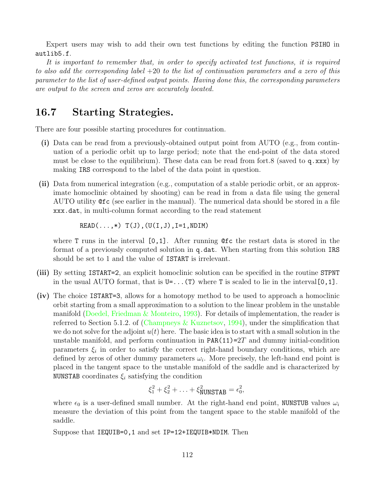Expert users may wish to add their own test functions by editing the function PSIHO in autlib5.f.

It is important to remember that, in order to specify activated test functions, it is required to also add the corresponding label +20 to the list of continuation parameters and a zero of this parameter to the list of user-defined output points. Having done this, the corresponding parameters are output to the screen and zeros are accurately located.

## <span id="page-112-0"></span>16.7 Starting Strategies.

There are four possible starting procedures for continuation.

- (i) Data can be read from a previously-obtained output point from AUTO (e.g., from continuation of a periodic orbit up to large period; note that the end-point of the data stored must be close to the equilibrium). These data can be read from fort.8 (saved to q.xxx) by making IRS correspond to the label of the data point in question.
- (ii) Data from numerical integration (e.g., computation of a stable periodic orbit, or an approximate homoclinic obtained by shooting) can be read in from a data file using the general AUTO utility @fc (see earlier in the manual). The numerical data should be stored in a file xxx.dat, in multi-column format according to the read statement

 $READ(\ldots,*)$   $T(J)$ ,  $(U(I,J)$ ,  $I=1$ ,  $NDIM)$ 

where T runs in the interval  $[0,1]$ . After running  $\mathfrak{G}$  to the restart data is stored in the format of a previously computed solution in q.dat. When starting from this solution IRS should be set to 1 and the value of ISTART is irrelevant.

- (iii) By setting ISTART=2, an explicit homoclinic solution can be specified in the routine STPNT in the usual AUTO format, that is  $U = \dots(T)$  where T is scaled to lie in the interval [0, 1].
- (iv) The choice ISTART=3, allows for a homotopy method to be used to approach a homoclinic orbit starting from a small approximation to a solution to the linear problem in the unstable manifold([Doedel, Friedman & Monteiro](#page-155-0), [1993\)](#page-155-0). For details of implementation, the reader is referred to Section 5.1.2. of([Champneys & Kuznetsov](#page-154-1), [1994](#page-154-1)), under the simplification that we do not solve for the adjoint  $u(t)$  here. The basic idea is to start with a small solution in the unstable manifold, and perform continuation in  $PAR(11)=2T$  and dummy initial-condition parameters  $\xi_i$  in order to satisfy the correct right-hand boundary conditions, which are defined by zeros of other dummy parameters  $\omega_i$ . More precisely, the left-hand end point is placed in the tangent space to the unstable manifold of the saddle and is characterized by NUNSTAB coordinates  $\xi_i$  satisfying the condition

$$
\xi_1^2 + \xi_2^2 + \ldots + \xi_{\text{NUNSTAB}}^2 = \epsilon_0^2,
$$

where  $\epsilon_0$  is a user-defined small number. At the right-hand end point, NUNSTUB values  $\omega_i$ measure the deviation of this point from the tangent space to the stable manifold of the saddle.

Suppose that IEQUIB=0,1 and set IP=12+IEQUIB\*NDIM. Then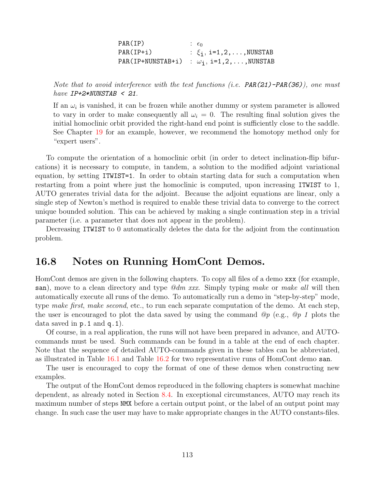| PAR(ID)     | $\epsilon$ $\epsilon$                              |
|-------------|----------------------------------------------------|
| $PAR(IP+i)$ | : $\xi_1$ , i=1,2,,NUNSTAB                         |
|             | PAR(IP+NUNSTAB+i) : $\omega_{i}$ , i=1,2,, NUNSTAB |

Note that to avoid interference with the test functions (i.e.  $PAR(21)$ -PAR(36)), one must have  $IP+2*NUNSTAB < 21$ .

If an  $\omega_i$  is vanished, it can be frozen while another dummy or system parameter is allowed to vary in order to make consequently all  $\omega_i = 0$ . The resulting final solution gives the initial homoclinic orbit provided the right-hand end point is sufficiently close to the saddle. See Chapter [19](#page-129-0) for an example, however, we recommend the homotopy method only for "expert users".

To compute the orientation of a homoclinic orbit (in order to detect inclination-flip bifurcations) it is necessary to compute, in tandem, a solution to the modified adjoint variational equation, by setting ITWIST=1. In order to obtain starting data for such a computation when restarting from a point where just the homoclinic is computed, upon increasing ITWIST to 1, AUTO generates trivial data for the adjoint. Because the adjoint equations are linear, only a single step of Newton's method is required to enable these trivial data to converge to the correct unique bounded solution. This can be achieved by making a single continuation step in a trivial parameter (i.e. a parameter that does not appear in the problem).

Decreasing ITWIST to 0 automatically deletes the data for the adjoint from the continuation problem.

### 16.8 Notes on Running HomCont Demos.

HomCont demos are given in the following chapters. To copy all files of a demo xxx (for example, san), move to a clean directory and type  $\mathcal{Q}dm$  xxx. Simply typing make or make all will then automatically execute all runs of the demo. To automatically run a demo in "step-by-step" mode, type make first, make second, etc., to run each separate computation of the demo. At each step, the user is encouraged to plot the data saved by using the command  $\mathcal{Q}_p$  (e.g.,  $\mathcal{Q}_p$  1 plots the data saved in p.1 and q.1).

Of course, in a real application, the runs will not have been prepared in advance, and AUTOcommands must be used. Such commands can be found in a table at the end of each chapter. Note that the sequence of detailed AUTO-commands given in these tables can be abbreviated, as illustrated in Table [16.1](#page-114-0) and Table [16.2](#page-114-1) for two representative runs of HomCont demo san.

The user is encouraged to copy the format of one of these demos when constructing new examples.

The output of the HomCont demos reproduced in the following chapters is somewhat machine dependent, as already noted in Section [8.4.](#page-46-0) In exceptional circumstances, AUTO may reach its maximum number of steps NMX before a certain output point, or the label of an output point may change. In such case the user may have to make appropriate changes in the AUTO constants-files.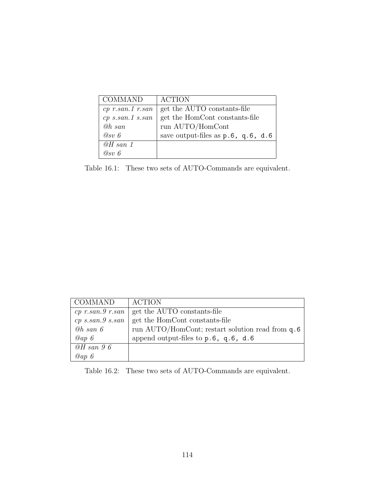| <b>COMMAND</b>     | <b>ACTION</b>                         |
|--------------------|---------------------------------------|
| $cp$ r.san.1 r.san | get the AUTO constants-file           |
| $cp$ s.san.1 s.san | get the HomCont constants-file        |
| @h~san             | run AUTO/HomCont                      |
| $Q_{SV}$ 6         | save output-files as $p.6$ , q.6, d.6 |
| $\omega H$ san 1   |                                       |
| $\omega_{sv}$ 6    |                                       |

<span id="page-114-0"></span>Table 16.1: These two sets of AUTO-Commands are equivalent.

| <b>COMMAND</b>       | <b>ACTION</b>                                    |
|----------------------|--------------------------------------------------|
|                      | cp r.san.9 r.san   get the AUTO constants-file   |
| $cp\ s.san.9\ s.san$ | get the HomCont constants-file                   |
| $@h$ san $6$         | run AUTO/HomCont; restart solution read from q.6 |
| Qap6                 | append output-files to $p.6$ , $q.6$ , $d.6$     |
| $@H$ san 96          |                                                  |
| Qap6                 |                                                  |

<span id="page-114-1"></span>Table 16.2: These two sets of AUTO-Commands are equivalent.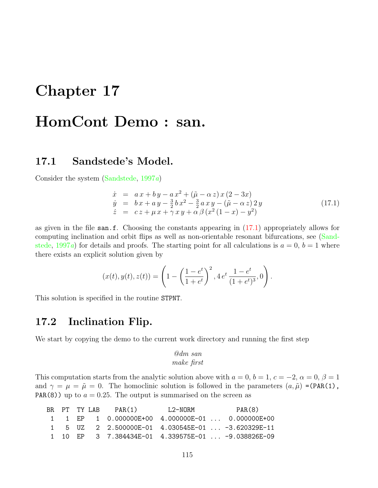# Chapter 17

# HomCont Demo : san.

## 17.1 Sandstede's Model.

Consider the system [\(Sandstede,](#page-156-0) [1997](#page-156-0)a)

<span id="page-115-0"></span>
$$
\dot{x} = a x + b y - a x^2 + (\tilde{\mu} - \alpha z) x (2 - 3x) \n\dot{y} = b x + a y - \frac{3}{2} b x^2 - \frac{3}{2} a x y - (\tilde{\mu} - \alpha z) 2 y \n\dot{z} = c z + \mu x + \gamma x y + \alpha \beta (x^2 (1 - x) - y^2)
$$
\n(17.1)

as given in the file san.f. Choosing the constants appearing in([17.1\)](#page-115-0) appropriately allows for computing inclination and orbit flips as well as non-orientable resonant bifurcations, see([Sand](#page-156-0)[stede](#page-156-0), [1997](#page-156-0)a) for details and proofs. The starting point for all calculations is  $a = 0, b = 1$  where there exists an explicit solution given by

$$
(x(t), y(t), z(t)) = \left(1 - \left(\frac{1 - e^t}{1 + e^t}\right)^2, 4 e^t \frac{1 - e^t}{(1 + e^t)^3}, 0\right).
$$

This solution is specified in the routine STPNT.

### 17.2 Inclination Flip.

We start by copying the demo to the current work directory and running the first step

#### @dm san make first

This computation starts from the analytic solution above with  $a = 0, b = 1, c = -2, \alpha = 0, \beta = 1$ and  $\gamma = \mu = \tilde{\mu} = 0$ . The homoclinic solution is followed in the parameters  $(a, \tilde{\mu})$  =(PAR(1), PAR(8)) up to  $a = 0.25$ . The output is summarised on the screen as

|  |  | BR PT TYLAB PAR(1)                                                                                | L2-NORM | PAR(8) |
|--|--|---------------------------------------------------------------------------------------------------|---------|--------|
|  |  | $1 \quad 1 \quad EP \quad 1 \quad 0.000000E+00 \quad 4.000000E-01 \quad \dots \quad 0.000000E+00$ |         |        |
|  |  | 1 5 UZ 2 2.500000E-01 4.030545E-01  -3.620329E-11                                                 |         |        |
|  |  | 1 10 EP 3 7.384434E-01 4.339575E-01  -9.038826E-09                                                |         |        |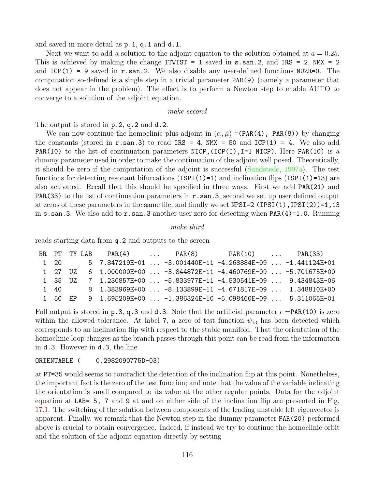and saved in more detail as p.1, q.1 and d.1.

Next we want to add a solution to the adjoint equation to the solution obtained at  $a = 0.25$ . This is achieved by making the change ITWIST = 1 saved in  $s$  as  $2$ , and IRS = 2, NMX = 2 and  $ICP(1) = 9$  saved in r.san.2. We also disable any user-defined functions NUZR=0. The computation so-defined is a single step in a trivial parameter PAR(9) (namely a parameter that does not appear in the problem). The effect is to perform a Newton step to enable AUTO to converge to a solution of the adjoint equation.

#### make second

The output is stored in p.2, q.2 and d.2.

We can now continue the homoclinic plus adjoint in  $(\alpha, \tilde{\mu}) = (PAR(4), PAR(8))$  by changing the constants (stored in  $r.\text{san.3}$ ) to read IRS = 4, NMX = 50 and ICP(1) = 4. We also add PAR(10) to the list of continuation parameters NICP,  $(ICP(I), I=1$  NICP). Here PAR(10) is a dummy parameter used in order to make the continuation of the adjoint well posed. Theoretically, it should be zero if the computation of the adjoint is successful [\(Sandstede](#page-156-0), [1997](#page-156-0)a). The test functions for detecting resonant bifurcations (ISPI(1)=1) and inclination flips (ISPI(1)=13) are also activated. Recall that this should be specified in three ways. First we add PAR(21) and **PAR(33)** to the list of continuation parameters in  $r$ . san. 3, second we set up user defined output at zeros of these parameters in the same file, and finally we set  $NPSI=2 (IPSI(1),IPSI(2))=1,13$ in  $s$ . san.3. We also add to  $r$ . san.3 another user zero for detecting when PAR(4)=1.0. Running

#### make third

reads starting data from q.2 and outputs to the screen

|         |             |  | BR PT TY_LAB PAR(4)  PAR(8) PAR(10)  PAR(33)                      |  |  |
|---------|-------------|--|-------------------------------------------------------------------|--|--|
|         | $1\quad 20$ |  | $5$ 7.847219E-01  -3.001440E-11 -4.268884E-09  -1.441124E+01      |  |  |
| 1 27 UZ |             |  | 6   1.000000E+00    -3.844872E-11 -4.460769E-09    -5.701675E+00  |  |  |
|         |             |  | 1 35 UZ 7 1.230857E+00  -5.833977E-11 -4.530541E-09  9.434843E-06 |  |  |
|         |             |  | 1 40 8 1.383969E+00  -8.133899E-11 -4.671817E-09  1.348810E+00    |  |  |
|         |             |  | 1 50 EP 9 1.695209E+00  -1.386324E-10 -5.098460E-09  5.311065E-01 |  |  |

Full output is stored in p.3, q.3 and d.3. Note that the artificial parameter  $\epsilon = PAR(10)$  is zero within the allowed tolerance. At label 7, a zero of test function  $\psi_{13}$  has been detected which corresponds to an inclination flip with respect to the stable manifold. That the orientation of the homoclinic loop changes as the branch passes through this point can be read from the information in d.3. However in d.3, the line

#### ORIENTABLE ( 0.2982090775D-03)

at PT=35 would seems to contradict the detection of the inclination flip at this point. Nonetheless, the important fact is the zero of the test function; and note that the value of the variable indicating the orientation is small compared to its value at the other regular points. Data for the adjoint equation at LAB= 5, 7 and 9 at and on either side of the inclination flip are presented in Fig. [17.1.](#page-121-0) The switching of the solution between components of the leading unstable left eigenvector is apparent. Finally, we remark that the Newton step in the dummy parameter PAR(20) performed above is crucial to obtain convergence. Indeed, if instead we try to continue the homoclinic orbit and the solution of the adjoint equation directly by setting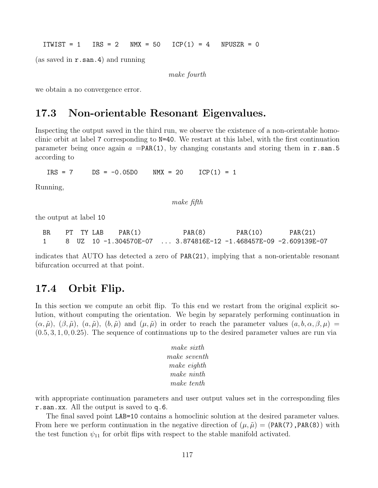ITWIST = 1  $IRS = 2$  NMX = 50 ICP(1) = 4 NPUSZR = 0

(as saved in  $r.\text{san.4}$ ) and running

make fourth

we obtain a no convergence error.

## 17.3 Non-orientable Resonant Eigenvalues.

Inspecting the output saved in the third run, we observe the existence of a non-orientable homoclinic orbit at label 7 corresponding to N=40. We restart at this label, with the first continuation parameter being once again  $a = PAR(1)$ , by changing constants and storing them in r.san.5 according to

 $IRS = 7$   $DS = -0.05DO$   $NMX = 20$   $ICP(1) = 1$ 

Running,

make fifth

the output at label 10

| BR. |  | PT TY LAB | PAR(1) | PAR(8)                                                          | PAR(10) | PAR(21) |
|-----|--|-----------|--------|-----------------------------------------------------------------|---------|---------|
|     |  |           |        | 8 UZ 10 −1.304570E−07  3.874816E−12 −1.468457E−09 −2.609139E−07 |         |         |

indicates that AUTO has detected a zero of PAR(21), implying that a non-orientable resonant bifurcation occurred at that point.

## 17.4 Orbit Flip.

In this section we compute an orbit flip. To this end we restart from the original explicit solution, without computing the orientation. We begin by separately performing continuation in  $(\alpha, \tilde{\mu}), (\beta, \tilde{\mu}), (a, \tilde{\mu}), (b, \tilde{\mu})$  and  $(\mu, \tilde{\mu})$  in order to reach the parameter values  $(a, b, \alpha, \beta, \mu)$  $(0.5, 3, 1, 0, 0.25)$ . The sequence of continuations up to the desired parameter values are run via

| make sixth   |
|--------------|
| make seventh |
| make eighth  |
| make ninth   |
| make tenth   |

with appropriate continuation parameters and user output values set in the corresponding files r.san.xx. All the output is saved to q.6.

The final saved point LAB=10 contains a homoclinic solution at the desired parameter values. From here we perform continuation in the negative direction of  $(\mu, \tilde{\mu}) = (PAR(7), PAR(8))$  with the test function  $\psi_{11}$  for orbit flips with respect to the stable manifold activated.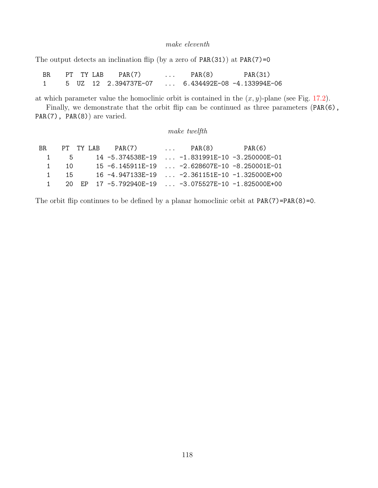#### make eleventh

The output detects an inclination flip (by a zero of  $PAR(31)$ ) at  $PAR(7)=0$ 

| BR. | PT TY LAB | PAR(7)               | $\cdots$ | PAR(8)                     | PAR(31) |
|-----|-----------|----------------------|----------|----------------------------|---------|
|     |           | 5 UZ 12 2.394737E-07 |          | 6.434492E-08 -4.133994E-06 |         |

at which parameter value the homoclinic orbit is contained in the  $(x, y)$ -plane (see Fig. [17.2\)](#page-121-1).

Finally, we demonstrate that the orbit flip can be continued as three parameters (PAR(6), PAR(7), PAR(8)) are varied.

#### make twelfth

|                |      |  | BR PT TYLAB PAR(7)                                  | $\ldots$ PAR $(8)$                   | PAR(6) |
|----------------|------|--|-----------------------------------------------------|--------------------------------------|--------|
|                | 1 5  |  | 14 -5.374538F-19                                    | $\ldots$ -1.831991E-10 -3.250000E-01 |        |
|                | 1 10 |  | 15 -6.145911E-19  -2.628607E-10 -8.250001E-01       |                                      |        |
| $1 \quad \Box$ | 15   |  | $16 - 4.947133F - 19$                               | -2.361151E-10 -1.325000E+00          |        |
| $1 \quad \Box$ |      |  | 20 EP 17 -5.792940E-19  -3.075527E-10 -1.825000E+00 |                                      |        |

The orbit flip continues to be defined by a planar homoclinic orbit at  $PAR(7)=PAR(8)=0$ .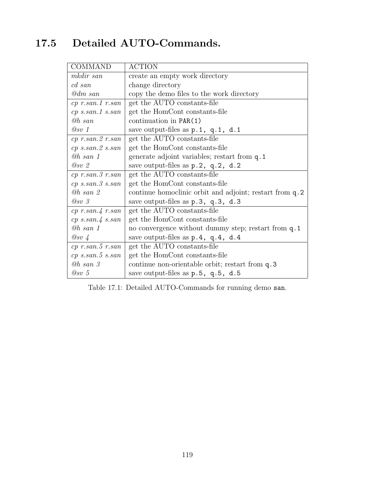## 17.5 Detailed AUTO-Commands.

| <b>COMMAND</b>         | <b>ACTION</b>                                           |
|------------------------|---------------------------------------------------------|
| mkdir san              | create an empty work directory                          |
| cd san                 | change directory                                        |
| @dm san                | copy the demo files to the work directory               |
| $cp$ r.san.1 r.san     | get the AUTO constants-file                             |
| $cp$ s.san.1 s.san     | get the HomCont constants-file                          |
| @h san                 | continuation in $PAR(1)$                                |
| @sv 1                  | save output-files as $p.1$ , $q.1$ , $d.1$              |
| $cp$ r.san. $2$ r.san  | get the AUTO constants-file                             |
| $cp$ s.san. $2$ s.san  | get the HomCont constants-file                          |
| $Qh$ san 1             | generate adjoint variables; restart from q. 1           |
| $Q_{SV}$ 2             | save output-files as p.2, q.2, d.2                      |
| $cp$ $r.san.3$ $r.san$ | get the AUTO constants-file                             |
| $cp$ s.san. $3$ s.san  | get the HomCont constants-file                          |
| <b>Oh</b> san 2        | continue homoclinic orbit and adjoint; restart from q.2 |
| $\oslash$ sv 3         | save output-files as p.3, q.3, d.3                      |
| $cp$ r.san. $4$ r.san  | get the AUTO constants-file                             |
| $cp$ s.san. $4$ s.san  | get the HomCont constants-file                          |
| <b><i>@h san 1</i></b> | no convergence without dummy step; restart from q.1     |
| $\oslash$ sv 4         | save output-files as $p.4$ , $q.4$ , $d.4$              |
| $cp$ r.san. $5$ r.san  | get the AUTO constants-file                             |
| $cp$ s.san. 5 s.san    | get the HomCont constants-file                          |
| $@h$ san $\beta$       | continue non-orientable orbit; restart from q.3         |
| @sv 5                  | save output-files as $p.5$ , $q.5$ , $d.5$              |

Table 17.1: Detailed AUTO-Commands for running demo san.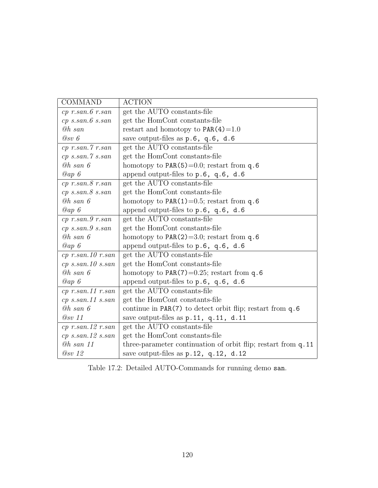| <b>COMMAND</b>             | <b>ACTION</b>                                                 |
|----------------------------|---------------------------------------------------------------|
| $cp$ $r.san.6$ $r.san$     | get the AUTO constants-file                                   |
| $cp$ s.san. $6$ s.san      | get the HomCont constants-file                                |
| <b><i>@h san</i></b>       | restart and homotopy to $PAR(4)=1.0$                          |
| @sv 6                      | save output-files as p.6, q.6, d.6                            |
| $cp$ $r.san.7$ $r.san$     | get the AUTO constants-file                                   |
| $cp$ s.san. $\gamma$ s.san | get the HomCont constants-file                                |
| $@h$ san $6$               | homotopy to $PAR(5)=0.0$ ; restart from q.6                   |
| @ap $6$                    | append output-files to p.6, q.6, d.6                          |
| $cp$ $r.san.8$ $r.san$     | get the AUTO constants-file                                   |
| $cp$ s.san. $8$ s.san      | get the HomCont constants-file                                |
| $@h$ san $6$               | homotopy to $PAR(1)=0.5$ ; restart from q.6                   |
| Qap6                       | append output-files to p.6, q.6, d.6                          |
| $cp$ r.san. $9$ r.san      | get the AUTO constants-file                                   |
| $cp$ s.san. $9$ s.san      | get the HomCont constants-file                                |
| $@h$ san $6$               | homotopy to $PAR(2)=3.0$ ; restart from q.6                   |
| $\oslash$ ap 6             | append output-files to $p.6$ , $q.6$ , $d.6$                  |
| $cp$ r.san.10 r.san        | get the AUTO constants-file                                   |
| $cp$ s.san.10 s.san        | get the HomCont constants-file                                |
| $@h$ san $6$               | homotopy to PAR(7)= $0.25$ ; restart from q.6                 |
| Qap6                       | append output-files to p.6, q.6, d.6                          |
| $cp$ r.san.11 r.san        | get the AUTO constants-file                                   |
| $cp$ s.san.11 s.san        | get the HomCont constants-file                                |
| $@h$ san $6$               | continue in $PAR(7)$ to detect orbit flip; restart from q.6   |
| $@sv$ 11                   | save output-files as $p.11$ , $q.11$ , $d.11$                 |
| $cp$ r.san.12 r.san        | get the AUTO constants-file                                   |
| $cp$ s.san. 12 s.san       | get the HomCont constants-file                                |
| $@h$ san 11                | three-parameter continuation of orbit flip; restart from q.11 |
| @sv12                      | save output-files as $p.12$ , $q.12$ , $d.12$                 |

Table 17.2: Detailed AUTO-Commands for running demo san.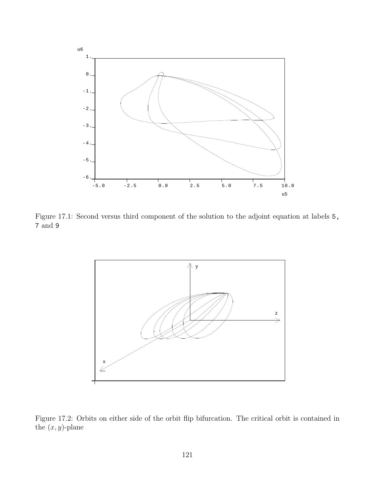

Figure 17.1: Second versus third component of the solution to the adjoint equation at labels 5, 7 and 9

<span id="page-121-0"></span>

<span id="page-121-1"></span>Figure 17.2: Orbits on either side of the orbit flip bifurcation. The critical orbit is contained in the  $(x, y)$ -plane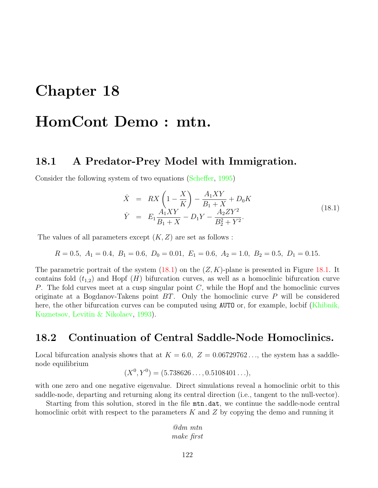# Chapter 18

# HomCont Demo : mtn.

## 18.1 A Predator-Prey Model with Immigration.

Consider the following system of two equations([Scheffer](#page-156-1), [1995\)](#page-156-1)

<span id="page-122-0"></span>
$$
\dot{X} = RX \left( 1 - \frac{X}{K} \right) - \frac{A_1 XY}{B_1 + X} + D_0 K
$$
\n
$$
\dot{Y} = E_1 \frac{A_1 XY}{B_1 + X} - D_1 Y - \frac{A_2 Z Y^2}{B_2^2 + Y^2}.
$$
\n(18.1)

The values of all parameters except  $(K, Z)$  are set as follows :

$$
R = 0.5
$$
,  $A_1 = 0.4$ ,  $B_1 = 0.6$ ,  $D_0 = 0.01$ ,  $E_1 = 0.6$ ,  $A_2 = 1.0$ ,  $B_2 = 0.5$ ,  $D_1 = 0.15$ .

Theparametric portrait of the system  $(18.1)$  $(18.1)$  on the  $(Z, K)$ -plane is presented in Figure [18.1.](#page-127-0) It contains fold  $(t_{1,2})$  and Hopf  $(H)$  bifurcation curves, as well as a homoclinic bifurcation curve P. The fold curves meet at a cusp singular point  $C$ , while the Hopf and the homoclinic curves originate at a Bogdanov-Takens point  $BT$ . Only the homoclinic curve P will be considered here,the other bifurcation curves can be computed using AUTO or, for example, locbif ([Khibnik,](#page-156-2) [Kuznetsov, Levitin & Nikolaev,](#page-156-2) [1993\)](#page-156-2).

## 18.2 Continuation of Central Saddle-Node Homoclinics.

Local bifurcation analysis shows that at  $K = 6.0, Z = 0.06729762...$ , the system has a saddlenode equilibrium

$$
(X0, Y0) = (5.738626..., 0.5108401...),
$$

with one zero and one negative eigenvalue. Direct simulations reveal a homoclinic orbit to this saddle-node, departing and returning along its central direction (i.e., tangent to the null-vector).

Starting from this solution, stored in the file mtn.dat, we continue the saddle-node central homoclinic orbit with respect to the parameters  $K$  and  $Z$  by copying the demo and running it

> @dm mtn make first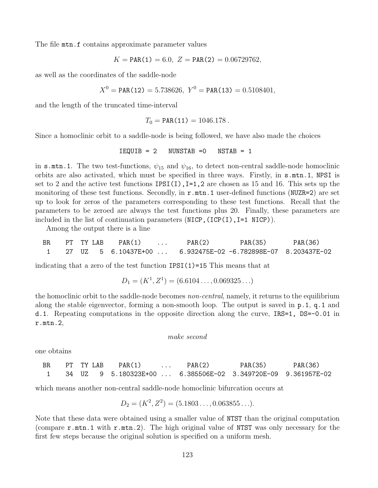The file mtn.f contains approximate parameter values

$$
K = \text{PAR}(1) = 6.0, \ Z = \text{PAR}(2) = 0.06729762,
$$

as well as the coordinates of the saddle-node

$$
X^0 = \text{PAR}(12) = 5.738626, \ Y^0 = \text{PAR}(13) = 0.5108401,
$$

and the length of the truncated time-interval

$$
T_0 = \text{PAR}(11) = 1046.178.
$$

Since a homoclinic orbit to a saddle-node is being followed, we have also made the choices

$$
IEQUIB = 2
$$
  $NUNSTAB = 0$   $NSTAB = 1$ 

in s.mtn.1. The two test-functions,  $\psi_{15}$  and  $\psi_{16}$ , to detect non-central saddle-node homoclinic orbits are also activated, which must be specified in three ways. Firstly, in s.mtn.1, NPSI is set to 2 and the active test functions  $IPSI(I)$ ,  $I=1,2$  are chosen as 15 and 16. This sets up the monitoring of these test functions. Secondly, in  $r.\text{mtn.1}$  user-defined functions (NUZR=2) are set up to look for zeros of the parameters corresponding to these test functions. Recall that the parameters to be zeroed are always the test functions plus 20. Finally, these parameters are included in the list of continuation parameters  $(NICP, (ICP(I), I=1 NICP))$ .

Among the output there is a line

BR PT TY LAB PAR(1) ... PAR(2) PAR(35) PAR(36) 1 27 UZ 5 6.10437E+00 ... 6.932475E-02 -6.782898E-07 8.203437E-02

indicating that a zero of the test function  $IPSI(1)=15$  This means that at

$$
D_1 = (K^1, Z^1) = (6.6104\dots, 0.069325\dots)
$$

the homoclinic orbit to the saddle-node becomes non-central, namely, it returns to the equilibrium along the stable eigenvector, forming a non-smooth loop. The output is saved in p.1, q.1 and d.1. Repeating computations in the opposite direction along the curve, IRS=1, DS=-0.01 in r.mtn.2,

```
make second
```
one obtains

| BR. | PT TY LAB | PAR(1) | $\ldots$ PAR(2) | PAR(35)                                                       | PAR(36) |
|-----|-----------|--------|-----------------|---------------------------------------------------------------|---------|
|     |           |        |                 | 34 UZ  9 5.180323E+00  6.385506E-02 3.349720E-09 9.361957E-02 |         |

which means another non-central saddle-node homoclinic bifurcation occurs at

$$
D_2 = (K^2, Z^2) = (5.1803\dots, 0.063855\dots).
$$

Note that these data were obtained using a smaller value of NTST than the original computation (compare r.mtn.1 with r.mtn.2). The high original value of NTST was only necessary for the first few steps because the original solution is specified on a uniform mesh.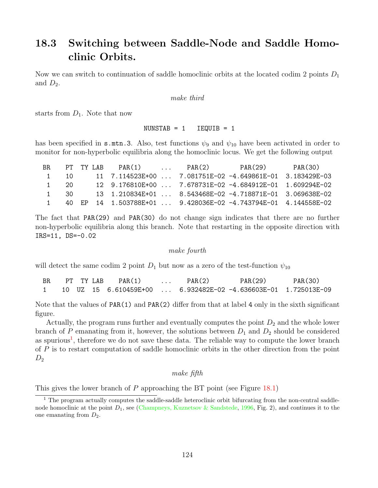## 18.3 Switching between Saddle-Node and Saddle Homoclinic Orbits.

Now we can switch to continuation of saddle homoclinic orbits at the located codim 2 points  $D_1$ and  $D_2$ .

#### make third

starts from  $D_1$ . Note that now

#### $NUMSTAB = 1$   $IEQUIB = 1$

has been specified in **s**.mtn.3. Also, test functions  $\psi_9$  and  $\psi_{10}$  have been activated in order to monitor for non-hyperbolic equilibria along the homoclinic locus. We get the following output

| BR.      |      | PT TY LAB | $PAR(1)$ | PAR(2) | PAR(29)                                                            | PAR(30) |
|----------|------|-----------|----------|--------|--------------------------------------------------------------------|---------|
| $\sim$ 1 | 10.  |           |          |        | 11 7.114523E+00  7.081751E-02 -4.649861E-01 3.183429E-03           |         |
|          | 1 20 |           |          |        | 12 9.176810E+00  7.678731E-02 -4.684912E-01 1.609294E-02           |         |
|          | 1 30 |           |          |        | 13   1.210834E+01      8.543468E-02   -4.718871E-01   3.069638E-02 |         |
| $\sim$ 1 |      |           |          |        | 40 EP 14 1.503788E+01  9.428036E-02 -4.743794E-01 4.144558E-02     |         |

The fact that PAR(29) and PAR(30) do not change sign indicates that there are no further non-hyperbolic equilibria along this branch. Note that restarting in the opposite direction with IRS=11, DS=-0.02

#### make fourth

will detect the same codim 2 point  $D_1$  but now as a zero of the test-function  $\psi_{10}$ 

| BR. | PT TY LAB | PAR(1) | $\cdots$ | PAR(2) | PAR(29)                                                          | PAR(30) |
|-----|-----------|--------|----------|--------|------------------------------------------------------------------|---------|
|     |           |        |          |        | 10 UZ 15 6.610459E+00    6.932482E-02 -4.636603E-01 1.725013E-09 |         |

Note that the values of PAR(1) and PAR(2) differ from that at label 4 only in the sixth significant figure.

Actually, the program runs further and eventually computes the point  $D_2$  and the whole lower branch of P emanating from it, however, the solutions between  $D_1$  and  $D_2$  should be considered as spurious<sup>[1](#page-124-0)</sup>, therefore we do not save these data. The reliable way to compute the lower branch of P is to restart computation of saddle homoclinic orbits in the other direction from the point  $D_2$ 

#### make fifth

This gives the lower branch of  $P$  approaching the BT point (see Figure [18.1\)](#page-127-0)

<span id="page-124-0"></span><sup>&</sup>lt;sup>1</sup> The program actually computes the saddle-saddle heteroclinic orbit bifurcating from the non-central saddlenodehomoclinic at the point  $D_1$ , see ([Champneys, Kuznetsov & Sandstede,](#page-154-2) [1996,](#page-154-2) Fig. 2), and continues it to the one emanating from  $D_2$ .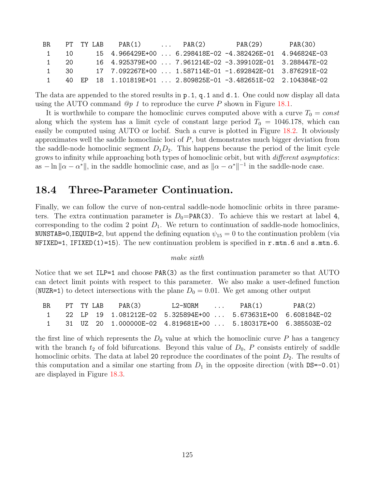| BR. |                  | PT TY LAB | PAR(1)                                                         | $\ldots$ PAR(2) | PAR(29) | PAR(30) |
|-----|------------------|-----------|----------------------------------------------------------------|-----------------|---------|---------|
|     | 10               |           | $15$ 4.966429E+00  6.298418E-02 -4.382426E-01 4.946824E-03     |                 |         |         |
|     | - 20<br>$\sim$ 1 |           | 16  4.925379E+00   7.961214E-02 -3.399102E-01  3.288447E-02    |                 |         |         |
|     | 30.              |           | 17 7.092267E+00  1.587114E-01 -1.692842E-01 3.876291E-02       |                 |         |         |
|     |                  |           | 40 EP 18 1.101819E+01  2.809825E-01 -3.482651E-02 2.104384E-02 |                 |         |         |

The data are appended to the stored results in p.1, q.1 and d.1. One could now display all data using the AUTO command  $\mathcal{Q}_p$  1 to reproduce the curve P shown in Figure [18.1](#page-127-0).

It is worthwhile to compare the homoclinic curves computed above with a curve  $T_0 = const$ along which the system has a limit cycle of constant large period  $T_0 = 1046.178$ , which can easily be computed using AUTO or locbif. Such a curve is plotted in Figure [18.2](#page-127-1). It obviously approximates well the saddle homoclinic loci of  $P$ , but demonstrates much bigger deviation from the saddle-node homoclinic segment  $D_1D_2$ . This happens because the period of the limit cycle grows to infinity while approaching both types of homoclinic orbit, but with *different asymptotics*: as  $-\ln ||\alpha - \alpha^*||$ , in the saddle homoclinic case, and as  $||\alpha - \alpha^*||^{-1}$  in the saddle-node case.

## 18.4 Three-Parameter Continuation.

Finally, we can follow the curve of non-central saddle-node homoclinic orbits in three parameters. The extra continuation parameter is  $D_0 = PAR(3)$ . To achieve this we restart at label 4, corresponding to the codim 2 point  $D_1$ . We return to continuation of saddle-node homoclinics, NUNSTAB=0,IEQUIB=2, but append the defining equation  $\psi_{15} = 0$  to the continuation problem (via  $NFIXED=1$ , IFIXED(1)=15). The new continuation problem is specified in r.mtn.6 and s.mtn.6.

#### make sixth

Notice that we set ILP=1 and choose PAR(3) as the first continuation parameter so that AUTO can detect limit points with respect to this parameter. We also make a user-defined function (NUZR=1) to detect intersections with the plane  $D_0 = 0.01$ . We get among other output

| BR. | PT TY LAB | PAR(3) | T.2-NORM | $\sim$ $\sim$ $\sim$ $\sim$ $\sim$ $\sim$ | PAR(1)                                                            | PAR(2) |
|-----|-----------|--------|----------|-------------------------------------------|-------------------------------------------------------------------|--------|
|     |           |        |          |                                           | $1$ 22 LP 19 1.081212E-02 5.325894E+00  5.673631E+00 6.608184E-02 |        |
|     |           |        |          |                                           | 31 UZ 20 1.000000E-02 4.819681E+00  5.180317E+00 6.385503E-02     |        |

the first line of which represents the  $D_0$  value at which the homoclinic curve P has a tangency with the branch  $t_2$  of fold bifurcations. Beyond this value of  $D_0$ , P consists entirely of saddle homoclinic orbits. The data at label 20 reproduce the coordinates of the point  $D_2$ . The results of this computation and a similar one starting from  $D_1$  in the opposite direction (with DS=-0.01) are displayed in Figure [18.3](#page-128-0).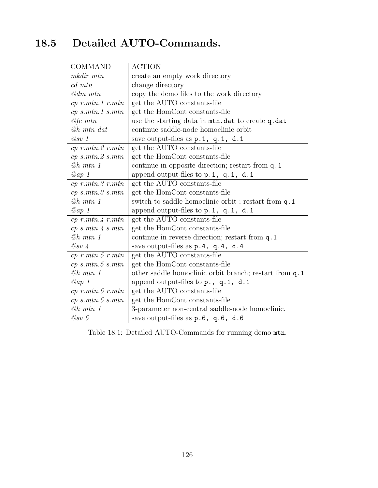# 18.5 Detailed AUTO-Commands.

| <b>COMMAND</b>           | <b>ACTION</b>                                          |
|--------------------------|--------------------------------------------------------|
| $m$ kdir $mtn$           | create an empty work directory                         |
| $cd$ $mtn$               | change directory                                       |
| $@dm$ $mtn$              | copy the demo files to the work directory              |
| $cp$ r.mtn.1 r.mtn       | get the AUTO constants-file                            |
| $cp \; s.mtn.1 \; s.mtn$ | get the HomCont constants-file                         |
| $@fc$ mtn                | use the starting data in mtn.dat to create q.dat       |
| <b><i>@h mtn dat</i></b> | continue saddle-node homoclinic orbit                  |
| @sv 1                    | save output-files as p.1, q.1, d.1                     |
| $cp$ r.mtn. $2$ r.mtn    | get the AUTO constants-file                            |
| $cp \; s.mtn.2 \; s.mtn$ | get the HomCont constants-file                         |
| $@h$ mtn 1               | continue in opposite direction; restart from q.1       |
| $Qap$ 1                  | append output-files to p.1, q.1, d.1                   |
| $cp$ r.mtn. $3$ r.mtn    | get the AUTO constants-file                            |
| $cp \; s.mtn.3 \; s.mtn$ | get the HomCont constants-file                         |
| $@h$ mtn 1               | switch to saddle homoclinic orbit; restart from q.1    |
| $Qap$ 1                  | append output-files to $p.1$ , $q.1$ , $d.1$           |
| $cp$ r.mtn. $4$ r.mtn    | get the AUTO constants-file                            |
| $cp \; s.mtn.4 \; s.mtn$ | get the HomCont constants-file                         |
| $@h$ mtn 1               | continue in reverse direction; restart from q.1        |
| $\oslash$ sv 4           | save output-files as p.4, q.4, d.4                     |
| $cp$ r.mtn.5 r.mtn       | get the AUTO constants-file                            |
| $cp \; s.mtn.5 \; s.mtn$ | get the HomCont constants-file                         |
| $@h$ mtn 1               | other saddle homoclinic orbit branch; restart from q.1 |
| $Qap$ 1                  | append output-files to $p_1$ , q.1, d.1                |
| $cp$ r.mtn. $6$ r.mtn    | get the AUTO constants-file                            |
| $cp \; s.mtn.6 \; s.mtn$ | get the HomCont constants-file                         |
| $@h$ mtn 1               | 3-parameter non-central saddle-node homoclinic.        |
| @sv 6                    | save output-files as $p.6$ , $q.6$ , $d.6$             |

Table 18.1: Detailed AUTO-Commands for running demo mtn.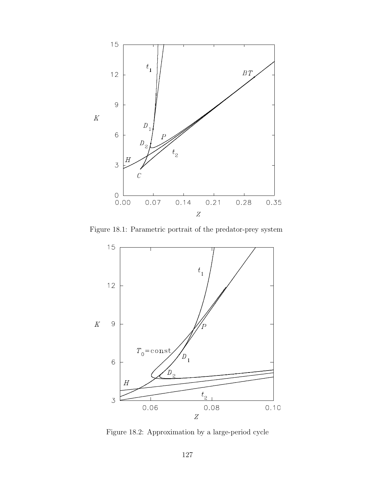

<span id="page-127-0"></span>Figure 18.1: Parametric portrait of the predator-prey system



<span id="page-127-1"></span>Figure 18.2: Approximation by a large-period cycle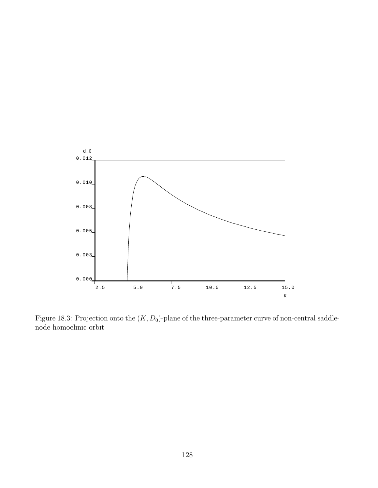

<span id="page-128-0"></span>Figure 18.3: Projection onto the  $(K, D_0)$ -plane of the three-parameter curve of non-central saddlenode homoclinic orbit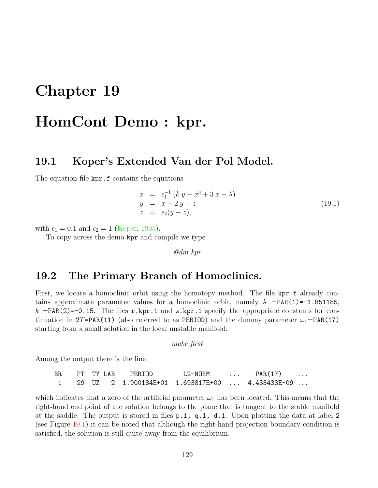# <span id="page-129-0"></span>Chapter 19

# HomCont Demo : kpr.

### 19.1 Koper's Extended Van der Pol Model.

The equation-file kpr.f contains the equations

$$
\begin{array}{rcl}\n\dot{x} & = & \epsilon_1^{-1} \left( k \, y - x^3 + 3 \, x - \lambda \right) \\
\dot{y} & = & x - 2 \, y + z \\
\dot{z} & = & \epsilon_2 (y - z),\n\end{array} \tag{19.1}
$$

with  $\epsilon_1 = 0.1$  and  $\epsilon_2 = 1$  [\(Koper,](#page-156-3) [1995](#page-156-3)).

To copy across the demo kpr and compile we type

@dm kpr

## 19.2 The Primary Branch of Homoclinics.

First, we locate a homoclinic orbit using the homotopy method. The file kpr.f already contains approximate parameter values for a homoclinic orbit, namely  $\lambda$  =PAR(1)=-1.851185,  $k = PAR(2) = -0.15$ . The files r.kpr.1 and s.kpr.1 specify the appropriate constants for continuation in 2T=PAR(11) (also referred to as PERIOD) and the dummy parameter  $\omega_1$ =PAR(17) starting from a small solution in the local unstable manifold;

make first

Among the output there is the line

BR PT TYLAB PERIOD L2-NORM ... PAR(17) ... 1 29 UZ 2 1.900184E+01 1.693817E+00 ... 4.433433E-09 ...

which indicates that a zero of the artificial parameter  $\omega_1$  has been located. This means that the right-hand end point of the solution belongs to the plane that is tangent to the stable manifold at the saddle. The output is stored in files p.1, q.1, d.1. Upon plotting the data at label 2 (see Figure [19.1\)](#page-130-0) it can be noted that although the right-hand projection boundary condition is satisfied, the solution is still quite away from the equilibrium.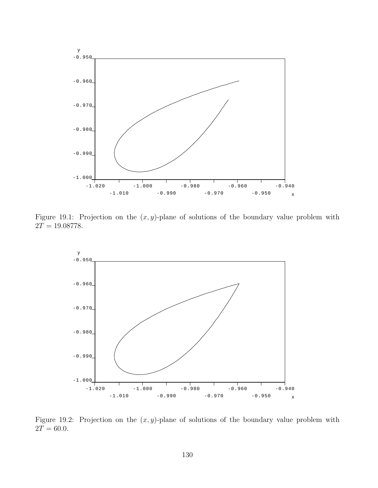

Figure 19.1: Projection on the  $(x, y)$ -plane of solutions of the boundary value problem with  $2T = 19.08778.$ 

<span id="page-130-0"></span>

<span id="page-130-1"></span>Figure 19.2: Projection on the  $(x, y)$ -plane of solutions of the boundary value problem with  $2T = 60.0.$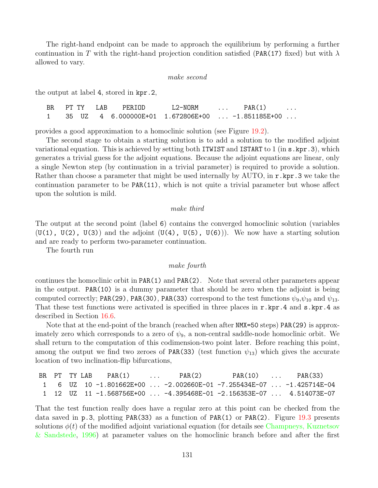The right-hand endpoint can be made to approach the equilibrium by performing a further continuation in T with the right-hand projection condition satisfied (PAR(17) fixed) but with  $\lambda$ allowed to vary.

#### make second

the output at label 4, stored in kpr.2,

| BR. |  | PT TY I.AB | PERTOD | L2-NORM                                                | $\sim$ $\sim$ $\sim$ $\sim$ $\sim$ | PAR(1) | $\cdots$ |
|-----|--|------------|--------|--------------------------------------------------------|------------------------------------|--------|----------|
|     |  |            |        | 35 UZ   4  6.000000E+01  1.672806E+00    -1.851185E+00 |                                    |        |          |

provides a good approximation to a homoclinic solution (see Figure [19.2](#page-130-1)).

The second stage to obtain a starting solution is to add a solution to the modified adjoint variational equation. This is achieved by setting both ITWIST and ISTART to 1 (in s.kpr.3), which generates a trivial guess for the adjoint equations. Because the adjoint equations are linear, only a single Newton step (by continuation in a trivial parameter) is required to provide a solution. Rather than choose a parameter that might be used internally by  $\text{AUTO}$ , in  $\text{r} \cdot \text{kpr} \cdot 3$  we take the continuation parameter to be PAR(11), which is not quite a trivial parameter but whose affect upon the solution is mild.

#### make third

The output at the second point (label 6) contains the converged homoclinic solution (variables  $(U(1), U(2), U(3))$  and the adjoint  $(U(4), U(5), U(6))$ . We now have a starting solution and are ready to perform two-parameter continuation.

The fourth run

#### make fourth

continues the homoclinic orbit in PAR(1) and PAR(2). Note that several other parameters appear in the output. PAR(10) is a dummy parameter that should be zero when the adjoint is being computed correctly; PAR(29), PAR(30), PAR(33) correspond to the test functions  $\psi_9, \psi_{10}$  and  $\psi_{13}$ . That these test functions were activated is specified in three places in r.kpr.4 and s.kpr.4 as described in Section [16.6](#page-111-0).

Note that at the end-point of the branch (reached when after NMX=50 steps) PAR(29) is approximately zero which corresponds to a zero of  $\psi_9$ , a non-central saddle-node homoclinic orbit. We shall return to the computation of this codimension-two point later. Before reaching this point, among the output we find two zeroes of PAR(33) (test function  $\psi_{13}$ ) which gives the accurate location of two inclination-flip bifurcations,

|  |  | BR PT TY LAB PAR(1)<br><b><i>Committee Committee States and Committee</i></b> | PAR(2)                                                                      |  | $PAR(10)$ $PAR(33)$ |
|--|--|-------------------------------------------------------------------------------|-----------------------------------------------------------------------------|--|---------------------|
|  |  |                                                                               | 1   6  UZ  10 -1.801662E+00 ...-2.002660E-01 -7.255434E-07 ...-1.425714E-04 |  |                     |
|  |  |                                                                               | 1  12  UZ  11 -1.568756E+00 ...-4.395468E-01 -2.156353E-07 ... 4.514073E-07 |  |                     |

That the test function really does have a regular zero at this point can be checked from the data saved in  $p.3$ , plotting PAR(33) as a function of PAR(1) or PAR(2). Figure [19.3](#page-132-0) presents solutions  $\phi(t)$  of the modified adjoint variational equation (for details see [Champneys, Kuznetsov](#page-154-2) [& Sandstede](#page-154-2), [1996\)](#page-154-2) at parameter values on the homoclinic branch before and after the first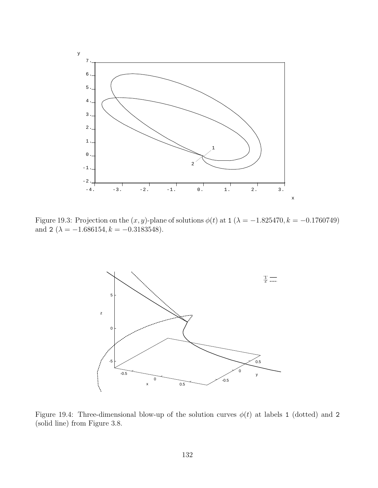

<span id="page-132-0"></span>Figure 19.3: Projection on the  $(x, y)$ -plane of solutions  $\phi(t)$  at 1 ( $\lambda = -1.825470, k = -0.1760749$ ) and 2 ( $\lambda = -1.686154, k = -0.3183548$ ).



<span id="page-132-1"></span>Figure 19.4: Three-dimensional blow-up of the solution curves  $\phi(t)$  at labels 1 (dotted) and 2 (solid line) from Figure 3.8.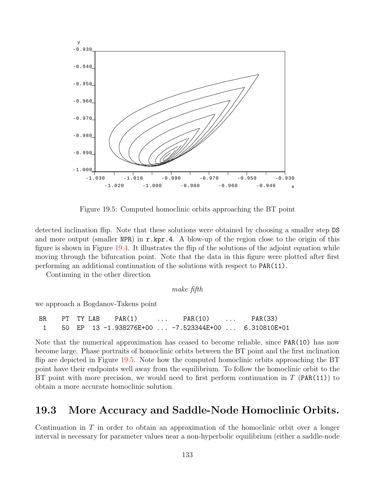

<span id="page-133-0"></span>Figure 19.5: Computed homoclinic orbits approaching the BT point

detected inclination flip. Note that these solutions were obtained by choosing a smaller step DS and more output (smaller NPR) in  $r \cdot kpr \cdot 4$ . A blow-up of the region close to the origin of this figure is shown in Figure [19.4](#page-132-1). It illustrates the flip of the solutions of the adjoint equation while moving through the bifurcation point. Note that the data in this figure were plotted after first performing an additional continuation of the solutions with respect to PAR(11).

Continuing in the other direction

make fifth

we approach a Bogdanov-Takens point

BR PT TY LAB PAR(1) ... PAR(10) ... PAR(33) 1 50 EP 13 -1.938276E+00 ... -7.523344E+00 ... 6.310810E+01

Note that the numerical approximation has ceased to become reliable, since PAR(10) has now become large. Phase portraits of homoclinic orbits between the BT point and the first inclination flip are depicted in Figure [19.5.](#page-133-0) Note how the computed homoclinic orbits approaching the BT point have their endpoints well away from the equilibrium. To follow the homoclinic orbit to the BT point with more precision, we would need to first perform continuation in  $T$  (PAR(11)) to obtain a more accurate homoclinic solution.

## 19.3 More Accuracy and Saddle-Node Homoclinic Orbits.

Continuation in  $T$  in order to obtain an approximation of the homoclinic orbit over a longer interval is necessary for parameter values near a non-hyperbolic equilibrium (either a saddle-node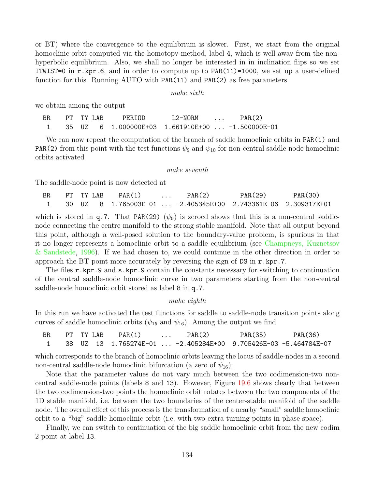or BT) where the convergence to the equilibrium is slower. First, we start from the original homoclinic orbit computed via the homotopy method, label 4, which is well away from the nonhyperbolic equilibrium. Also, we shall no longer be interested in in inclination flips so we set ITWIST=0 in  $r$ .kpr.6, and in order to compute up to PAR(11)=1000, we set up a user-defined function for this. Running AUTO with PAR(11) and PAR(2) as free parameters

make sixth

we obtain among the output

| BR. | PT TY I.AB | PERIOD                                                    | L2-NORM | $\sim$ $\sim$ $\sim$ $\sim$ | PAR(2) |
|-----|------------|-----------------------------------------------------------|---------|-----------------------------|--------|
|     |            | 1   35  UZ   6  1.000000E+03  1.661910E+00  -1.500000E-01 |         |                             |        |

We can now repeat the computation of the branch of saddle homoclinic orbits in PAR(1) and **PAR(2)** from this point with the test functions  $\psi_9$  and  $\psi_{10}$  for non-central saddle-node homoclinic orbits activated

#### make seventh

The saddle-node point is now detected at

| BR. | PT TY LAB | PAR(1) | $\ldots$ PAR(2)                                                   | PAR(29) | PAR(30) |
|-----|-----------|--------|-------------------------------------------------------------------|---------|---------|
|     |           |        | 30 UZ  8  1.765003E-01  -2.405345E+00  2.743361E-06  2.309317E+01 |         |         |

which is stored in q.7. That PAR(29) ( $\psi_9$ ) is zeroed shows that this is a non-central saddlenode connecting the centre manifold to the strong stable manifold. Note that all output beyond this point, although a well-posed solution to the boundary-value problem, is spurious in that it no longer represents a homoclinic orbit to a saddle equilibrium (see [Champneys, Kuznetsov](#page-154-2) [& Sandstede](#page-154-2), [1996\)](#page-154-2). If we had chosen to, we could continue in the other direction in order to approach the BT point more accurately by reversing the sign of  $DS$  in  $r \cdot kpr \cdot 7$ .

The files r.kpr.9 and s.kpr.9 contain the constants necessary for switching to continuation of the central saddle-node homoclinic curve in two parameters starting from the non-central saddle-node homoclinic orbit stored as label 8 in q.7.

#### make eighth

In this run we have activated the test functions for saddle to saddle-node transition points along curves of saddle homoclinic orbits ( $\psi_{15}$  and  $\psi_{16}$ ). Among the output we find

| BR. | PT TY LAB | PAR(1) | PAR(2)                                                               | PAR(35) | PAR(36) |
|-----|-----------|--------|----------------------------------------------------------------------|---------|---------|
|     |           |        | 38 UZ  13  1.765274E-01 ...-2.405284E+00  9.705426E-03 -5.464784E-07 |         |         |

which corresponds to the branch of homoclinic orbits leaving the locus of saddle-nodes in a second non-central saddle-node homoclinic bifurcation (a zero of  $\psi_{16}$ ).

Note that the parameter values do not vary much between the two codimension-two noncentral saddle-node points (labels 8 and 13). However, Figure [19.6](#page-135-0) shows clearly that between the two codimension-two points the homoclinic orbit rotates between the two components of the 1D stable manifold, i.e. between the two boundaries of the center-stable manifold of the saddle node. The overall effect of this process is the transformation of a nearby "small" saddle homoclinic orbit to a "big" saddle homoclinic orbit (i.e. with two extra turning points in phase space).

Finally, we can switch to continuation of the big saddle homoclinic orbit from the new codim 2 point at label 13.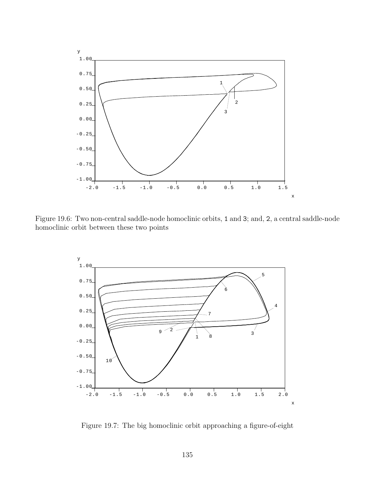

Figure 19.6: Two non-central saddle-node homoclinic orbits, 1 and 3; and, 2, a central saddle-node homoclinic orbit between these two points

<span id="page-135-0"></span>

<span id="page-135-1"></span>Figure 19.7: The big homoclinic orbit approaching a figure-of-eight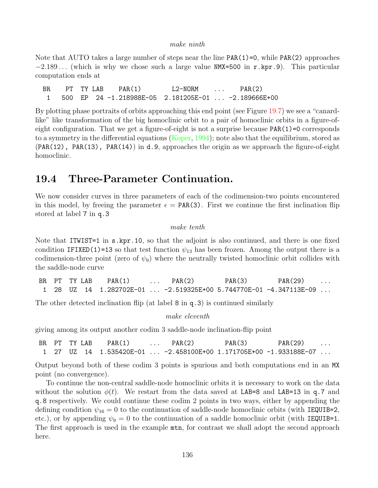#### make ninth

Note that AUTO takes a large number of steps near the line PAR(1)=0, while PAR(2) approaches  $-2.189...$  (which is why we chose such a large value NMX=500 in r.kpr.9). This particular computation ends at

BR PT TY LAB PAR(1) L2-NORM ... PAR(2) 1 500 EP 24 -1.218988E-05 2.181205E-01 ... -2.189666E+00

By plotting phase portraits of orbits approaching this end point (see Figure [19.7](#page-135-1)) we see a "canardlike" like transformation of the big homoclinic orbit to a pair of homoclinic orbits in a figure-ofeight configuration. That we get a figure-of-eight is not a surprise because  $PAR(1)=0$  corresponds to a symmetry in the differential equations [\(Koper,](#page-156-4) [1994](#page-156-4)); note also that the equilibrium, stored as  $(PAR(12)$ , PAR(13), PAR(14)) in d.9, approaches the origin as we approach the figure-of-eight homoclinic.

## 19.4 Three-Parameter Continuation.

We now consider curves in three parameters of each of the codimension-two points encountered in this model, by freeing the parameter  $\epsilon = PAR(3)$ . First we continue the first inclination flip stored at label 7 in q.3

make tenth

Note that ITWIST=1 in s.kpr.10, so that the adjoint is also continued, and there is one fixed condition IFIXED(1)=13 so that test function  $\psi_{13}$  has been frozen. Among the output there is a codimension-three point (zero of  $\psi_9$ ) where the neutrally twisted homoclinic orbit collides with the saddle-node curve

|  | BR PT TY LAB | PAR(1) | $\ldots$ PAR(2) | PAR(3) | PAR(29)                                                                     | $\cdot$ |
|--|--------------|--------|-----------------|--------|-----------------------------------------------------------------------------|---------|
|  |              |        |                 |        | 1  28  UZ  14  1.282702E-01 ...-2.519325E+00 5.744770E-01 -4.347113E-09 ... |         |

The other detected inclination flip (at label 8 in q.3) is continued similarly

make eleventh

giving among its output another codim 3 saddle-node inclination-flip point

|  | BR PT TYLAB | PAR(1) | $\ldots$ PAR(2) | PAR(3) | PAR(29)                                                           | $\cdots$ |
|--|-------------|--------|-----------------|--------|-------------------------------------------------------------------|----------|
|  |             |        |                 |        | 1 27 UZ 14 1.535420E−01  −2.458100E+00 1.171705E+00 −1.933188E−07 |          |

Output beyond both of these codim 3 points is spurious and both computations end in an MX point (no convergence).

To continue the non-central saddle-node homoclinic orbits it is necessary to work on the data without the solution  $\phi(t)$ . We restart from the data saved at LAB=8 and LAB=13 in q.7 and q.8 respectively. We could continue these codim 2 points in two ways, either by appending the defining condition  $\psi_{16} = 0$  to the continuation of saddle-node homoclinic orbits (with IEQUIB=2, etc.), or by appending  $\psi_9 = 0$  to the continuation of a saddle homoclinic orbit (with IEQUIB=1. The first approach is used in the example  $mtn$ , for contrast we shall adopt the second approach here.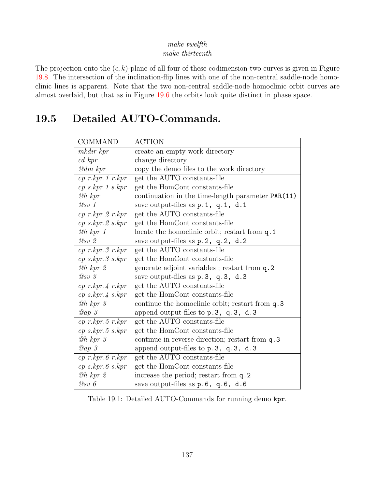#### make twelfth make thirteenth

The projection onto the  $(\epsilon, k)$ -plane of all four of these codimension-two curves is given in Figure [19.8.](#page-139-0) The intersection of the inclination-flip lines with one of the non-central saddle-node homoclinic lines is apparent. Note that the two non-central saddle-node homoclinic orbit curves are almost overlaid, but that as in Figure [19.6](#page-135-0) the orbits look quite distinct in phase space.

## 19.5 Detailed AUTO-Commands.

| <b>COMMAND</b>                 | <b>ACTION</b>                                     |
|--------------------------------|---------------------------------------------------|
| mkdir kpr                      | create an empty work directory                    |
| $cd$ kpr                       | change directory                                  |
| $\mathcal{Q}dm$ kpr            | copy the demo files to the work directory         |
| $cp$ r.kpr.1 r.kpr             | get the AUTO constants-file                       |
| $cp$ s.kpr.1 s.kpr             | get the HomCont constants-file                    |
| $@h$ kpr                       | continuation in the time-length parameter PAR(11) |
| @sv 1                          | save output-files as $p.1$ , $q.1$ , $d.1$        |
| $cp$ r.kpr.2 r.kpr             | get the AUTO constants-file                       |
| $cp \; s.kpr.2 \; s.kpr$       | get the HomCont constants-file                    |
| $@h$ kpr 1                     | locate the homoclinic orbit; restart from q.1     |
| @sv2                           | save output-files as $p.2$ , $q.2$ , $d.2$        |
| $cp$ r.kpr. $3$ r.kpr          | get the AUTO constants-file                       |
| $cp \;$ s.kpr. $3 \;$ s.kpr    | get the HomCont constants-file                    |
| $@h$ kpr $2$                   | generate adjoint variables; restart from q.2      |
| $\oslash$ sv 3                 | save output-files as $p.3$ , $q.3$ , $d.3$        |
| $cp\ r.kpr.4\ r.kpr$           | get the AUTO constants-file                       |
| $cp \; s \; kpr.4 \; s \; kpr$ | get the HomCont constants-file                    |
| $@h$ kpr $3$                   | continue the homoclinic orbit; restart from q.3   |
| Qap3                           | append output-files to $p.3$ , $q.3$ , d.3        |
| $cp$ r.kpr.5 r.kpr             | get the AUTO constants-file                       |
| $cp\;s.kpr.5\;s.kpr$           | get the HomCont constants-file                    |
| $@h$ kpr $3$                   | continue in reverse direction; restart from q.3   |
| Qap3                           | append output-files to $p.3$ , $q.3$ , d.3        |
| $cp$ r.kpr.6 r.kpr             | get the AUTO constants-file                       |
| $cp\;s.kpr.\,6\;s.kpr$         | get the HomCont constants-file                    |
| $@h$ kpr $2$                   | increase the period; restart from q.2             |
| @sv 6                          | save output-files as $p.6$ , $q.6$ , $d.6$        |

Table 19.1: Detailed AUTO-Commands for running demo kpr.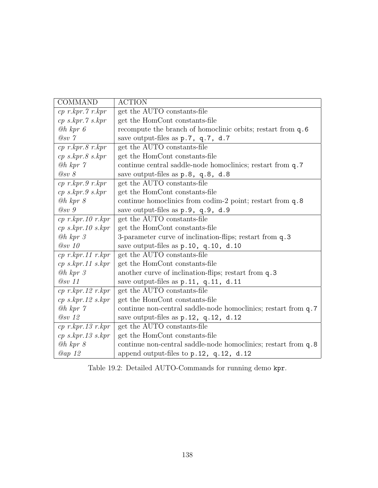| <b>COMMAND</b>                       | <b>ACTION</b>                                                  |
|--------------------------------------|----------------------------------------------------------------|
| $cp$ r.kpr. $7$ r.kpr                | get the AUTO constants-file                                    |
| $cp \; s \; kpr. \gamma \; s \; kpr$ | get the HomCont constants-file                                 |
| $@h$ kpr $6$                         | recompute the branch of homoclinic orbits; restart from q.6    |
| $\oslash$ sv 7                       | save output-files as p.7, q.7, d.7                             |
| $cp$ r.kpr. $8$ r.kpr                | get the AUTO constants-file                                    |
| $cp \;$ s.kpr. $8 \;$ s.kpr          | get the HomCont constants-file                                 |
| $@h$ kpr $\gamma$                    | continue central saddle-node homoclinics; restart from q.7     |
| $\oslash$ sv 8                       | save output-files as p.8, q.8, d.8                             |
| $cp$ r.kpr. 9 r.kpr                  | get the AUTO constants-file                                    |
| $cp \;$ s.kpr.9 s.kpr                | get the HomCont constants-file                                 |
| $@h$ kpr $8$                         | continue homoclinics from codim-2 point; restart from q.8      |
| $\oslash$ sv 9                       | save output-files as p.9, q.9, d.9                             |
| $cp$ r.kpr. 10 r.kpr                 | get the AUTO constants-file                                    |
| $cp$ s.kpr. 10 s.kpr                 | get the HomCont constants-file                                 |
| $@h$ kpr $3$                         | 3-parameter curve of inclination-flips; restart from q.3       |
| $@sv$ 10                             | save output-files as p.10, q.10, d.10                          |
| $cp$ r.kpr.11 r.kpr                  | get the AUTO constants-file                                    |
| $cp$ s.kpr.11 s.kpr                  | get the HomCont constants-file                                 |
| $@h$ kpr $\beta$                     | another curve of inclination-flips; restart from q.3           |
| $@sv$ 11                             | save output-files as $p.11$ , $q.11$ , $d.11$                  |
| $cp$ r.kpr. 12 r.kpr                 | get the AUTO constants-file                                    |
| $cp$ s.kpr.12 s.kpr                  | get the HomCont constants-file                                 |
| $@h$ kpr $\gamma$                    | continue non-central saddle-node homoclinics; restart from q.7 |
| $Q_{SV}$ 12                          | save output-files as $p.12$ , $q.12$ , $d.12$                  |
| $cp$ r.kpr. 13 r.kpr                 | get the AUTO constants-file                                    |
| $cp$ s.kpr.13 s.kpr                  | get the HomCont constants-file                                 |
| $@h$ kpr $8$                         | continue non-central saddle-node homoclinics; restart from q.8 |
| <i>@ap 12</i>                        | append output-files to $p.12$ , $q.12$ , $d.12$                |

Table 19.2: Detailed AUTO-Commands for running demo kpr.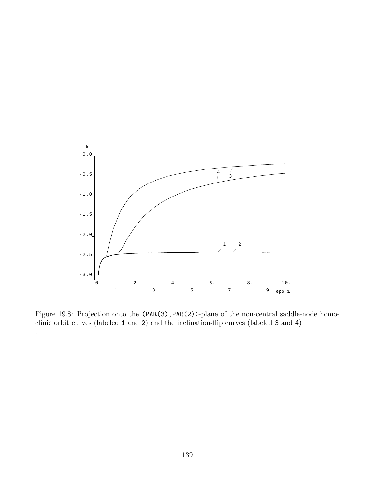

<span id="page-139-0"></span>Figure 19.8: Projection onto the (PAR(3), PAR(2))-plane of the non-central saddle-node homoclinic orbit curves (labeled 1 and 2) and the inclination-flip curves (labeled 3 and 4)

.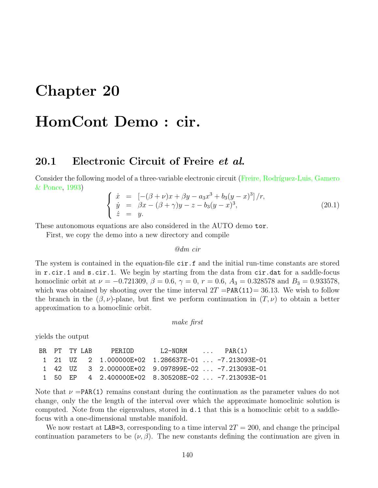# Chapter 20

# HomCont Demo : cir.

## 20.1 Electronic Circuit of Freire et al.

Considerthe following model of a three-variable electronic circuit (Freire, Rodríguez-Luis, Gamero [& Ponce](#page-155-1), [1993](#page-155-1))

<span id="page-140-0"></span>
$$
\begin{cases}\n\dot{x} = \left[ -(\beta + \nu)x + \beta y - a_3 x^3 + b_3 (y - x)^3 \right] / r, \\
\dot{y} = \beta x - (\beta + \gamma)y - z - b_3 (y - x)^3, \\
\dot{z} = y.\n\end{cases}
$$
\n(20.1)

These autonomous equations are also considered in the AUTO demo tor.

First, we copy the demo into a new directory and compile

@dm cir

The system is contained in the equation-file cir.f and the initial run-time constants are stored in r.cir.1 and s.cir.1. We begin by starting from the data from cir.dat for a saddle-focus homoclinic orbit at  $\nu = -0.721309$ ,  $\beta = 0.6$ ,  $\gamma = 0$ ,  $r = 0.6$ ,  $A_3 = 0.328578$  and  $B_3 = 0.933578$ , which was obtained by shooting over the time interval  $2T = PAR(11) = 36.13$ . We wish to follow the branch in the  $(\beta, \nu)$ -plane, but first we perform continuation in  $(T, \nu)$  to obtain a better approximation to a homoclinic orbit.

make first

yields the output

|  |  | BR PT TY LAB PFR.TOD                                 | $L2-NORM$ $PAR(1)$ |  |
|--|--|------------------------------------------------------|--------------------|--|
|  |  |                                                      |                    |  |
|  |  | 1 42 UZ 3 2.000000E+02 9.097899E-02  -7.213093E-01   |                    |  |
|  |  | 1 50 EP  4 2.400000E+02  8.305208E-02  −7.213093E-01 |                    |  |

Note that  $\nu = PAR(1)$  remains constant during the continuation as the parameter values do not change, only the the length of the interval over which the approximate homoclinic solution is computed. Note from the eigenvalues, stored in d.1 that this is a homoclinic orbit to a saddlefocus with a one-dimensional unstable manifold.

We now restart at LAB=3, corresponding to a time interval  $2T = 200$ , and change the principal continuation parameters to be  $(\nu, \beta)$ . The new constants defining the continuation are given in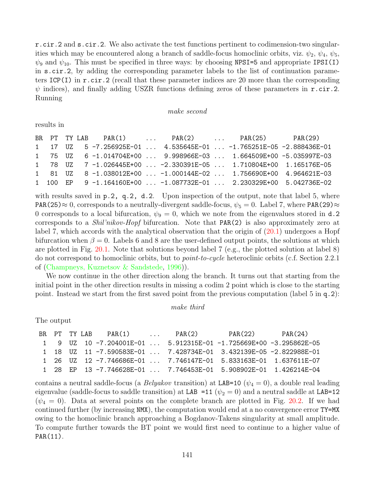r.cir.2 and s.cir.2. We also activate the test functions pertinent to codimension-two singularities which may be encountered along a branch of saddle-focus homoclinic orbits, viz.  $\psi_2$ ,  $\psi_4$ ,  $\psi_5$ ,  $\psi_9$  and  $\psi_{10}$ . This must be specified in three ways: by choosing NPSI=5 and appropriate IPSI(I) in s.cir.2, by adding the corresponding parameter labels to the list of continuation parameters  $ICP(I)$  in r.cir. 2 (recall that these parameter indices are 20 more than the corresponding  $\psi$  indices), and finally adding USZR functions defining zeros of these parameters in  $\mathbf{r} \cdot \text{cir.2}$ . Running

#### make second

results in

|  |  |  | BR PT TY LAB PAR(1)  PAR(2)  PAR(25) PAR(29)                           |  |  |
|--|--|--|------------------------------------------------------------------------|--|--|
|  |  |  | 1  17  UZ  5 -7.256925E-01   4.535645E-01  -1.765251E-05 -2.888436E-01 |  |  |
|  |  |  | 1 75 UZ 6-1.014704E+00  9.998966E-03  1.664509E+00 -5.035997E-03       |  |  |
|  |  |  | 1 78 UZ 7-1.026445E+00  -2.330391E-05  1.710804E+00 1.165176E-05       |  |  |
|  |  |  | 1 81 UZ 8 -1.038012E+00  -1.000144E-02  1.756690E+00 4.964621E-03      |  |  |
|  |  |  | 1 100 EP  9 -1.164160E+00  -1.087732E-01  2.230329E+00 5.042736E-02    |  |  |

with results saved in  $p.2$ ,  $q.2$ ,  $d.2$ . Upon inspection of the output, note that label 5, where PAR(25)≈ 0, corresponds to a neutrally-divergent saddle-focus,  $\psi_5 = 0$ . Label 7, where PAR(29)≈ 0 corresponds to a local bifurcation,  $\psi_9 = 0$ , which we note from the eigenvalues stored in d.2 corresponds to a *Shil'nikov-Hopf* bifurcation. Note that **PAR(2)** is also approximately zero at label 7, which accords with the analytical observation that the origin of([20.1\)](#page-140-0) undergoes a Hopf bifurcation when  $\beta = 0$ . Labels 6 and 8 are the user-defined output points, the solutions at which are plotted in Fig. [20.1.](#page-142-0) Note that solutions beyond label 7 (e.g., the plotted solution at label 8) do not correspond to homoclinic orbits, but to *point-to-cycle* heteroclinic orbits (c.f. Section 2.2.1) of([Champneys, Kuznetsov & Sandstede](#page-154-2), [1996\)](#page-154-2)).

We now continue in the other direction along the branch. It turns out that starting from the initial point in the other direction results in missing a codim 2 point which is close to the starting point. Instead we start from the first saved point from the previous computation (label 5 in q.2):

#### make third

The output

|  |  |  | BR PT TYLAB PAR(1)  PAR(2) | $PAR(22)$ $PAR(24)$<br>1   9  UZ  10 -7.204001E-01 ... 5.912315E-01 -1.725669E+00 -3.295862E-05<br>1 18 UZ 11 -7.590583E-01  7.428734E-01 3.432139E-05 -2.822988E-01<br>1    26    UZ    12   -7.746686E-01      7.746147E-01   5.833163E-01   1.637611E-07<br>1 28 EP 13 -7.746628E-01  7.746453E-01 5.908902E-01 1.426214E-04 |
|--|--|--|----------------------------|---------------------------------------------------------------------------------------------------------------------------------------------------------------------------------------------------------------------------------------------------------------------------------------------------------------------------------|

contains a neutral saddle-focus (a *Belyakov* transition) at LAB=10 ( $\psi_4 = 0$ ), a double real leading eigenvalue (saddle-focus to saddle transition) at LAB =11 ( $\psi_2 = 0$ ) and a neutral saddle at LAB=12  $(\psi_4 = 0)$ . Data at several points on the complete branch are plotted in Fig. [20.2.](#page-142-1) If we had continued further (by increasing NMX), the computation would end at a no convergence error TY=MX owing to the homoclinic branch approaching a Bogdanov-Takens singularity at small amplitude. To compute further towards the BT point we would first need to continue to a higher value of PAR(11).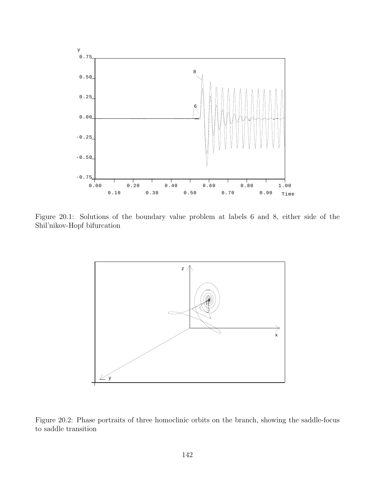

Figure 20.1: Solutions of the boundary value problem at labels 6 and 8, either side of the Shil'nikov-Hopf bifurcation

<span id="page-142-0"></span>

<span id="page-142-1"></span>Figure 20.2: Phase portraits of three homoclinic orbits on the branch, showing the saddle-focus to saddle transition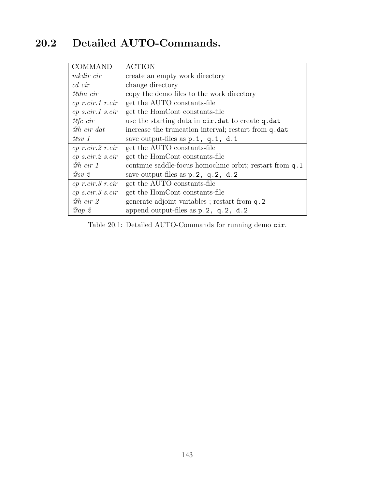## 20.2 Detailed AUTO-Commands.

| <b>COMMAND</b>           | <b>ACTION</b>                                            |
|--------------------------|----------------------------------------------------------|
| mkdir cir                | create an empty work directory                           |
| cd cir                   | change directory                                         |
| $\mathscr{Q}dm$ cir      | copy the demo files to the work directory                |
| $cp$ r.cir.1 r.cir       | get the AUTO constants-file                              |
| $cp\ s.cir.1\ s.cir$     | get the HomCont constants-file                           |
| $@fc$ cir                | use the starting data in cir. dat to create q. dat       |
| <b><i>@h cir dat</i></b> | increase the truncation interval; restart from q.dat     |
| $\oslash sv$ 1           | save output-files as $p.1$ , $q.1$ , d.1                 |
| $cp$ r.cir. $2$ r.cir    | get the AUTO constants-file                              |
| $cp\ s.cir.2\ s.cir$     | get the HomCont constants-file                           |
| @h <sub>cir</sub> 1      | continue saddle-focus homoclinic orbit; restart from q.1 |
| @sv2                     | save output-files as $p.2$ , $q.2$ , $d.2$               |
| $cp$ r.cir. $3$ r.cir    | get the AUTO constants-file                              |
| $cp\ s.cir.3\ s.cir$     | get the HomCont constants-file                           |
| @h <sub>cir</sub> 2      | generate adjoint variables; restart from q.2             |
| Qap2                     | append output-files as $p.2$ , $q.2$ , $d.2$             |

Table 20.1: Detailed AUTO-Commands for running demo cir.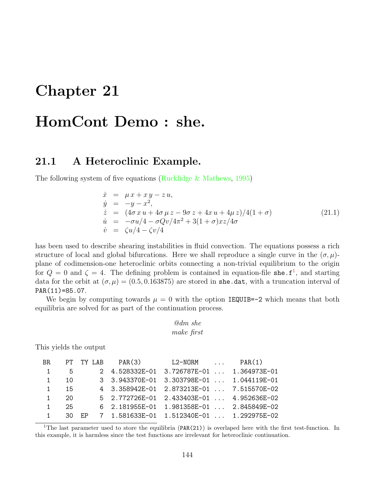## Chapter 21

## HomCont Demo : she.

### 21.1 A Heteroclinic Example.

The following system of five equations [\(Rucklidge & Mathews](#page-156-0), [1995\)](#page-156-0)

$$
\dot{x} = \mu x + xy - zu,\n\dot{y} = -y - x^2,\n\dot{z} = (4\sigma x u + 4\sigma \mu z - 9\sigma z + 4x u + 4\mu z)/4(1 + \sigma)\n\dot{u} = -\sigma u/4 - \sigma Qv/4\pi^2 + 3(1 + \sigma)xz/4\sigma\n\dot{v} = \zeta u/4 - \zeta v/4
$$
\n(21.1)

has been used to describe shearing instabilities in fluid convection. The equations possess a rich structure of local and global bifurcations. Here we shall reproduce a single curve in the  $(\sigma, \mu)$ plane of codimension-one heteroclinic orbits connecting a non-trivial equilibrium to the origin for  $Q = 0$  and  $\zeta = 4$ . The defining problem is contained in equation-file she.  $f^1$  $f^1$ , and starting data for the orbit at  $(\sigma, \mu) = (0.5, 0.163875)$  are stored in she.dat, with a truncation interval of PAR(11)=85.07.

We begin by computing towards  $\mu = 0$  with the option IEQUIB=-2 which means that both equilibria are solved for as part of the continuation process.

$$
\\@dm\;she\\make\;first
$$

This yields the output

| BR             |              |     | PT TY LAB PAR(3) | $L2-NORM$ $PAR(1)$                            |  |
|----------------|--------------|-----|------------------|-----------------------------------------------|--|
| 1              | 5            |     |                  | 2 4.528332E-01 3.726787E-01  1.364973E-01     |  |
| $\overline{1}$ | 10           |     |                  | 3 3.943370E-01 3.303798E-01  1.044119E-01     |  |
| $\mathbf{1}$   | 15           |     |                  | 4 3.358942E-01 2.873213E-01  7.515570E-02     |  |
| $\mathbf{1}$   | $20^{\circ}$ |     |                  | 5 2.772726E-01 2.433403E-01  4.952636E-02     |  |
| $\mathbf{1}$   | - 25         |     |                  | 6 2.181955E-01 1.981358E-01  2.845849E-02     |  |
| $\mathbf{1}$   | - 30         | F.P |                  | 7  1.581633E-01  1.512340E-01    1.292975E-02 |  |
|                |              |     |                  |                                               |  |

<span id="page-144-0"></span><sup>1</sup>The last parameter used to store the equilibria (PAR(21)) is overlaped here with the first test-function. In this example, it is harmless since the test functions are irrelevant for heteroclinic continuation.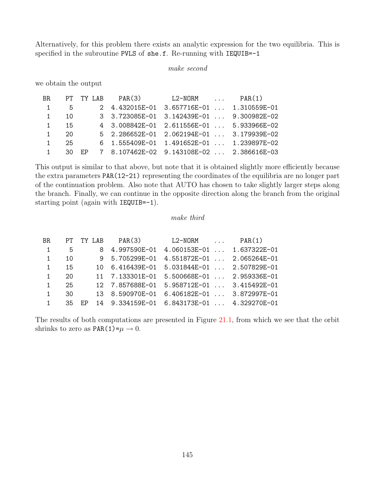Alternatively, for this problem there exists an analytic expression for the two equilibria. This is specified in the subroutine PVLS of she.f. Re-running with IEQUIB=-1

make second

we obtain the output

| BR.            |     | PT TY LAB | PAR(3) | $L2-NORM$                                 | PAR(1)       |
|----------------|-----|-----------|--------|-------------------------------------------|--------------|
| $\overline{1}$ | 5.  |           |        | 2 4.432015E-01 3.657716E-01  1.310559E-01 |              |
| $\overline{1}$ | 10  |           |        | 3 3.723085E-01 3.142439E-01  9.300982E-02 |              |
| $\mathbf{1}$   | 15  |           |        | 4 3.008842E-01 2.611556E-01  5.933966E-02 |              |
| $\mathbf{1}$   | 20  |           |        | 5 2.286652E-01 2.062194E-01  3.179939E-02 |              |
| $\mathbf{1}$   | 25. |           |        | 6 $1.555409E-01$ $1.491652E-01$           | 1.239897E-02 |
| $\mathbf{1}$   | 30. | F.P       |        | 7 8.107462E-02 9.143108E-02  2.386616E-03 |              |

This output is similar to that above, but note that it is obtained slightly more efficiently because the extra parameters PAR(12-21) representing the coordinates of the equilibria are no longer part of the continuation problem. Also note that AUTO has chosen to take slightly larger steps along the branch. Finally, we can continue in the opposite direction along the branch from the original starting point (again with IEQUIB=-1).

#### make third

| BR.            | PT  | TY LAB | PAR(3)          | L2-NORM<br>$\cdots$        | PAR(1)       |
|----------------|-----|--------|-----------------|----------------------------|--------------|
| $\overline{1}$ | 5   |        | 8 4.997590E-01  | $4.060153E-01$             | 1.637322E-01 |
| $\overline{1}$ | 10  |        | 9 5.705299E-01  | $4.551872E-01$             | 2.065264E-01 |
| 1              | 15  |        | 10 6.416439E-01 | $5.031844E-01$             | 2.507829E-01 |
| 1              | 20  |        | 11 7.133301E-01 | $5.500668E-01$             | 2.959336E-01 |
| 1              | 25  |        | 12 7.857688E-01 | $5.958712E-01$             | 3.415492E-01 |
| 1              | 30  |        | 13 8.590970E-01 | $6.406182E-01$             | 3.872997E-01 |
|                | .35 | EP     | 14 9.334159E-01 | 6.843173E-01  4.329270E-01 |              |
|                |     |        |                 |                            |              |

The results of both computations are presented in Figure [21.1,](#page-147-0) from which we see that the orbit shrinks to zero as  $PAR(1)=\mu \rightarrow 0$ .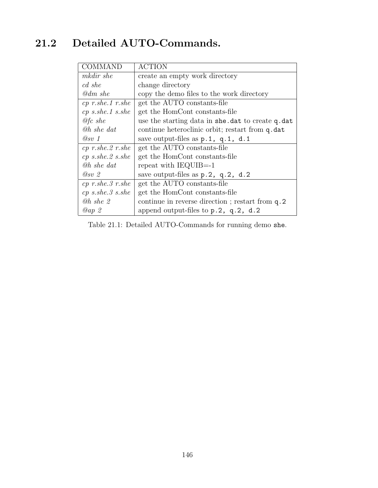### 21.2 Detailed AUTO-Commands.

| <b>COMMAND</b>              | <b>ACTION</b>                                    |
|-----------------------------|--------------------------------------------------|
| mkdir she                   | create an empty work directory                   |
| cd she                      | change directory                                 |
| @dm she                     | copy the demo files to the work directory        |
| $cp$ r.she.1 r.she          | get the AUTO constants-file                      |
| $cp \; s. she.1 \; s. she$  | get the HomCont constants-file                   |
| $\mathcal{Q}$ fc she        | use the starting data in she.dat to create q.dat |
| <b><i>@h she dat</i></b>    | continue heteroclinic orbit; restart from q.dat  |
| @sv 1                       | save output-files as $p.1$ , $q.1$ , $d.1$       |
| $cp$ r.she. $2$ r.she       | get the AUTO constants-file                      |
| $cp \; s. she. 2 \; s. she$ | get the HomCont constants-file                   |
| <b><i>@h she dat</i></b>    | repeat with $IEQUIB=1$                           |
| $Q_{SV}$ 2                  | save output-files as p.2, q.2, d.2               |
| $cp$ r.she.3 r.she          | get the AUTO constants-file                      |
| $cp \; s. she.3 \; s. she$  | get the HomCont constants-file                   |
| $@h$ she $2$                | continue in reverse direction; restart from q.2  |
| Qap2                        | append output-files to $p.2$ , $q.2$ , $d.2$     |

Table 21.1: Detailed AUTO-Commands for running demo she.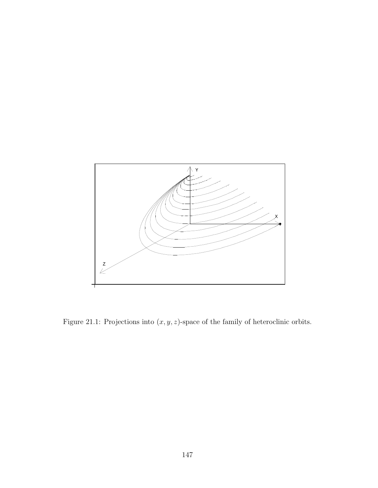

<span id="page-147-0"></span>Figure 21.1: Projections into  $(x, y, z)$ -space of the family of heteroclinic orbits.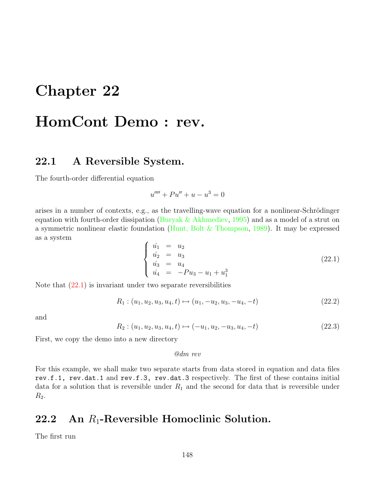### Chapter 22

## HomCont Demo : rev.

#### 22.1 A Reversible System.

The fourth-order differential equation

$$
u'''' + Pu'' + u - u^3 = 0
$$

arises in a number of contexts, e.g., as the travelling-wave equation for a nonlinear-Schrödinger equationwith fourth-order dissipation ([Buryak & Akhmediev,](#page-154-0) [1995\)](#page-154-0) and as a model of a strut on a symmetric nonlinear elastic foundation([Hunt, Bolt & Thompson](#page-155-0), [1989](#page-155-0)). It may be expressed as a system

<span id="page-148-0"></span>
$$
\begin{cases}\n\dot{u}_1 = u_2 \\
\dot{u}_2 = u_3 \\
\dot{u}_3 = u_4 \\
\dot{u}_4 = -Pu_3 - u_1 + u_1^3\n\end{cases}
$$
\n(22.1)

Note that  $(22.1)$  is invariant under two separate reversibilities

$$
R_1: (u_1, u_2, u_3, u_4, t) \mapsto (u_1, -u_2, u_3, -u_4, -t) \tag{22.2}
$$

and

$$
R_2: (u_1, u_2, u_3, u_4, t) \mapsto (-u_1, u_2, -u_3, u_4, -t)
$$
\n
$$
(22.3)
$$

First, we copy the demo into a new directory

@dm rev

For this example, we shall make two separate starts from data stored in equation and data files rev.f.1, rev.dat.1 and rev.f.3, rev.dat.3 respectively. The first of these contains initial data for a solution that is reversible under  $R_1$  and the second for data that is reversible under  $R_2$ .

### 22.2 An  $R_1$ -Reversible Homoclinic Solution.

The first run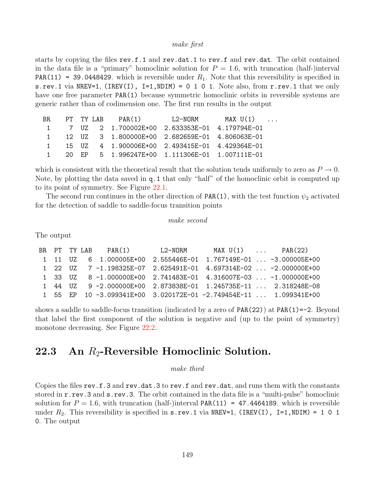#### make first

starts by copying the files rev.f.1 and rev.dat.1 to rev.f and rev.dat. The orbit contained in the data file is a "primary" homoclinic solution for  $P = 1.6$ , with truncation (half-)interval **PAR(11) = 39.0448429.** which is reversible under  $R_1$ . Note that this reversibility is specified in s.rev.1 via NREV=1, (IREV(I),  $I=1$ , NDIM) = 0 1 0 1. Note also, from r.rev.1 that we only have one free parameter **PAR(1)** because symmetric homoclinic orbits in reversible systems are generic rather than of codimension one. The first run results in the output

```
BR PT TY LAB PAR(1) L2-NORM MAX U(1) ...
1 7 UZ 2 1.700002E+00 2.633353E-01 4.179794E-01
1 12 UZ 3 1.800000E+00 2.682659E-01 4.806063E-01
1 15 UZ 4 1.900006E+00 2.493415E-01 4.429364E-01
1 20 EP 5 1.996247E+00 1.111306E-01 1.007111E-01
```
which is consistent with the theoretical result that the solution tends uniformly to zero as  $P \to 0$ . Note, by plotting the data saved in q.1 that only "half" of the homoclinic orbit is computed up to its point of symmetry. See Figure [22.1](#page-150-0).

The second run continues in the other direction of  $PAR(1)$ , with the test function  $\psi_2$  activated for the detection of saddle to saddle-focus transition points

#### make second

The output

|  |  | BR PT TYLAB PAR(1)          L2-NORM                                    | MAX $U(1)$ PAR(22) |  |
|--|--|------------------------------------------------------------------------|--------------------|--|
|  |  | 1  11  UZ  6  1.000005E+00  2.555446E-01  1.767149E-01   -3.000005E+00 |                    |  |
|  |  | 1 22 UZ 7-1.198325E-07 2.625491E-01 4.697314E-02  -2.000000E+00        |                    |  |
|  |  | 1 33 UZ 8-1.000000E+00 2.741483E-01 4.316007E-03  -1.000000E+00        |                    |  |
|  |  | 1 44 UZ 9 -2.000000E+00 2.873838E-01 1.245735E-11  2.318248E-08        |                    |  |
|  |  | 1 55 EP 10-3.099341E+00 3.020172E-01-2.749454E-11  1.099341E+00        |                    |  |

shows a saddle to saddle-focus transition (indicated by a zero of PAR(22)) at PAR(1)=-2. Beyond that label the first component of the solution is negative and (up to the point of symmetry) monotone decreasing. See Figure [22.2.](#page-150-1)

### 22.3 An  $R_2$ -Reversible Homoclinic Solution.

make third

Copies the files rev.f.3 and rev.dat.3 to rev.f and rev.dat, and runs them with the constants stored in **r**.rev.3 and **s**.rev.3. The orbit contained in the data file is a "multi-pulse" homoclinic solution for  $P = 1.6$ , with truncation (half-)interval PAR(11) = 47.4464189. which is reversible under  $R_2$ . This reversibility is specified in s.rev.1 via NREV=1, (IREV(I), I=1,NDIM) = 1 0 1 0. The output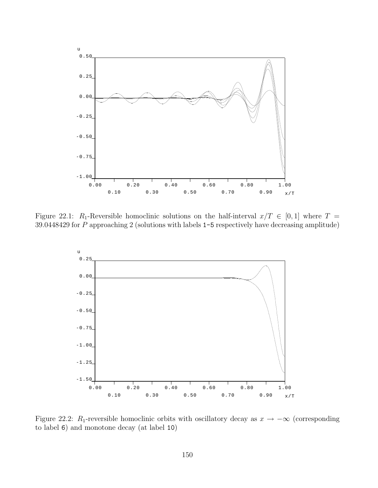

Figure 22.1: R<sub>1</sub>-Reversible homoclinic solutions on the half-interval  $x/T \in [0,1]$  where  $T =$ 39.0448429 for P approaching 2 (solutions with labels 1-5 respectively have decreasing amplitude)

<span id="page-150-0"></span>

<span id="page-150-1"></span>Figure 22.2: R<sub>1</sub>-reversible homoclinic orbits with oscillatory decay as  $x \to -\infty$  (corresponding to label 6) and monotone decay (at label 10)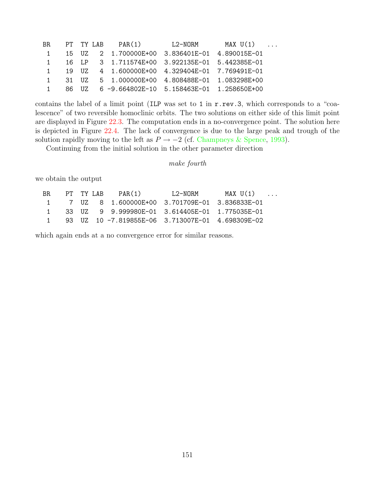| BR.            |       |       | PT TY LAB PAR(1)                               | L2-NORM | $MAX U(1)$ |  |
|----------------|-------|-------|------------------------------------------------|---------|------------|--|
| $\overline{1}$ |       |       | 15 UZ 2 1.700000E+00 3.836401E-01 4.890015E-01 |         |            |  |
| $\sim$ 1       |       |       | 16 LP 3 1.711574E+00 3.922135E-01 5.442385E-01 |         |            |  |
| $\mathbf{1}$   |       | 19 UZ |                                                |         |            |  |
| $\sim$ 1       | 31 UZ |       | 5   1.000000E+00   4.808488E-01   1.083298E+00 |         |            |  |
| $\mathbf{1}$   |       | 86 UZ | 6 -9.664802E-10 5.158463E-01 1.258650E+00      |         |            |  |

contains the label of a limit point (ILP was set to 1 in r.rev.3, which corresponds to a "coalescence" of two reversible homoclinic orbits. The two solutions on either side of this limit point are displayed in Figure [22.3](#page-152-0). The computation ends in a no-convergence point. The solution here is depicted in Figure [22.4.](#page-152-1) The lack of convergence is due to the large peak and trough of the solution rapidly moving to the left as  $P \rightarrow -2$  (cf. [Champneys & Spence,](#page-154-1) [1993](#page-154-1)).

Continuing from the initial solution in the other parameter direction

```
make fourth
```
we obtain the output

| BR. |  | PT TY LAR | PAR(1)                                           | I.2-NORM | $MAX U(1) \dots$ |  |
|-----|--|-----------|--------------------------------------------------|----------|------------------|--|
|     |  |           | 1 7 UZ 8 1.600000E+00 3.701709E-01 3.836833E-01  |          |                  |  |
|     |  |           | 33 UZ 9 9.999980E-01 3.614405E-01 1.775035E-01   |          |                  |  |
|     |  |           | 93 UZ 10 -7.819855F-06 3.713007F-01 4.698309F-02 |          |                  |  |

which again ends at a no convergence error for similar reasons.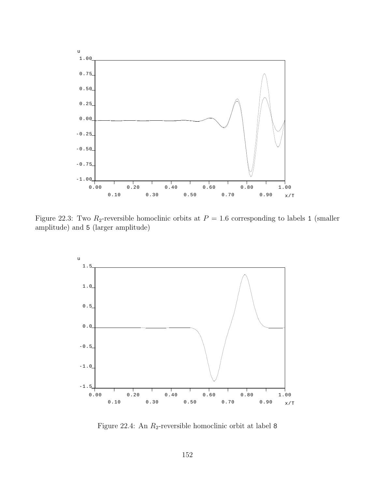

Figure 22.3: Two  $R_2$ -reversible homoclinic orbits at  $P = 1.6$  corresponding to labels 1 (smaller amplitude) and 5 (larger amplitude)

<span id="page-152-0"></span>

<span id="page-152-1"></span>Figure 22.4: An  $R_2$ -reversible homoclinic orbit at label 8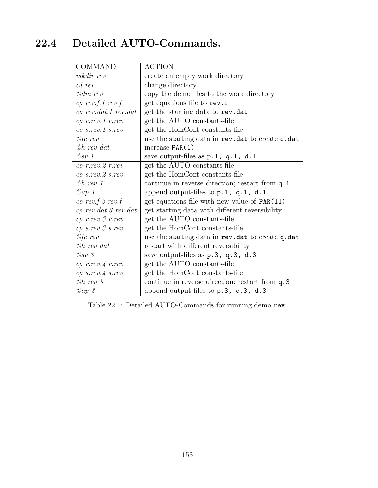### 22.4 Detailed AUTO-Commands.

| <b>COMMAND</b>                 | <b>ACTION</b>                                      |
|--------------------------------|----------------------------------------------------|
| mkdir rev                      | create an empty work directory                     |
| cd rev                         | change directory                                   |
| $@dm\;rev$                     | copy the demo files to the work directory          |
| $cp$ rev.f.1 rev.f             | get equations file to rev.f                        |
| $cp$ rev.dat.1 rev.dat         | get the starting data to rev.dat                   |
| $cp$ $r$ . $rev.1$ $r$ . $rev$ | get the AUTO constants-file                        |
| $cp \; s. rev. 1 \; s. rev$    | get the HomCont constants-file                     |
| $@fc$ rev                      | use the starting data in rev. dat to create q. dat |
| $@h$ rev dat                   | increase $PAR(1)$                                  |
| @sv 1                          | save output-files as p.1, q.1, d.1                 |
| $cp$ $r$ . $rev.2$ $r.rev$     | get the AUTO constants-file                        |
| $cp$ s.rev. $2$ s.rev          | get the HomCont constants-file                     |
| $@h$ rev 1                     | continue in reverse direction; restart from q.1    |
| $Qap$ 1                        | append output-files to $p.1$ , $q.1$ , $d.1$       |
| $cp$ rev.f. 3 rev.f            | get equations file with new value of PAR(11)       |
| $cp$ rev.dat. 3 rev.dat        | get starting data with different reversibility     |
| $cp$ $r$ . $rev.3$ $r.rev$     | get the AUTO constants-file                        |
| $cp$ s.rev. $3$ s.rev          | get the HomCont constants-file                     |
| $@fc\;rev$                     | use the starting data in rev. dat to create q. dat |
| <b><i>Oh rev dat</i></b>       | restart with different reversibility               |
| $Q_{SV}$ 3                     | save output-files as p.3, q.3, d.3                 |
| $cp$ r.rev. $4$ r.rev          | get the AUTO constants-file                        |
| $cp \; s. rev. 4 \; s. rev$    | get the HomCont constants-file                     |
| $@h$ rev $3$                   | continue in reverse direction; restart from q.3    |
| Qap3                           | append output-files to p.3, q.3, d.3               |

Table 22.1: Detailed AUTO-Commands for running demo rev.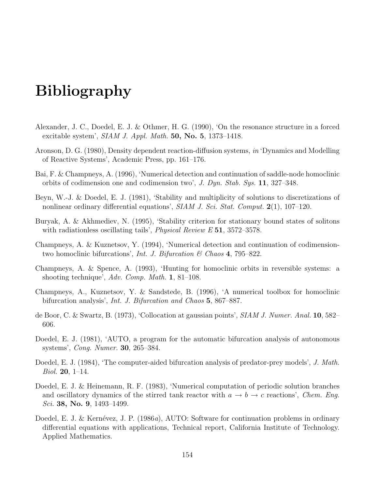# Bibliography

- Alexander, J. C., Doedel, E. J. & Othmer, H. G. (1990), 'On the resonance structure in a forced excitable system',  $SIAM J. Appl. Math. 50, No. 5, 1373-1418.$
- Aronson, D. G. (1980), Density dependent reaction-diffusion systems, in 'Dynamics and Modelling of Reactive Systems', Academic Press, pp. 161–176.
- Bai, F. & Champneys, A. (1996), 'Numerical detection and continuation of saddle-node homoclinic orbits of codimension one and codimension two', J. Dyn. Stab. Sys. 11, 327–348.
- Beyn, W.-J. & Doedel, E. J. (1981), 'Stability and multiplicity of solutions to discretizations of nonlinear ordinary differential equations', SIAM J. Sci. Stat. Comput. 2(1), 107–120.
- <span id="page-154-0"></span>Buryak, A. & Akhmediev, N. (1995), 'Stability criterion for stationary bound states of solitons with radiationless oscillating tails', *Physical Review E* 51, 3572–3578.
- Champneys, A. & Kuznetsov, Y. (1994), 'Numerical detection and continuation of codimensiontwo homoclinic bifurcations', *Int. J. Bifurcation*  $\&$  Chaos 4, 795–822.
- <span id="page-154-1"></span>Champneys, A. & Spence, A. (1993), 'Hunting for homoclinic orbits in reversible systems: a shooting technique', Adv. Comp. Math. 1, 81–108.
- Champneys, A., Kuznetsov, Y. & Sandstede, B. (1996), 'A numerical toolbox for homoclinic bifurcation analysis', Int. J. Bifurcation and Chaos 5, 867–887.
- de Boor, C. & Swartz, B. (1973), 'Collocation at gaussian points', SIAM J. Numer. Anal. 10, 582– 606.
- Doedel, E. J. (1981), 'AUTO, a program for the automatic bifurcation analysis of autonomous systems', Cong. Numer. 30, 265–384.
- Doedel, E. J. (1984), 'The computer-aided bifurcation analysis of predator-prey models', J. Math. *Biol.* **20**, 1–14.
- Doedel, E. J. & Heinemann, R. F. (1983), 'Numerical computation of periodic solution branches and oscillatory dynamics of the stirred tank reactor with  $a \to b \to c$  reactions', *Chem. Eng.* Sci. **38, No. 9**, 1493–1499.
- Doedel, E. J. & Kernévez, J. P. (1986a), AUTO: Software for continuation problems in ordinary differential equations with applications, Technical report, California Institute of Technology. Applied Mathematics.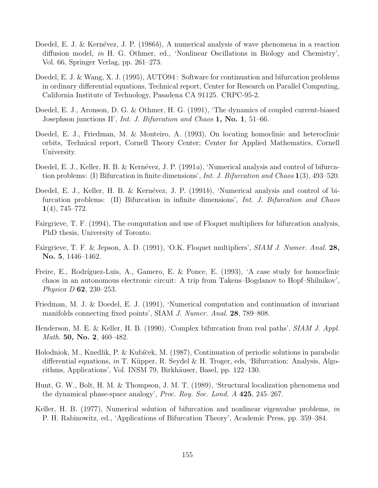- Doedel, E. J. & Kernévez, J. P. (1986b), A numerical analysis of wave phenomena in a reaction diffusion model, in H. G. Othmer, ed., 'Nonlinear Oscillations in Biology and Chemistry', Vol. 66, Springer Verlag, pp. 261–273.
- Doedel, E. J. & Wang, X. J. (1995), AUTO94 : Software for continuation and bifurcation problems in ordinary differential equations, Technical report, Center for Research on Parallel Computing, California Institute of Technology, Pasadena CA 91125. CRPC-95-2.
- Doedel, E. J., Aronson, D. G. & Othmer, H. G. (1991), 'The dynamics of coupled current-biased Josephson junctions II', Int. J. Bifurcation and Chaos 1, No. 1, 51–66.
- Doedel, E. J., Friedman, M. & Monteiro, A. (1993), On locating homoclinic and heteroclinic orbits, Technical report, Cornell Theory Center; Center for Applied Mathematics, Cornell University.
- Doedel, E. J., Keller, H. B. & Kernévez, J. P. (1991a), 'Numerical analysis and control of bifurcation problems: (I) Bifurcation in finite dimensions', Int. J. Bifurcation and Chaos  $1(3)$ , 493–520.
- Doedel, E. J., Keller, H. B. & Kernévez, J. P. (1991b), 'Numerical analysis and control of bifurcation problems: (II) Bifurcation in infinite dimensions', Int. J. Bifurcation and Chaos  $1(4)$ , 745–772.
- Fairgrieve, T. F. (1994), The computation and use of Floquet multipliers for bifurcation analysis, PhD thesis, University of Toronto.
- Fairgrieve, T. F. & Jepson, A. D. (1991), 'O.K. Floquet multipliers', SIAM J. Numer. Anal. 28, No. 5, 1446–1462.
- Freire, E., Rodríguez-Luis, A., Gamero, E. & Ponce, E. (1993), 'A case study for homoclinic chaos in an autonomous electronic circuit: A trip from Takens–Bogdanov to Hopf–Shilnikov', Physica D 62, 230–253.
- Friedman, M. J. & Doedel, E. J. (1991), 'Numerical computation and continuation of invariant manifolds connecting fixed points', SIAM *J. Numer. Anal.* **28**, 789–808.
- Henderson, M. E. & Keller, H. B. (1990), 'Complex bifurcation from real paths', *SIAM J. Appl.* Math. 50, No. 2, 460–482.
- Holodniok, M., Knedlik, P. & Kubíček, M. (1987), Continuation of periodic solutions in parabolic differential equations, in T. Küpper, R. Seydel & H. Troger, eds, 'Bifurcation: Analysis, Algorithms, Applications', Vol. INSM 79, Birkhäuser, Basel, pp. 122–130.
- <span id="page-155-0"></span>Hunt, G. W., Bolt, H. M. & Thompson, J. M. T. (1989), 'Structural localization phenomena and the dynamical phase-space analogy', Proc. Roy. Soc. Lond.  $A$  425, 245–267.
- Keller, H. B. (1977), Numerical solution of bifurcation and nonlinear eigenvalue problems, in P. H. Rabinowitz, ed., 'Applications of Bifurcation Theory', Academic Press, pp. 359–384.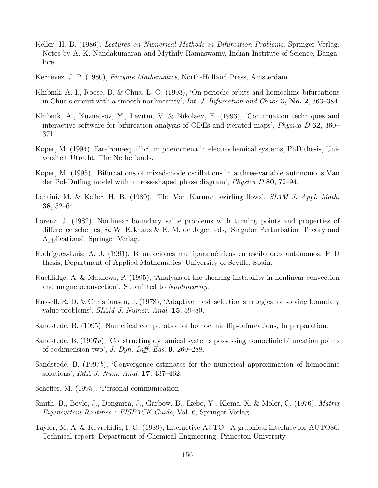- Keller, H. B. (1986), *Lectures on Numerical Methods in Bifurcation Problems*, Springer Verlag. Notes by A. K. Nandakumaran and Mythily Ramaswamy, Indian Institute of Science, Bangalore.
- Kernévez, J. P. (1980), *Enzyme Mathematics*, North-Holland Press, Amsterdam.
- Khibnik, A. I., Roose, D. & Chua, L. O. (1993), 'On periodic orbits and homoclinic bifurcations in Chua's circuit with a smooth nonlinearity', Int. J. Bifurcation and Chaos 3, No. 2, 363–384.
- Khibnik, A., Kuznetsov, Y., Levitin, V. & Nikolaev, E. (1993), 'Continuation techniques and interactive software for bifurcation analysis of ODEs and iterated maps', Physica D 62, 360– 371.
- Koper, M. (1994), Far-from-equilibrium phenomena in electrochemical systems, PhD thesis, Universiteit Utrecht, The Netherlands.
- Koper, M. (1995), 'Bifurcations of mixed-mode oscillations in a three-variable autonomous Van der Pol-Duffing model with a cross-shaped phase diagram', *Physica D* 80, 72–94.
- Lentini, M. & Keller, H. B. (1980), 'The Von Karman swirling flows', SIAM J. Appl. Math. 38, 52–64.
- Lorenz, J. (1982), Nonlinear boundary value problems with turning points and properties of difference schemes, in W. Eckhaus & E. M. de Jager, eds, 'Singular Perturbation Theory and Applications', Springer Verlag.
- Rodríguez-Luis, A. J. (1991), Bifurcaciones multiparamétricas en osciladores autónomos, PhD thesis, Department of Applied Mathematics, University of Seville, Spain.
- <span id="page-156-0"></span>Rucklidge, A. & Mathews, P. (1995), 'Analysis of the shearing instability in nonlinear convection and magnetoconvection'. Submitted to Nonlinearity.
- Russell, R. D. & Christiansen, J. (1978), 'Adaptive mesh selection strategies for solving boundary value problems', SIAM J. Numer. Anal. 15, 59–80.
- Sandstede, B. (1995), Numerical computation of homoclinic flip-bifurcations, In preparation.
- Sandstede, B. (1997a), 'Constructing dynamical systems possessing homoclinic bifurcation points of codimension two', J. Dyn. Diff. Eqs.  $9, 269-288$ .
- Sandstede, B. (1997b), 'Convergence estimates for the numerical approximation of homoclinic solutions', IMA J. Num. Anal. 17, 437–462.
- Scheffer, M. (1995), 'Personal communication'.
- Smith, B., Boyle, J., Dongarra, J., Garbow, B., Ikebe, Y., Klema, X. & Moler, C. (1976), Matrix Eigensystem Routines : EISPACK Guide, Vol. 6, Springer Verlag.
- Taylor, M. A. & Kevrekidis, I. G. (1989), Interactive AUTO : A graphical interface for AUTO86, Technical report, Department of Chemical Engineering, Princeton University.